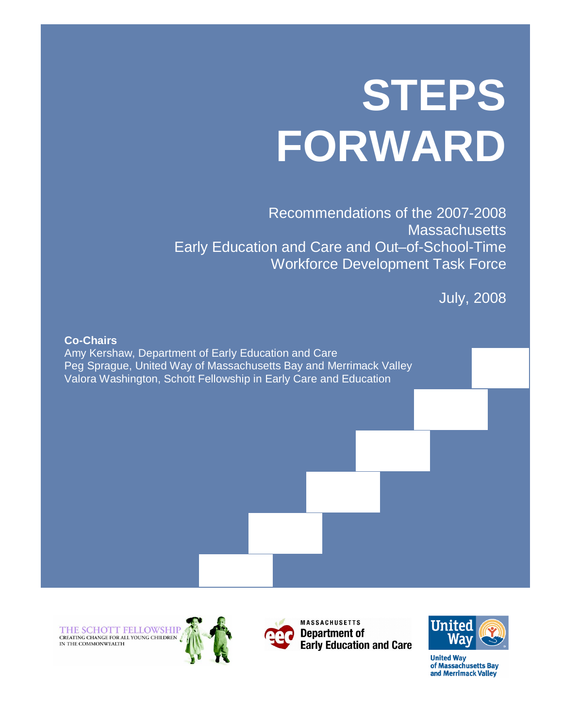# **STEPS FORWARD**

Recommendations of the 2007-2008 **Massachusetts** Early Education and Care and Out–of-School-Time Workforce Development Task Force

July, 2008



THE SCHOTT FELLOWSHIP<br>creating change for all young children



**MASSACHUSETTS Department of Early Education and Care** 



**United Way** of Massachusetts Bav and Merrimack Valley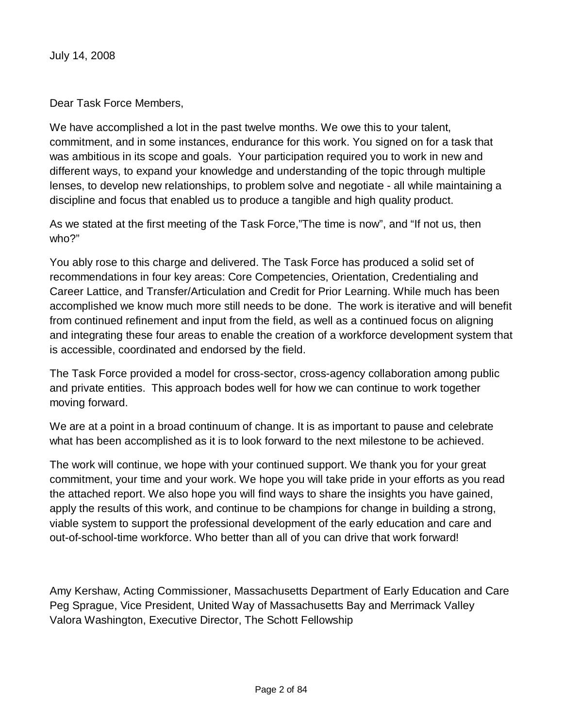July 14, 2008

Dear Task Force Members,

We have accomplished a lot in the past twelve months. We owe this to your talent, commitment, and in some instances, endurance for this work. You signed on for a task that was ambitious in its scope and goals. Your participation required you to work in new and different ways, to expand your knowledge and understanding of the topic through multiple lenses, to develop new relationships, to problem solve and negotiate - all while maintaining a discipline and focus that enabled us to produce a tangible and high quality product.

As we stated at the first meeting of the Task Force,"The time is now", and "If not us, then who?"

You ably rose to this charge and delivered. The Task Force has produced a solid set of recommendations in four key areas: Core Competencies, Orientation, Credentialing and Career Lattice, and Transfer/Articulation and Credit for Prior Learning. While much has been accomplished we know much more still needs to be done. The work is iterative and will benefit from continued refinement and input from the field, as well as a continued focus on aligning and integrating these four areas to enable the creation of a workforce development system that is accessible, coordinated and endorsed by the field.

The Task Force provided a model for cross-sector, cross-agency collaboration among public and private entities. This approach bodes well for how we can continue to work together moving forward.

We are at a point in a broad continuum of change. It is as important to pause and celebrate what has been accomplished as it is to look forward to the next milestone to be achieved.

The work will continue, we hope with your continued support. We thank you for your great commitment, your time and your work. We hope you will take pride in your efforts as you read the attached report. We also hope you will find ways to share the insights you have gained, apply the results of this work, and continue to be champions for change in building a strong, viable system to support the professional development of the early education and care and out-of-school-time workforce. Who better than all of you can drive that work forward!

Amy Kershaw, Acting Commissioner, Massachusetts Department of Early Education and Care Peg Sprague, Vice President, United Way of Massachusetts Bay and Merrimack Valley Valora Washington, Executive Director, The Schott Fellowship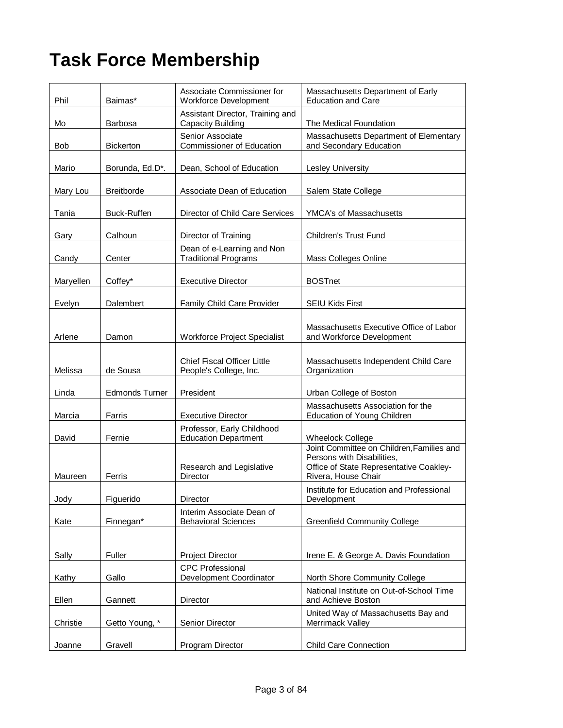# **Task Force Membership**

| Phil      | Baimas*               | Associate Commissioner for<br>Workforce Development          | Massachusetts Department of Early<br><b>Education and Care</b>                                                                            |  |
|-----------|-----------------------|--------------------------------------------------------------|-------------------------------------------------------------------------------------------------------------------------------------------|--|
| Mo        | <b>Barbosa</b>        | Assistant Director, Training and<br>Capacity Building        | The Medical Foundation                                                                                                                    |  |
| Bob       | <b>Bickerton</b>      | Senior Associate<br><b>Commissioner of Education</b>         | Massachusetts Department of Elementary<br>and Secondary Education                                                                         |  |
| Mario     | Borunda, Ed.D*.       | Dean, School of Education                                    | <b>Lesley University</b>                                                                                                                  |  |
| Mary Lou  | <b>Breitborde</b>     | Associate Dean of Education                                  | Salem State College                                                                                                                       |  |
| Tania     | <b>Buck-Ruffen</b>    | Director of Child Care Services                              | <b>YMCA's of Massachusetts</b>                                                                                                            |  |
| Gary      | Calhoun               | Director of Training                                         | <b>Children's Trust Fund</b>                                                                                                              |  |
| Candy     | Center                | Dean of e-Learning and Non<br><b>Traditional Programs</b>    | Mass Colleges Online                                                                                                                      |  |
| Maryellen | Coffey*               | <b>Executive Director</b>                                    | <b>BOSTnet</b>                                                                                                                            |  |
| Evelyn    | Dalembert             | Family Child Care Provider                                   | <b>SEIU Kids First</b>                                                                                                                    |  |
| Arlene    | Damon                 | <b>Workforce Project Specialist</b>                          | Massachusetts Executive Office of Labor<br>and Workforce Development                                                                      |  |
| Melissa   | de Sousa              | <b>Chief Fiscal Officer Little</b><br>People's College, Inc. | Massachusetts Independent Child Care<br>Organization                                                                                      |  |
| Linda     | <b>Edmonds Turner</b> | President                                                    | Urban College of Boston                                                                                                                   |  |
| Marcia    | Farris                | <b>Executive Director</b>                                    | Massachusetts Association for the<br>Education of Young Children                                                                          |  |
| David     | Fernie                | Professor, Early Childhood<br><b>Education Department</b>    | <b>Wheelock College</b>                                                                                                                   |  |
| Maureen   | Ferris                | Research and Legislative<br>Director                         | Joint Committee on Children, Families and<br>Persons with Disabilities,<br>Office of State Representative Coakley-<br>Rivera, House Chair |  |
| Jody      | Figuerido             | Director                                                     | Institute for Education and Professional<br>Development                                                                                   |  |
| Kate      | Finnegan*             | Interim Associate Dean of<br><b>Behavioral Sciences</b>      | <b>Greenfield Community College</b>                                                                                                       |  |
| Sally     | Fuller                | <b>Project Director</b>                                      | Irene E. & George A. Davis Foundation                                                                                                     |  |
| Kathy     | Gallo                 | <b>CPC Professional</b><br>Development Coordinator           | North Shore Community College                                                                                                             |  |
| Ellen     | Gannett               | Director                                                     | National Institute on Out-of-School Time<br>and Achieve Boston                                                                            |  |
| Christie  | Getto Young, *        | Senior Director                                              | United Way of Massachusetts Bay and<br>Merrimack Valley                                                                                   |  |
| Joanne    | Gravell               | Program Director                                             | <b>Child Care Connection</b>                                                                                                              |  |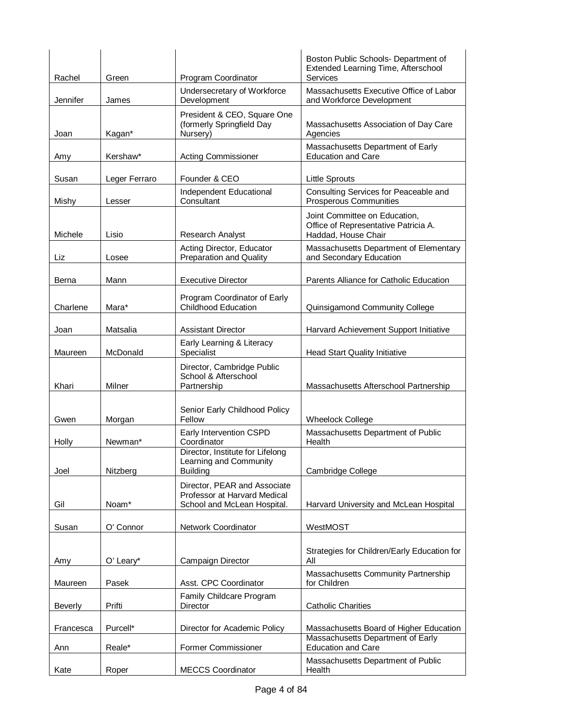| Rachel         | Green         | Program Coordinator                                                                         | Boston Public Schools- Department of<br>Extended Learning Time, Afterschool<br>Services      |  |
|----------------|---------------|---------------------------------------------------------------------------------------------|----------------------------------------------------------------------------------------------|--|
| Jennifer       | James         | Undersecretary of Workforce<br>Development                                                  | Massachusetts Executive Office of Labor<br>and Workforce Development                         |  |
| Joan           | Kagan*        | President & CEO, Square One<br>(formerly Springfield Day<br>Nursery)                        | Massachusetts Association of Day Care<br>Agencies                                            |  |
| Amy            | Kershaw*      | <b>Acting Commissioner</b>                                                                  | Massachusetts Department of Early<br><b>Education and Care</b>                               |  |
| Susan          | Leger Ferraro | Founder & CEO                                                                               | <b>Little Sprouts</b>                                                                        |  |
| Mishy          | Lesser        | Independent Educational<br>Consultant                                                       | Consulting Services for Peaceable and<br><b>Prosperous Communities</b>                       |  |
| Michele        | Lisio         | Research Analyst                                                                            | Joint Committee on Education,<br>Office of Representative Patricia A.<br>Haddad, House Chair |  |
| Liz            | Losee         | Acting Director, Educator<br><b>Preparation and Quality</b>                                 | Massachusetts Department of Elementary<br>and Secondary Education                            |  |
| Berna          | Mann          | <b>Executive Director</b>                                                                   | Parents Alliance for Catholic Education                                                      |  |
| Charlene       | Mara*         | Program Coordinator of Early<br><b>Childhood Education</b>                                  | Quinsigamond Community College                                                               |  |
| Joan           | Matsalia      | <b>Assistant Director</b>                                                                   | Harvard Achievement Support Initiative                                                       |  |
| Maureen        | McDonald      | Early Learning & Literacy<br>Specialist                                                     | Head Start Quality Initiative                                                                |  |
| Khari          | Milner        | Director, Cambridge Public<br>School & Afterschool<br>Partnership                           | Massachusetts Afterschool Partnership                                                        |  |
| Gwen           | Morgan        | Senior Early Childhood Policy<br>Fellow                                                     | <b>Wheelock College</b>                                                                      |  |
| Holly          | Newman*       | Early Intervention CSPD<br>Coordinator                                                      | Massachusetts Department of Public<br>Health                                                 |  |
| Joel           | Nitzberg      | Director, Institute for Lifelong<br>Learning and Community<br><b>Building</b>               | Cambridge College                                                                            |  |
| Gil            | Noam*         | Director, PEAR and Associate<br>Professor at Harvard Medical<br>School and McLean Hospital. | Harvard University and McLean Hospital                                                       |  |
| Susan          | O' Connor     | Network Coordinator                                                                         | WestMOST                                                                                     |  |
| Amy            | O' Leary*     | Campaign Director                                                                           | Strategies for Children/Early Education for<br>All                                           |  |
| Maureen        | Pasek         | Asst. CPC Coordinator                                                                       | Massachusetts Community Partnership<br>for Children                                          |  |
| <b>Beverly</b> | Prifti        | Family Childcare Program<br>Director                                                        | <b>Catholic Charities</b>                                                                    |  |
| Francesca      | Purcell*      | Director for Academic Policy                                                                | Massachusetts Board of Higher Education<br>Massachusetts Department of Early                 |  |
| Ann            | Reale*        | Former Commissioner                                                                         | <b>Education and Care</b><br>Massachusetts Department of Public                              |  |
| Kate           | Roper         | <b>MECCS Coordinator</b>                                                                    | Health                                                                                       |  |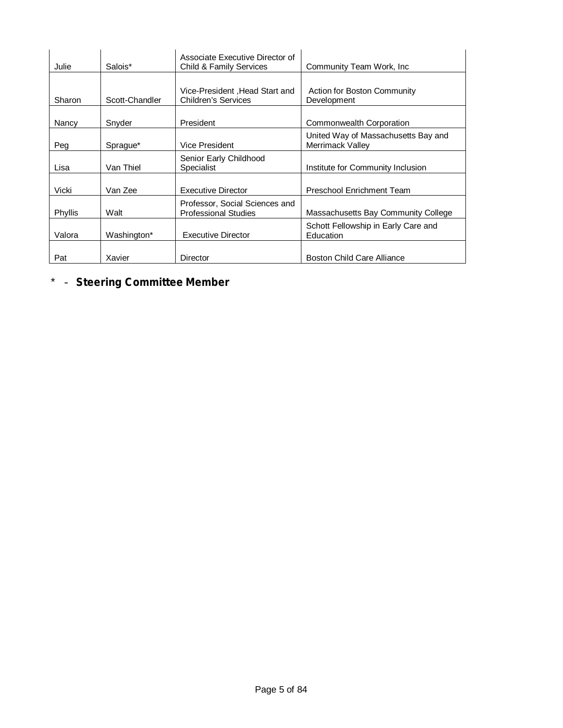| Julie<br>Salois* |         |                | Associate Executive Director of<br><b>Child &amp; Family Services</b> | Community Team Work, Inc.           |  |
|------------------|---------|----------------|-----------------------------------------------------------------------|-------------------------------------|--|
|                  |         |                |                                                                       |                                     |  |
|                  |         |                | Vice-President, Head Start and                                        | Action for Boston Community         |  |
|                  | Sharon  | Scott-Chandler | <b>Children's Services</b>                                            | Development                         |  |
|                  |         |                |                                                                       |                                     |  |
|                  | Nancy   | Snyder         | President                                                             | Commonwealth Corporation            |  |
|                  |         |                |                                                                       | United Way of Massachusetts Bay and |  |
|                  | Peg     | Sprague*       | Vice President                                                        | Merrimack Valley                    |  |
|                  |         |                | Senior Early Childhood                                                |                                     |  |
|                  | Lisa    | Van Thiel      | Specialist                                                            | Institute for Community Inclusion   |  |
|                  |         |                |                                                                       |                                     |  |
|                  | Vicki   | Van Zee        | <b>Executive Director</b>                                             | Preschool Enrichment Team           |  |
|                  |         |                | Professor, Social Sciences and                                        |                                     |  |
|                  | Phyllis | Walt           | <b>Professional Studies</b>                                           | Massachusetts Bay Community College |  |
|                  |         |                |                                                                       | Schott Fellowship in Early Care and |  |
|                  | Valora  | Washington*    | <b>Executive Director</b>                                             | Education                           |  |
|                  |         |                |                                                                       |                                     |  |
|                  | Pat     | Xavier         | Director                                                              | Boston Child Care Alliance          |  |

\* - **Steering Committee Member**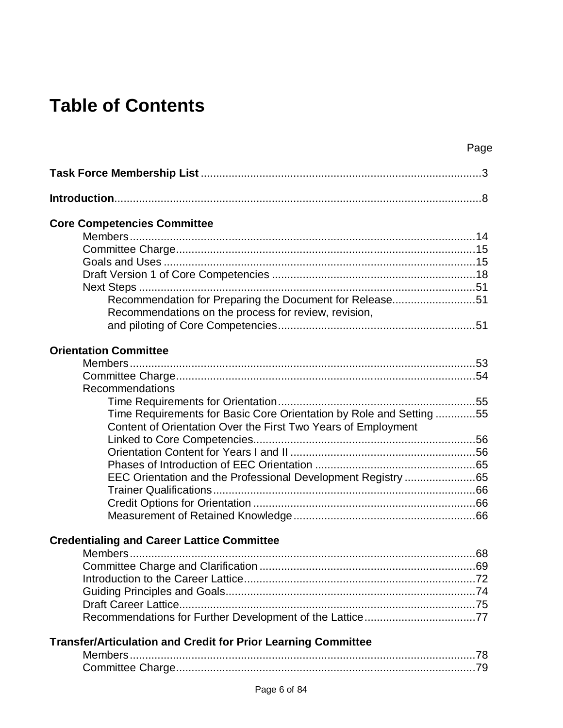# **Table of Contents**

|                                                                                                                                      | Page |
|--------------------------------------------------------------------------------------------------------------------------------------|------|
|                                                                                                                                      |      |
|                                                                                                                                      |      |
| <b>Core Competencies Committee</b>                                                                                                   |      |
|                                                                                                                                      |      |
|                                                                                                                                      |      |
|                                                                                                                                      |      |
|                                                                                                                                      |      |
|                                                                                                                                      |      |
| Recommendation for Preparing the Document for Release51<br>Recommendations on the process for review, revision,                      |      |
|                                                                                                                                      |      |
| <b>Orientation Committee</b>                                                                                                         |      |
|                                                                                                                                      |      |
|                                                                                                                                      |      |
| Recommendations                                                                                                                      |      |
|                                                                                                                                      |      |
| Time Requirements for Basic Core Orientation by Role and Setting 55<br>Content of Orientation Over the First Two Years of Employment |      |
|                                                                                                                                      |      |
|                                                                                                                                      |      |
|                                                                                                                                      |      |
| EEC Orientation and the Professional Development Registry 65                                                                         |      |
|                                                                                                                                      |      |
|                                                                                                                                      |      |
|                                                                                                                                      |      |
| <b>Credentialing and Career Lattice Committee</b>                                                                                    |      |
| Members                                                                                                                              |      |
|                                                                                                                                      |      |
|                                                                                                                                      |      |
|                                                                                                                                      |      |
|                                                                                                                                      |      |
| Recommendations for Further Development of the Lattice77                                                                             |      |
| <b>Transfer/Articulation and Credit for Prior Learning Committee</b>                                                                 |      |
|                                                                                                                                      |      |
|                                                                                                                                      |      |
| Page 6 of 84                                                                                                                         |      |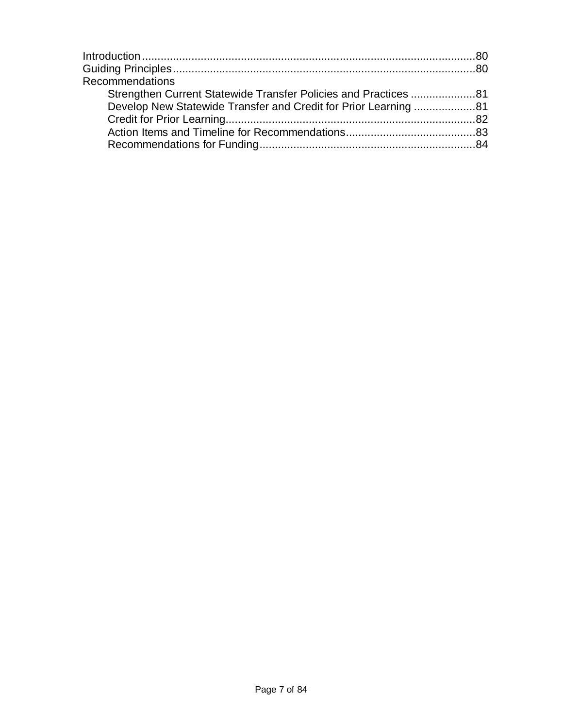| Recommendations                                                 |  |
|-----------------------------------------------------------------|--|
| Strengthen Current Statewide Transfer Policies and Practices 81 |  |
| Develop New Statewide Transfer and Credit for Prior Learning 81 |  |
|                                                                 |  |
|                                                                 |  |
|                                                                 |  |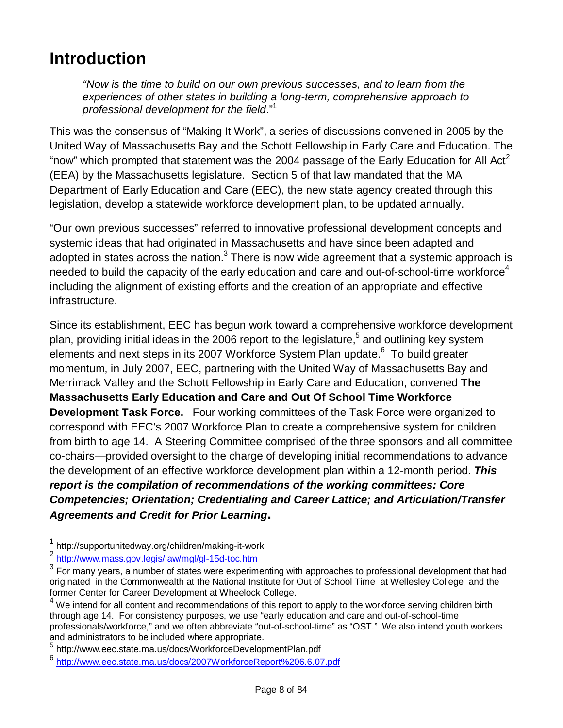# **Introduction**

*"Now is the time to build on our own previous successes, and to learn from the experiences of other states in building a long-term, comprehensive approach to professional development for the field*." 1

This was the consensus of "Making It Work", a series of discussions convened in 2005 by the United Way of Massachusetts Bay and the Schott Fellowship in Early Care and Education. The "now" which prompted that statement was the 2004 passage of the Early Education for All Act<sup>2</sup> (EEA) by the Massachusetts legislature. Section 5 of that law mandated that the MA Department of Early Education and Care (EEC), the new state agency created through this legislation, develop a statewide workforce development plan, to be updated annually.

"Our own previous successes" referred to innovative professional development concepts and systemic ideas that had originated in Massachusetts and have since been adapted and adopted in states across the nation. $^3$  There is now wide agreement that a systemic approach is needed to build the capacity of the early education and care and out-of-school-time workforce<sup>4</sup> including the alignment of existing efforts and the creation of an appropriate and effective infrastructure.

Since its establishment, EEC has begun work toward a comprehensive workforce development plan, providing initial ideas in the 2006 report to the legislature,<sup>5</sup> and outlining key system elements and next steps in its 2007 Workforce System Plan update.<sup>6</sup> To build greater momentum, in July 2007, EEC, partnering with the United Way of Massachusetts Bay and Merrimack Valley and the Schott Fellowship in Early Care and Education, convened **The Massachusetts Early Education and Care and Out Of School Time Workforce Development Task Force.** Four working committees of the Task Force were organized to correspond with EEC's 2007 Workforce Plan to create a comprehensive system for children from birth to age 14. A Steering Committee comprised of the three sponsors and all committee co-chairs—provided oversight to the charge of developing initial recommendations to advance the development of an effective workforce development plan within a 12-month period. *This report is the compilation of recommendations of the working committees: Core Competencies; Orientation; Credentialing and Career Lattice; and Articulation/Transfer Agreements and Credit for Prior Learning.*

i

<sup>1</sup> http://supportunitedway.org/children/making-it-work

<sup>&</sup>lt;sup>2</sup> http://www.mass.gov.legis/law/mgl/gl-15d-toc.htm

 $^3$  For many years, a number of states were experimenting with approaches to professional development that had originated in the Commonwealth at the National Institute for Out of School Time at Wellesley College and the former Center for Career Development at Wheelock College.

<sup>&</sup>lt;sup>4</sup> We intend for all content and recommendations of this report to apply to the workforce serving children birth through age 14. For consistency purposes, we use "early education and care and out-of-school-time professionals/workforce," and we often abbreviate "out-of-school-time" as "OST." We also intend youth workers and administrators to be included where appropriate.

<sup>&</sup>lt;sup>5</sup> http://www.eec.state.ma.us/docs/WorkforceDevelopmentPlan.pdf

<sup>6</sup> http://www.eec.state.ma.us/docs/2007WorkforceReport%206.6.07.pdf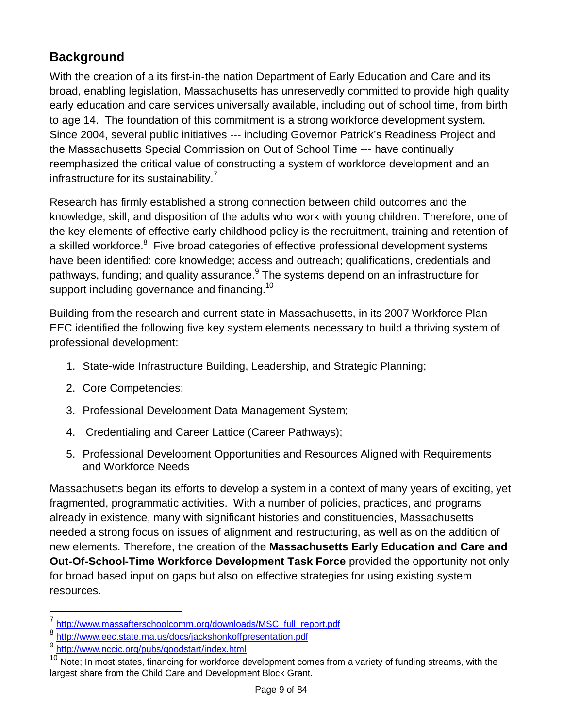# **Background**

With the creation of a its first-in-the nation Department of Early Education and Care and its broad, enabling legislation, Massachusetts has unreservedly committed to provide high quality early education and care services universally available, including out of school time, from birth to age 14. The foundation of this commitment is a strong workforce development system. Since 2004, several public initiatives --- including Governor Patrick's Readiness Project and the Massachusetts Special Commission on Out of School Time --- have continually reemphasized the critical value of constructing a system of workforce development and an infrastructure for its sustainability.<sup>7</sup>

Research has firmly established a strong connection between child outcomes and the knowledge, skill, and disposition of the adults who work with young children. Therefore, one of the key elements of effective early childhood policy is the recruitment, training and retention of a skilled workforce.<sup>8</sup> Five broad categories of effective professional development systems have been identified: core knowledge; access and outreach; qualifications, credentials and pathways, funding; and quality assurance.<sup>9</sup> The systems depend on an infrastructure for support including governance and financing.<sup>10</sup>

Building from the research and current state in Massachusetts, in its 2007 Workforce Plan EEC identified the following five key system elements necessary to build a thriving system of professional development:

- 1. State-wide Infrastructure Building, Leadership, and Strategic Planning;
- 2. Core Competencies;
- 3. Professional Development Data Management System;
- 4. Credentialing and Career Lattice (Career Pathways);
- 5. Professional Development Opportunities and Resources Aligned with Requirements and Workforce Needs

Massachusetts began its efforts to develop a system in a context of many years of exciting, yet fragmented, programmatic activities. With a number of policies, practices, and programs already in existence, many with significant histories and constituencies, Massachusetts needed a strong focus on issues of alignment and restructuring, as well as on the addition of new elements. Therefore, the creation of the **Massachusetts Early Education and Care and Out-Of-School-Time Workforce Development Task Force** provided the opportunity not only for broad based input on gaps but also on effective strategies for using existing system resources.

<sup>7</sup> http://www.massafterschoolcomm.org/downloads/MSC\_full\_report.pdf

<sup>8</sup> http://www.eec.state.ma.us/docs/jackshonkoffpresentation.pdf

<sup>9</sup> http://www.nccic.org/pubs/goodstart/index.html

 $10$  Note; In most states, financing for workforce development comes from a variety of funding streams, with the largest share from the Child Care and Development Block Grant.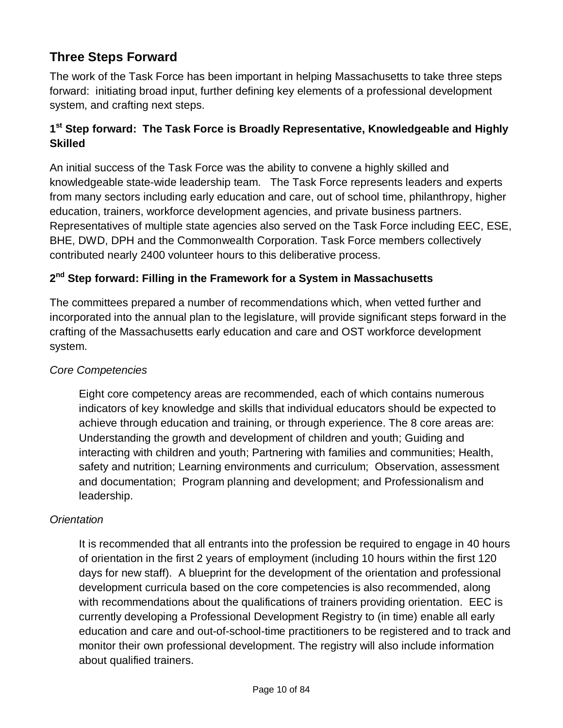# **Three Steps Forward**

The work of the Task Force has been important in helping Massachusetts to take three steps forward: initiating broad input, further defining key elements of a professional development system, and crafting next steps.

#### **1 st Step forward: The Task Force is Broadly Representative, Knowledgeable and Highly Skilled**

An initial success of the Task Force was the ability to convene a highly skilled and knowledgeable state-wide leadership team. The Task Force represents leaders and experts from many sectors including early education and care, out of school time, philanthropy, higher education, trainers, workforce development agencies, and private business partners. Representatives of multiple state agencies also served on the Task Force including EEC, ESE, BHE, DWD, DPH and the Commonwealth Corporation. Task Force members collectively contributed nearly 2400 volunteer hours to this deliberative process.

#### **2 nd Step forward: Filling in the Framework for a System in Massachusetts**

The committees prepared a number of recommendations which, when vetted further and incorporated into the annual plan to the legislature, will provide significant steps forward in the crafting of the Massachusetts early education and care and OST workforce development system.

#### *Core Competencies*

Eight core competency areas are recommended, each of which contains numerous indicators of key knowledge and skills that individual educators should be expected to achieve through education and training, or through experience. The 8 core areas are: Understanding the growth and development of children and youth; Guiding and interacting with children and youth; Partnering with families and communities; Health, safety and nutrition; Learning environments and curriculum; Observation, assessment and documentation; Program planning and development; and Professionalism and leadership.

#### *Orientation*

It is recommended that all entrants into the profession be required to engage in 40 hours of orientation in the first 2 years of employment (including 10 hours within the first 120 days for new staff). A blueprint for the development of the orientation and professional development curricula based on the core competencies is also recommended, along with recommendations about the qualifications of trainers providing orientation. EEC is currently developing a Professional Development Registry to (in time) enable all early education and care and out-of-school-time practitioners to be registered and to track and monitor their own professional development. The registry will also include information about qualified trainers.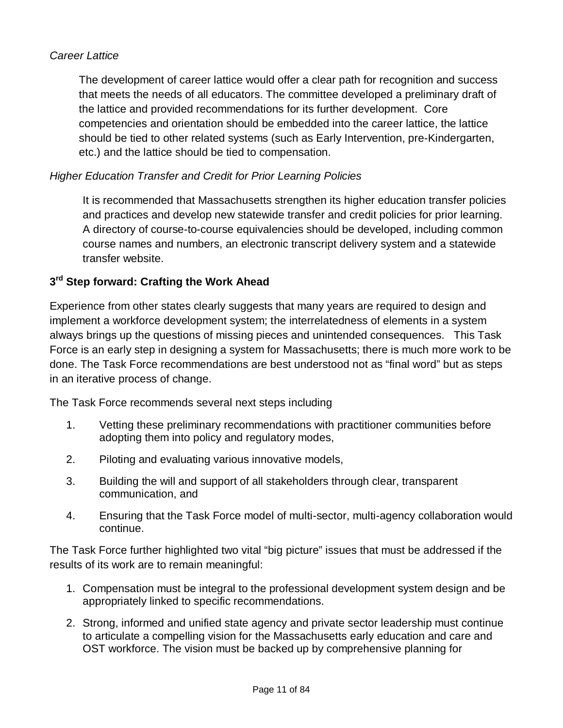#### *Career Lattice*

The development of career lattice would offer a clear path for recognition and success that meets the needs of all educators. The committee developed a preliminary draft of the lattice and provided recommendations for its further development. Core competencies and orientation should be embedded into the career lattice, the lattice should be tied to other related systems (such as Early Intervention, pre-Kindergarten, etc.) and the lattice should be tied to compensation.

#### *Higher Education Transfer and Credit for Prior Learning Policies*

It is recommended that Massachusetts strengthen its higher education transfer policies and practices and develop new statewide transfer and credit policies for prior learning. A directory of course-to-course equivalencies should be developed, including common course names and numbers, an electronic transcript delivery system and a statewide transfer website.

#### **3 rd Step forward: Crafting the Work Ahead**

Experience from other states clearly suggests that many years are required to design and implement a workforce development system; the interrelatedness of elements in a system always brings up the questions of missing pieces and unintended consequences. This Task Force is an early step in designing a system for Massachusetts; there is much more work to be done. The Task Force recommendations are best understood not as "final word" but as steps in an iterative process of change.

The Task Force recommends several next steps including

- 1. Vetting these preliminary recommendations with practitioner communities before adopting them into policy and regulatory modes,
- 2. Piloting and evaluating various innovative models,
- 3. Building the will and support of all stakeholders through clear, transparent communication, and
- 4. Ensuring that the Task Force model of multi-sector, multi-agency collaboration would continue.

The Task Force further highlighted two vital "big picture" issues that must be addressed if the results of its work are to remain meaningful:

- 1. Compensation must be integral to the professional development system design and be appropriately linked to specific recommendations.
- 2. Strong, informed and unified state agency and private sector leadership must continue to articulate a compelling vision for the Massachusetts early education and care and OST workforce. The vision must be backed up by comprehensive planning for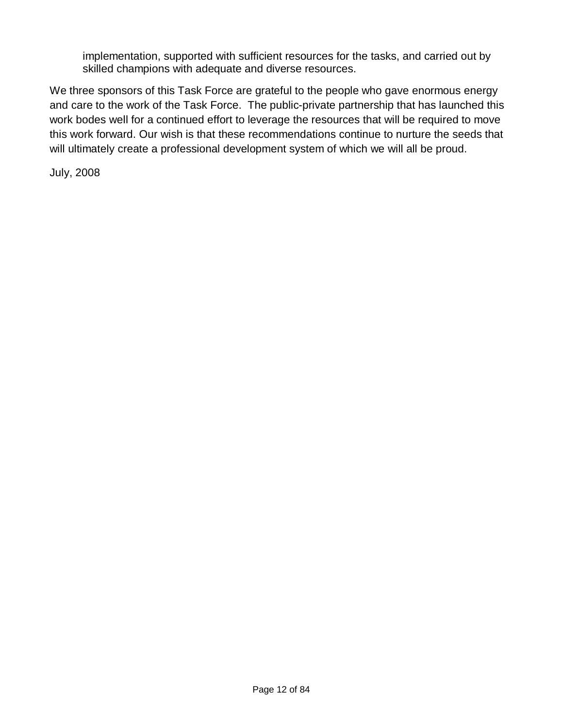implementation, supported with sufficient resources for the tasks, and carried out by skilled champions with adequate and diverse resources.

We three sponsors of this Task Force are grateful to the people who gave enormous energy and care to the work of the Task Force. The public-private partnership that has launched this work bodes well for a continued effort to leverage the resources that will be required to move this work forward. Our wish is that these recommendations continue to nurture the seeds that will ultimately create a professional development system of which we will all be proud.

July, 2008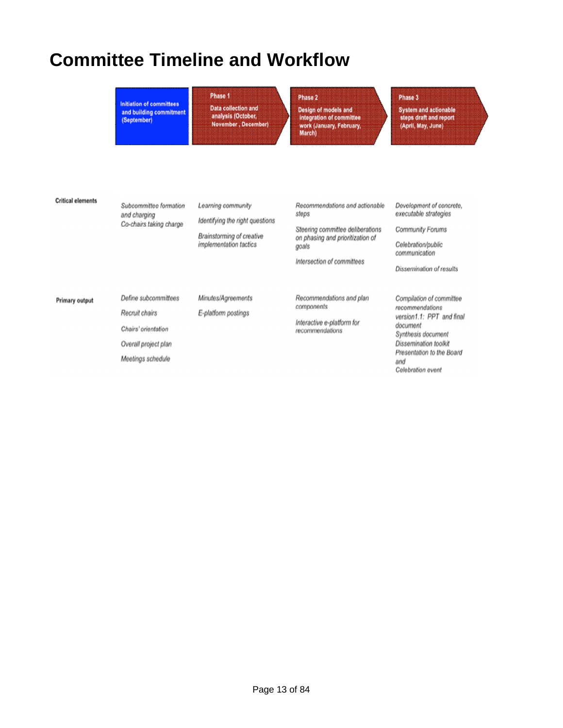# **Committee Timeline and Workflow**

# **Initiation of committees**

and building commitment<br>(September)

Phase 1 Data collection and<br>| analysis (October,<br>| November , December)

#### Phase 2

Design of models and Design of movers and<br>integration of committee<br>work (January, February,<br>March)

#### Phase 3

System and actionable<br>steps draft and report<br>(April, May, June)

| <b>Critical elements</b> | Subcommittee formation<br>and charging<br>Co-chairs taking charge                                          | Learning community<br>Identifying the right questions<br><b>Brainstorming of creative</b><br><i>implementation</i> tactics | Recommendations and actionable<br>steps<br>Steering committee deliberations<br>on phasing and prioritization of<br>goals<br>Intersection of committees | Development of concrete,<br>executable strategies<br><b>Community Forums</b><br>Celebration/public<br>communication<br>Dissemination of results                                              |
|--------------------------|------------------------------------------------------------------------------------------------------------|----------------------------------------------------------------------------------------------------------------------------|--------------------------------------------------------------------------------------------------------------------------------------------------------|----------------------------------------------------------------------------------------------------------------------------------------------------------------------------------------------|
| <b>Primary output</b>    | Define subcommittees<br>Recruit chairs<br>Chairs' orientation<br>Overall project plan<br>Meetings schedule | Minutes/Agreements<br>E-platform postings                                                                                  | Recommendations and plan<br>components<br>Interactive e-platform for<br>recommendations                                                                | Compilation of committee<br>recommendations<br>version1.1: PPT and final<br>document<br>Synthesis document<br>Dissemination toolkit<br>Presentation to the Board<br>and<br>Celebration event |

#### Page 13 of 84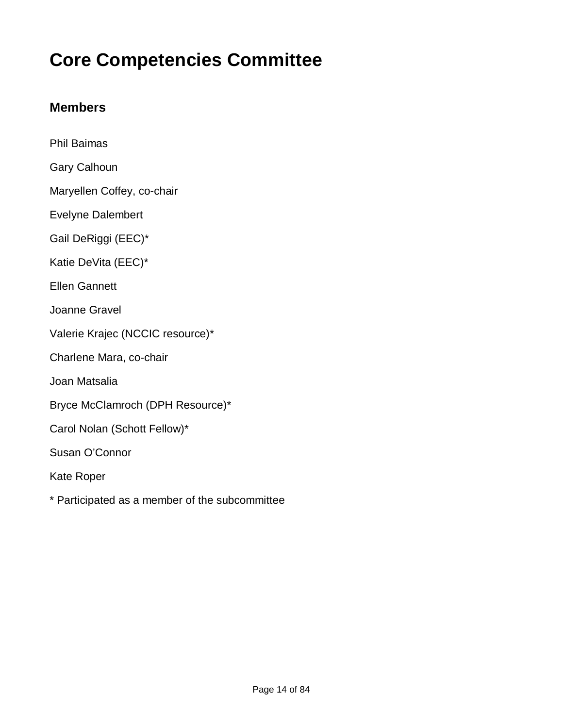# **Core Competencies Committee**

### **Members**

| <b>Phil Baimas</b>               |
|----------------------------------|
| Gary Calhoun                     |
| Maryellen Coffey, co-chair       |
| <b>Evelyne Dalembert</b>         |
| Gail DeRiggi (EEC)*              |
| Katie DeVita (EEC)*              |
| <b>Ellen Gannett</b>             |
| Joanne Gravel                    |
| Valerie Krajec (NCCIC resource)* |
| Charlene Mara, co-chair          |
| Joan Matsalia                    |
| Bryce McClamroch (DPH Resource)* |
| Carol Nolan (Schott Fellow)*     |
| Susan O'Connor                   |
| Kate Roper                       |
|                                  |

\* Participated as a member of the subcommittee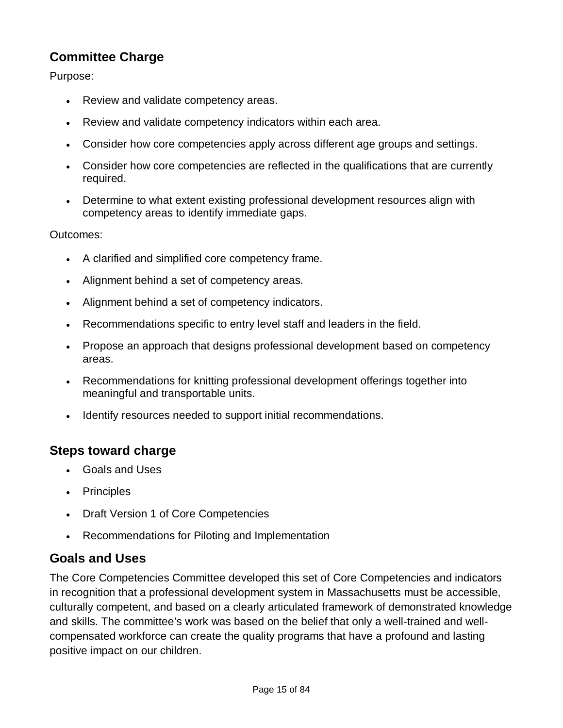# **Committee Charge**

Purpose:

- Review and validate competency areas.
- Review and validate competency indicators within each area.
- Consider how core competencies apply across different age groups and settings.
- Consider how core competencies are reflected in the qualifications that are currently required.
- Determine to what extent existing professional development resources align with competency areas to identify immediate gaps.

Outcomes:

- A clarified and simplified core competency frame.
- Alignment behind a set of competency areas.
- Alignment behind a set of competency indicators.
- Recommendations specific to entry level staff and leaders in the field.
- Propose an approach that designs professional development based on competency areas.
- Recommendations for knitting professional development offerings together into meaningful and transportable units.
- Identify resources needed to support initial recommendations.

### **Steps toward charge**

- Goals and Uses
- Principles
- Draft Version 1 of Core Competencies
- Recommendations for Piloting and Implementation

#### **Goals and Uses**

The Core Competencies Committee developed this set of Core Competencies and indicators in recognition that a professional development system in Massachusetts must be accessible, culturally competent, and based on a clearly articulated framework of demonstrated knowledge and skills. The committee's work was based on the belief that only a well-trained and wellcompensated workforce can create the quality programs that have a profound and lasting positive impact on our children.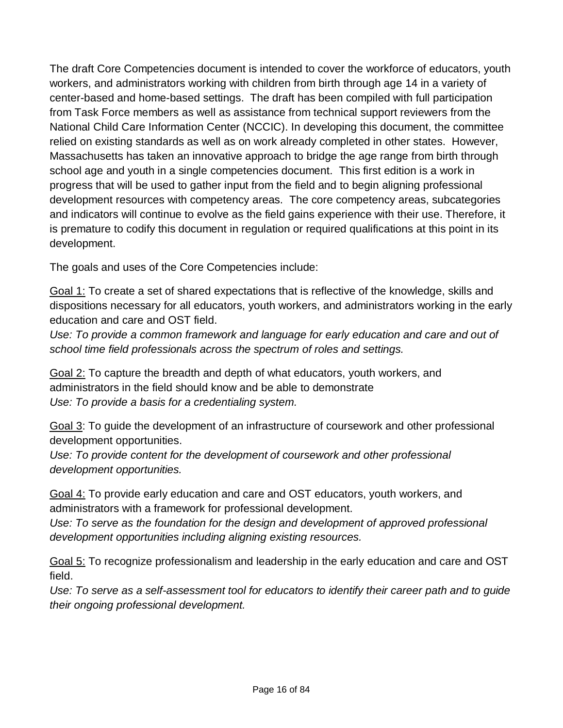The draft Core Competencies document is intended to cover the workforce of educators, youth workers, and administrators working with children from birth through age 14 in a variety of center-based and home-based settings. The draft has been compiled with full participation from Task Force members as well as assistance from technical support reviewers from the National Child Care Information Center (NCCIC). In developing this document, the committee relied on existing standards as well as on work already completed in other states. However, Massachusetts has taken an innovative approach to bridge the age range from birth through school age and youth in a single competencies document. This first edition is a work in progress that will be used to gather input from the field and to begin aligning professional development resources with competency areas. The core competency areas, subcategories and indicators will continue to evolve as the field gains experience with their use. Therefore, it is premature to codify this document in regulation or required qualifications at this point in its development.

The goals and uses of the Core Competencies include:

Goal 1: To create a set of shared expectations that is reflective of the knowledge, skills and dispositions necessary for all educators, youth workers, and administrators working in the early education and care and OST field.

Use: To provide a common framework and language for early education and care and out of *school time field professionals across the spectrum of roles and settings.*

Goal 2: To capture the breadth and depth of what educators, youth workers, and administrators in the field should know and be able to demonstrate *Use: To provide a basis for a credentialing system.*

Goal 3: To guide the development of an infrastructure of coursework and other professional development opportunities.

Use: To provide content for the development of coursework and other professional *development opportunities.*

Goal 4: To provide early education and care and OST educators, youth workers, and administrators with a framework for professional development.

Use: To serve as the foundation for the design and development of approved professional *development opportunities including aligning existing resources.*

Goal 5: To recognize professionalism and leadership in the early education and care and OST field.

*Use: To serve as a self-assessment tool for educators to identify their career path and to guide their ongoing professional development.*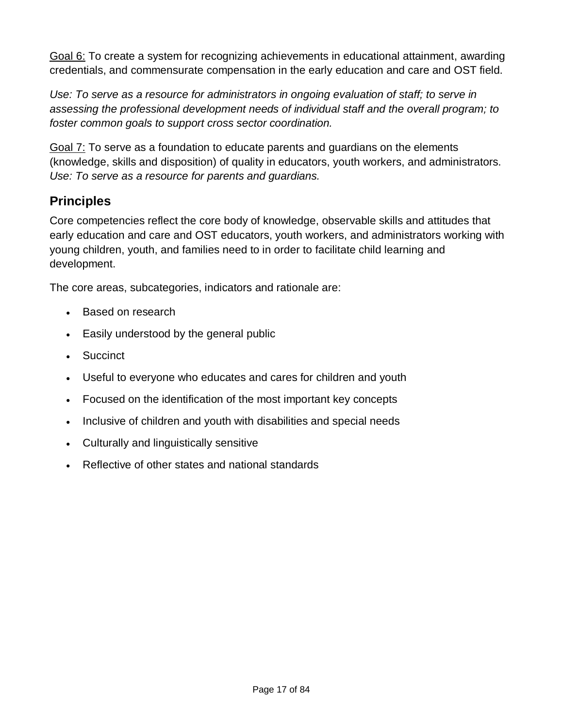Goal 6: To create a system for recognizing achievements in educational attainment, awarding credentials, and commensurate compensation in the early education and care and OST field.

*Use: To serve as a resource for administrators in ongoing evaluation of staff; to serve in assessing the professional development needs of individual staff and the overall program; to foster common goals to support cross sector coordination.*

Goal 7: To serve as a foundation to educate parents and guardians on the elements (knowledge, skills and disposition) of quality in educators, youth workers, and administrators. *Use: To serve as a resource for parents and guardians.*

# **Principles**

Core competencies reflect the core body of knowledge, observable skills and attitudes that early education and care and OST educators, youth workers, and administrators working with young children, youth, and families need to in order to facilitate child learning and development.

The core areas, subcategories, indicators and rationale are:

- Based on research
- Easily understood by the general public
- Succinct
- Useful to everyone who educates and cares for children and youth
- Focused on the identification of the most important key concepts
- Inclusive of children and youth with disabilities and special needs
- Culturally and linguistically sensitive
- Reflective of other states and national standards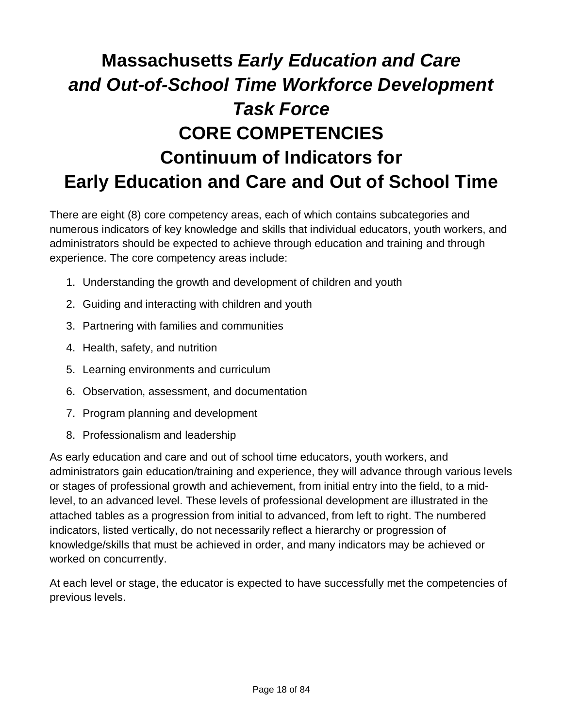# **Massachusetts** *Early Education and Care and Out-of-School Time Workforce Development Task Force* **CORE COMPETENCIES Continuum of Indicators for Early Education and Care and Out of School Time**

There are eight (8) core competency areas, each of which contains subcategories and numerous indicators of key knowledge and skills that individual educators, youth workers, and administrators should be expected to achieve through education and training and through experience. The core competency areas include:

- 1. Understanding the growth and development of children and youth
- 2. Guiding and interacting with children and youth
- 3. Partnering with families and communities
- 4. Health, safety, and nutrition
- 5. Learning environments and curriculum
- 6. Observation, assessment, and documentation
- 7. Program planning and development
- 8. Professionalism and leadership

As early education and care and out of school time educators, youth workers, and administrators gain education/training and experience, they will advance through various levels or stages of professional growth and achievement, from initial entry into the field, to a midlevel, to an advanced level. These levels of professional development are illustrated in the attached tables as a progression from initial to advanced, from left to right. The numbered indicators, listed vertically, do not necessarily reflect a hierarchy or progression of knowledge/skills that must be achieved in order, and many indicators may be achieved or worked on concurrently.

At each level or stage, the educator is expected to have successfully met the competencies of previous levels.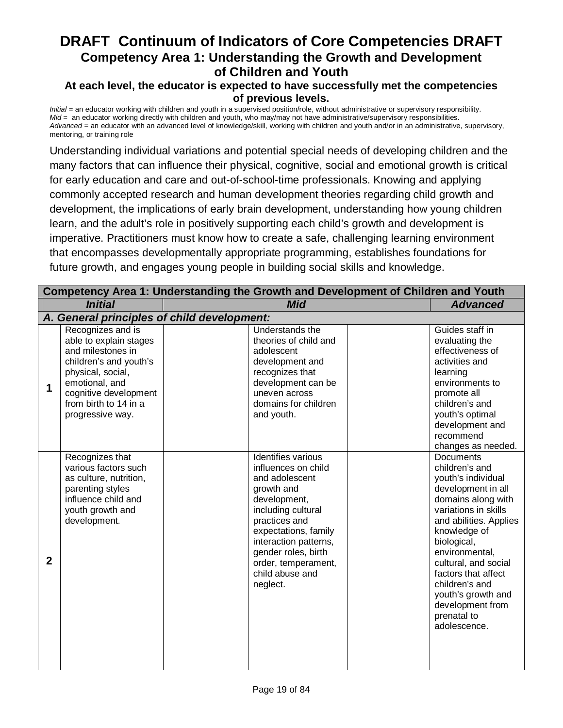#### **At each level, the educator is expected to have successfully met the competencies of previous levels.**

*Initial* = an educator working with children and youth in a supervised position/role, without administrative or supervisory responsibility. *Mid* = an educator working directly with children and youth, who may/may not have administrative/supervisory responsibilities. *Advanced* = an educator with an advanced level of knowledge/skill, working with children and youth and/or in an administrative, supervisory, mentoring, or training role

Understanding individual variations and potential special needs of developing children and the many factors that can influence their physical, cognitive, social and emotional growth is critical for early education and care and out-of-school-time professionals. Knowing and applying commonly accepted research and human development theories regarding child growth and development, the implications of early brain development, understanding how young children learn, and the adult's role in positively supporting each child's growth and development is imperative. Practitioners must know how to create a safe, challenging learning environment that encompasses developmentally appropriate programming, establishes foundations for future growth, and engages young people in building social skills and knowledge.

|              | Competency Area 1: Understanding the Growth and Development of Children and Youth                                                                                                                       |  |                                                                                                                                                                                                                                                                |  |                                                                                                                                                                                                                                                                                                                                            |  |
|--------------|---------------------------------------------------------------------------------------------------------------------------------------------------------------------------------------------------------|--|----------------------------------------------------------------------------------------------------------------------------------------------------------------------------------------------------------------------------------------------------------------|--|--------------------------------------------------------------------------------------------------------------------------------------------------------------------------------------------------------------------------------------------------------------------------------------------------------------------------------------------|--|
|              | <b>Initial</b>                                                                                                                                                                                          |  | <b>Mid</b>                                                                                                                                                                                                                                                     |  | <b>Advanced</b>                                                                                                                                                                                                                                                                                                                            |  |
|              | A. General principles of child development:                                                                                                                                                             |  |                                                                                                                                                                                                                                                                |  |                                                                                                                                                                                                                                                                                                                                            |  |
| 1            | Recognizes and is<br>able to explain stages<br>and milestones in<br>children's and youth's<br>physical, social,<br>emotional, and<br>cognitive development<br>from birth to 14 in a<br>progressive way. |  | <b>Understands the</b><br>theories of child and<br>adolescent<br>development and<br>recognizes that<br>development can be<br>uneven across<br>domains for children<br>and youth.                                                                               |  | Guides staff in<br>evaluating the<br>effectiveness of<br>activities and<br>learning<br>environments to<br>promote all<br>children's and<br>youth's optimal<br>development and<br>recommend<br>changes as needed.                                                                                                                           |  |
| $\mathbf{2}$ | Recognizes that<br>various factors such<br>as culture, nutrition,<br>parenting styles<br>influence child and<br>youth growth and<br>development.                                                        |  | Identifies various<br>influences on child<br>and adolescent<br>growth and<br>development,<br>including cultural<br>practices and<br>expectations, family<br>interaction patterns,<br>gender roles, birth<br>order, temperament,<br>child abuse and<br>neglect. |  | Documents<br>children's and<br>youth's individual<br>development in all<br>domains along with<br>variations in skills<br>and abilities. Applies<br>knowledge of<br>biological,<br>environmental,<br>cultural, and social<br>factors that affect<br>children's and<br>youth's growth and<br>development from<br>prenatal to<br>adolescence. |  |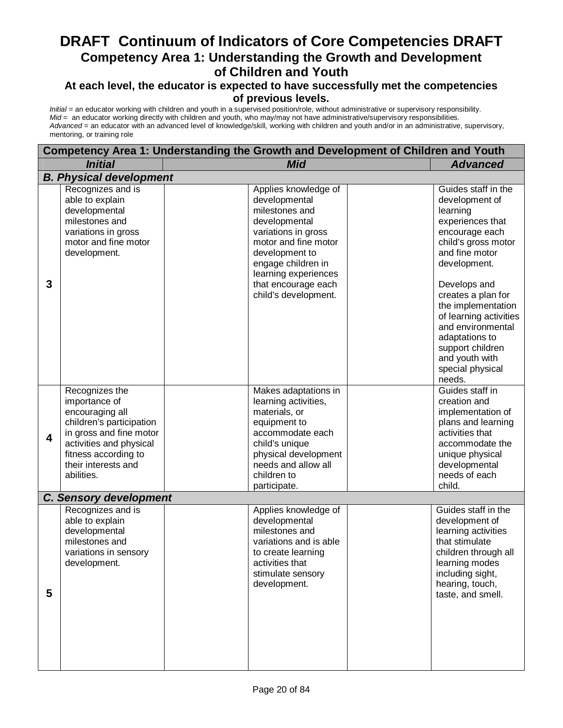#### **At each level, the educator is expected to have successfully met the competencies of previous levels.**

| Competency Area 1: Understanding the Growth and Development of Children and Youth |                                                                                                                                                                                                   |                                                                                                                                                                                                                                        |                                                                                                                                                                                                                                                                                                                                                                      |  |  |  |
|-----------------------------------------------------------------------------------|---------------------------------------------------------------------------------------------------------------------------------------------------------------------------------------------------|----------------------------------------------------------------------------------------------------------------------------------------------------------------------------------------------------------------------------------------|----------------------------------------------------------------------------------------------------------------------------------------------------------------------------------------------------------------------------------------------------------------------------------------------------------------------------------------------------------------------|--|--|--|
|                                                                                   | <b>Initial</b><br><b>Mid</b><br><b>Advanced</b>                                                                                                                                                   |                                                                                                                                                                                                                                        |                                                                                                                                                                                                                                                                                                                                                                      |  |  |  |
|                                                                                   | <b>B. Physical development</b>                                                                                                                                                                    |                                                                                                                                                                                                                                        |                                                                                                                                                                                                                                                                                                                                                                      |  |  |  |
| 3                                                                                 | Recognizes and is<br>able to explain<br>developmental<br>milestones and<br>variations in gross<br>motor and fine motor<br>development.                                                            | Applies knowledge of<br>developmental<br>milestones and<br>developmental<br>variations in gross<br>motor and fine motor<br>development to<br>engage children in<br>learning experiences<br>that encourage each<br>child's development. | Guides staff in the<br>development of<br>learning<br>experiences that<br>encourage each<br>child's gross motor<br>and fine motor<br>development.<br>Develops and<br>creates a plan for<br>the implementation<br>of learning activities<br>and environmental<br>adaptations to<br>support children<br>and youth with<br>special physical<br>needs.<br>Guides staff in |  |  |  |
| $\overline{\mathbf{4}}$                                                           | Recognizes the<br>importance of<br>encouraging all<br>children's participation<br>in gross and fine motor<br>activities and physical<br>fitness according to<br>their interests and<br>abilities. | Makes adaptations in<br>learning activities,<br>materials, or<br>equipment to<br>accommodate each<br>child's unique<br>physical development<br>needs and allow all<br>children to<br>participate.                                      | creation and<br>implementation of<br>plans and learning<br>activities that<br>accommodate the<br>unique physical<br>developmental<br>needs of each<br>child.                                                                                                                                                                                                         |  |  |  |
|                                                                                   | <b>C. Sensory development</b>                                                                                                                                                                     |                                                                                                                                                                                                                                        |                                                                                                                                                                                                                                                                                                                                                                      |  |  |  |
| 5                                                                                 | Recognizes and is<br>able to explain<br>developmental<br>milestones and<br>variations in sensory<br>development.                                                                                  | Applies knowledge of<br>developmental<br>milestones and<br>variations and is able<br>to create learning<br>activities that<br>stimulate sensory<br>development.                                                                        | Guides staff in the<br>development of<br>learning activities<br>that stimulate<br>children through all<br>learning modes<br>including sight,<br>hearing, touch,<br>taste, and smell.                                                                                                                                                                                 |  |  |  |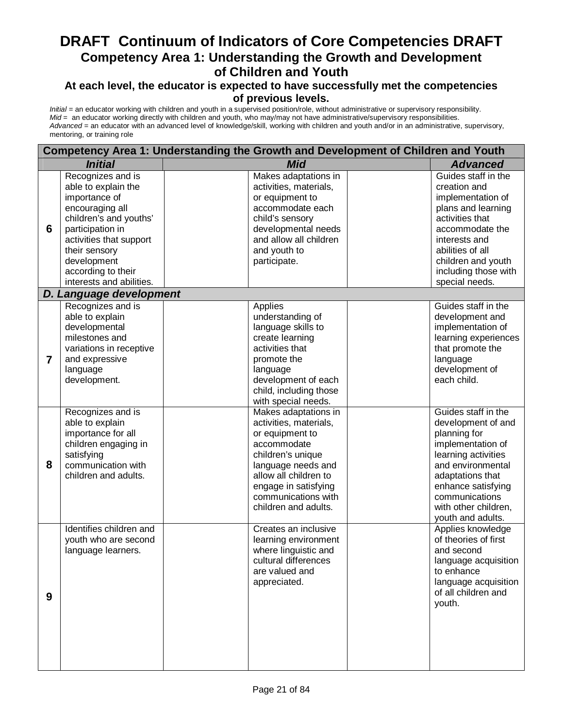#### **At each level, the educator is expected to have successfully met the competencies of previous levels.**

|                | Competency Area 1: Understanding the Growth and Development of Children and Youth                                                                                                                                                       |  |                                                                                                                                                                                                                             |  |                                                                                                                                                                                                                                     |
|----------------|-----------------------------------------------------------------------------------------------------------------------------------------------------------------------------------------------------------------------------------------|--|-----------------------------------------------------------------------------------------------------------------------------------------------------------------------------------------------------------------------------|--|-------------------------------------------------------------------------------------------------------------------------------------------------------------------------------------------------------------------------------------|
|                | <b>Initial</b>                                                                                                                                                                                                                          |  | <b>Mid</b>                                                                                                                                                                                                                  |  | <b>Advanced</b>                                                                                                                                                                                                                     |
| 6              | Recognizes and is<br>able to explain the<br>importance of<br>encouraging all<br>children's and youths'<br>participation in<br>activities that support<br>their sensory<br>development<br>according to their<br>interests and abilities. |  | Makes adaptations in<br>activities, materials,<br>or equipment to<br>accommodate each<br>child's sensory<br>developmental needs<br>and allow all children<br>and youth to<br>participate.                                   |  | Guides staff in the<br>creation and<br>implementation of<br>plans and learning<br>activities that<br>accommodate the<br>interests and<br>abilities of all<br>children and youth<br>including those with<br>special needs.           |
|                | D. Language development                                                                                                                                                                                                                 |  |                                                                                                                                                                                                                             |  |                                                                                                                                                                                                                                     |
| $\overline{7}$ | Recognizes and is<br>able to explain<br>developmental<br>milestones and<br>variations in receptive<br>and expressive<br>language<br>development.                                                                                        |  | Applies<br>understanding of<br>language skills to<br>create learning<br>activities that<br>promote the<br>language<br>development of each<br>child, including those<br>with special needs.                                  |  | Guides staff in the<br>development and<br>implementation of<br>learning experiences<br>that promote the<br>language<br>development of<br>each child.                                                                                |
| 8              | Recognizes and is<br>able to explain<br>importance for all<br>children engaging in<br>satisfying<br>communication with<br>children and adults.                                                                                          |  | Makes adaptations in<br>activities, materials,<br>or equipment to<br>accommodate<br>children's unique<br>language needs and<br>allow all children to<br>engage in satisfying<br>communications with<br>children and adults. |  | Guides staff in the<br>development of and<br>planning for<br>implementation of<br>learning activities<br>and environmental<br>adaptations that<br>enhance satisfying<br>communications<br>with other children,<br>youth and adults. |
| 9              | Identifies children and<br>youth who are second<br>language learners.                                                                                                                                                                   |  | Creates an inclusive<br>learning environment<br>where linguistic and<br>cultural differences<br>are valued and<br>appreciated.                                                                                              |  | Applies knowledge<br>of theories of first<br>and second<br>language acquisition<br>to enhance<br>language acquisition<br>of all children and<br>youth.                                                                              |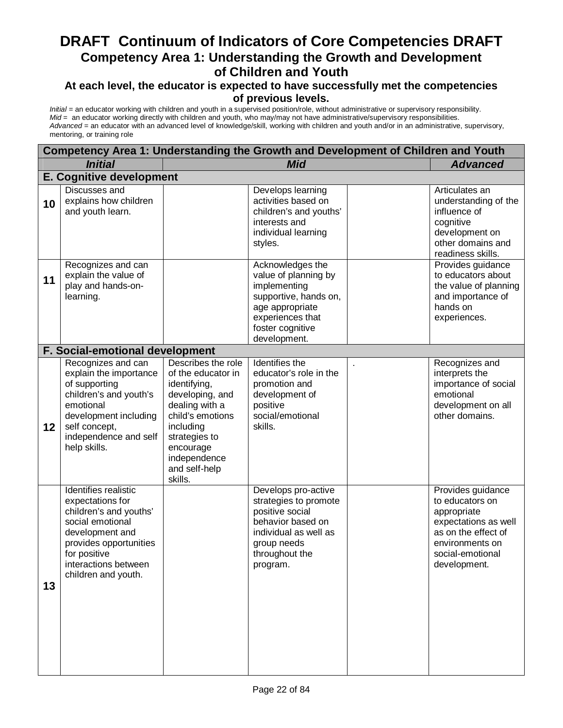#### **At each level, the educator is expected to have successfully met the competencies of previous levels.**

| Competency Area 1: Understanding the Growth and Development of Children and Youth |                                                                                                                                                                                                    |                                                                                                                                                                                                          |                                                                                                                                                              |  |                                                                                                                                                           |  |
|-----------------------------------------------------------------------------------|----------------------------------------------------------------------------------------------------------------------------------------------------------------------------------------------------|----------------------------------------------------------------------------------------------------------------------------------------------------------------------------------------------------------|--------------------------------------------------------------------------------------------------------------------------------------------------------------|--|-----------------------------------------------------------------------------------------------------------------------------------------------------------|--|
|                                                                                   | <b>Initial</b>                                                                                                                                                                                     |                                                                                                                                                                                                          | <b>Mid</b>                                                                                                                                                   |  | <b>Advanced</b>                                                                                                                                           |  |
|                                                                                   | <b>E. Cognitive development</b>                                                                                                                                                                    |                                                                                                                                                                                                          |                                                                                                                                                              |  |                                                                                                                                                           |  |
| 10                                                                                | Discusses and<br>explains how children<br>and youth learn.                                                                                                                                         |                                                                                                                                                                                                          | Develops learning<br>activities based on<br>children's and youths'<br>interests and<br>individual learning<br>styles.                                        |  | Articulates an<br>understanding of the<br>influence of<br>cognitive<br>development on<br>other domains and<br>readiness skills.                           |  |
| 11                                                                                | Recognizes and can<br>explain the value of<br>play and hands-on-<br>learning.                                                                                                                      |                                                                                                                                                                                                          | Acknowledges the<br>value of planning by<br>implementing<br>supportive, hands on,<br>age appropriate<br>experiences that<br>foster cognitive<br>development. |  | Provides guidance<br>to educators about<br>the value of planning<br>and importance of<br>hands on<br>experiences.                                         |  |
|                                                                                   | <b>F. Social-emotional development</b>                                                                                                                                                             |                                                                                                                                                                                                          |                                                                                                                                                              |  |                                                                                                                                                           |  |
| $12 \,$                                                                           | Recognizes and can<br>explain the importance<br>of supporting<br>children's and youth's<br>emotional<br>development including<br>self concept,<br>independence and self<br>help skills.            | Describes the role<br>of the educator in<br>identifying,<br>developing, and<br>dealing with a<br>child's emotions<br>including<br>strategies to<br>encourage<br>independence<br>and self-help<br>skills. | Identifies the<br>educator's role in the<br>promotion and<br>development of<br>positive<br>social/emotional<br>skills.                                       |  | Recognizes and<br>interprets the<br>importance of social<br>emotional<br>development on all<br>other domains.                                             |  |
| 13                                                                                | Identifies realistic<br>expectations for<br>children's and youths'<br>social emotional<br>development and<br>provides opportunities<br>for positive<br>interactions between<br>children and youth. |                                                                                                                                                                                                          | Develops pro-active<br>strategies to promote<br>positive social<br>behavior based on<br>individual as well as<br>group needs<br>throughout the<br>program.   |  | Provides guidance<br>to educators on<br>appropriate<br>expectations as well<br>as on the effect of<br>environments on<br>social-emotional<br>development. |  |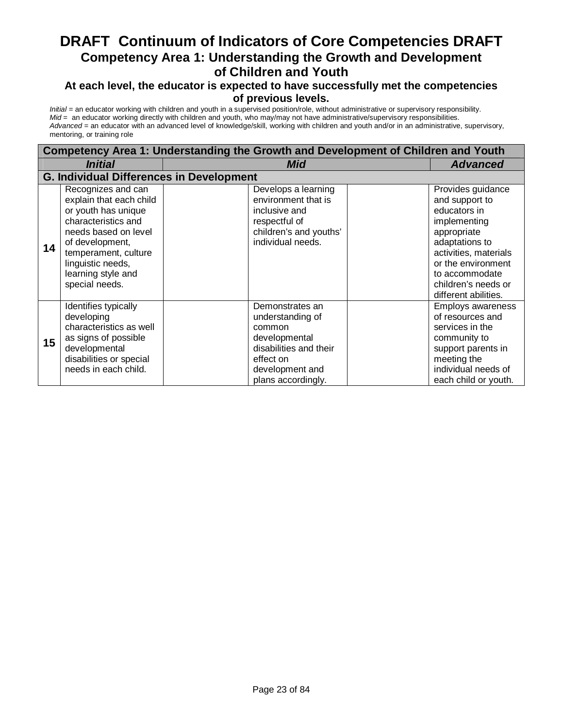#### **At each level, the educator is expected to have successfully met the competencies of previous levels.**

|                 | Competency Area 1: Understanding the Growth and Development of Children and Youth                                                                                                                                           |                                                                                                                                                |                                                                                                                                                                                                                      |  |  |  |
|-----------------|-----------------------------------------------------------------------------------------------------------------------------------------------------------------------------------------------------------------------------|------------------------------------------------------------------------------------------------------------------------------------------------|----------------------------------------------------------------------------------------------------------------------------------------------------------------------------------------------------------------------|--|--|--|
|                 | Initial                                                                                                                                                                                                                     | Mid                                                                                                                                            | <b>Advanced</b>                                                                                                                                                                                                      |  |  |  |
|                 | <b>G. Individual Differences in Development</b>                                                                                                                                                                             |                                                                                                                                                |                                                                                                                                                                                                                      |  |  |  |
| 14              | Recognizes and can<br>explain that each child<br>or youth has unique<br>characteristics and<br>needs based on level<br>of development,<br>temperament, culture<br>linguistic needs,<br>learning style and<br>special needs. | Develops a learning<br>environment that is<br>inclusive and<br>respectful of<br>children's and youths'<br>individual needs.                    | Provides guidance<br>and support to<br>educators in<br>implementing<br>appropriate<br>adaptations to<br>activities, materials<br>or the environment<br>to accommodate<br>children's needs or<br>different abilities. |  |  |  |
| 15 <sub>1</sub> | Identifies typically<br>developing<br>characteristics as well<br>as signs of possible<br>developmental<br>disabilities or special<br>needs in each child.                                                                   | Demonstrates an<br>understanding of<br>common<br>developmental<br>disabilities and their<br>effect on<br>development and<br>plans accordingly. | <b>Employs awareness</b><br>of resources and<br>services in the<br>community to<br>support parents in<br>meeting the<br>individual needs of<br>each child or youth.                                                  |  |  |  |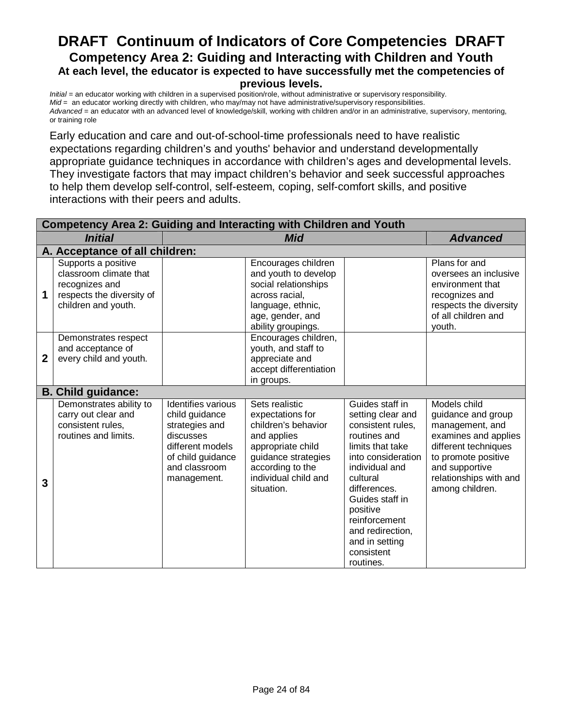#### **DRAFT Continuum of Indicators of Core Competencies DRAFT Competency Area 2: Guiding and Interacting with Children and Youth At each level, the educator is expected to have successfully met the competencies of previous levels.**

*Initial* = an educator working with children in a supervised position/role, without administrative or supervisory responsibility. *Mid* = an educator working directly with children, who may/may not have administrative/supervisory responsibilities. *Advanced* = an educator with an advanced level of knowledge/skill, working with children and/or in an administrative, supervisory, mentoring, or training role

Early education and care and out-of-school-time professionals need to have realistic expectations regarding children's and youths' behavior and understand developmentally appropriate guidance techniques in accordance with children's ages and developmental levels. They investigate factors that may impact children's behavior and seek successful approaches to help them develop self-control, self-esteem, coping, self-comfort skills, and positive interactions with their peers and adults.

| <b>Competency Area 2: Guiding and Interacting with Children and Youth</b> |                                                                                                                     |                                                                                                                                              |                                                                                                                                                                                |                                                                                                                                                                                                                                                                                    |                                                                                                                                                                                             |
|---------------------------------------------------------------------------|---------------------------------------------------------------------------------------------------------------------|----------------------------------------------------------------------------------------------------------------------------------------------|--------------------------------------------------------------------------------------------------------------------------------------------------------------------------------|------------------------------------------------------------------------------------------------------------------------------------------------------------------------------------------------------------------------------------------------------------------------------------|---------------------------------------------------------------------------------------------------------------------------------------------------------------------------------------------|
|                                                                           | <b>Initial</b>                                                                                                      |                                                                                                                                              | <b>Mid</b>                                                                                                                                                                     |                                                                                                                                                                                                                                                                                    | <b>Advanced</b>                                                                                                                                                                             |
|                                                                           | A. Acceptance of all children:                                                                                      |                                                                                                                                              |                                                                                                                                                                                |                                                                                                                                                                                                                                                                                    |                                                                                                                                                                                             |
| 1                                                                         | Supports a positive<br>classroom climate that<br>recognizes and<br>respects the diversity of<br>children and youth. |                                                                                                                                              | Encourages children<br>and youth to develop<br>social relationships<br>across racial.<br>language, ethnic,<br>age, gender, and<br>ability groupings.                           |                                                                                                                                                                                                                                                                                    | Plans for and<br>oversees an inclusive<br>environment that<br>recognizes and<br>respects the diversity<br>of all children and<br>youth.                                                     |
| 2                                                                         | Demonstrates respect<br>and acceptance of<br>every child and youth.                                                 |                                                                                                                                              | Encourages children,<br>youth, and staff to<br>appreciate and<br>accept differentiation<br>in groups.                                                                          |                                                                                                                                                                                                                                                                                    |                                                                                                                                                                                             |
|                                                                           | <b>B. Child guidance:</b>                                                                                           |                                                                                                                                              |                                                                                                                                                                                |                                                                                                                                                                                                                                                                                    |                                                                                                                                                                                             |
| 3                                                                         | Demonstrates ability to<br>carry out clear and<br>consistent rules,<br>routines and limits.                         | Identifies various<br>child guidance<br>strategies and<br>discusses<br>different models<br>of child guidance<br>and classroom<br>management. | Sets realistic<br>expectations for<br>children's behavior<br>and applies<br>appropriate child<br>guidance strategies<br>according to the<br>individual child and<br>situation. | Guides staff in<br>setting clear and<br>consistent rules,<br>routines and<br>limits that take<br>into consideration<br>individual and<br>cultural<br>differences.<br>Guides staff in<br>positive<br>reinforcement<br>and redirection,<br>and in setting<br>consistent<br>routines. | Models child<br>guidance and group<br>management, and<br>examines and applies<br>different techniques<br>to promote positive<br>and supportive<br>relationships with and<br>among children. |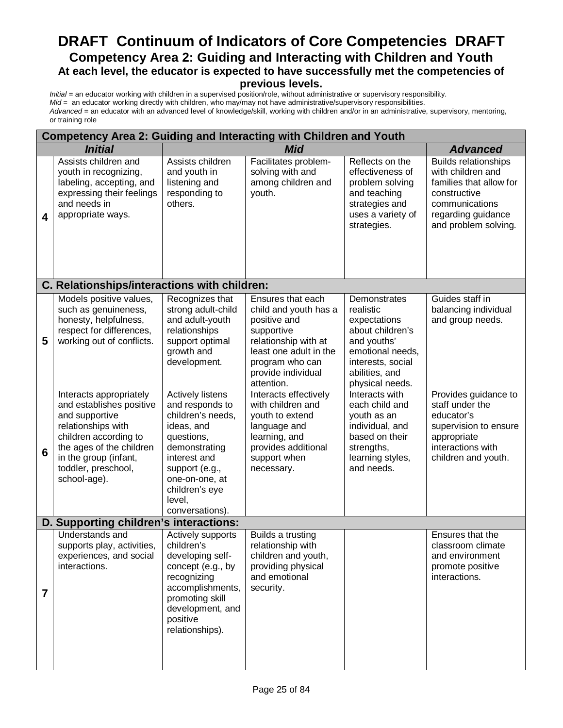#### **DRAFT Continuum of Indicators of Core Competencies DRAFT Competency Area 2: Guiding and Interacting with Children and Youth At each level, the educator is expected to have successfully met the competencies of previous levels.**

| <b>Competency Area 2: Guiding and Interacting with Children and Youth</b> |                                                                                                                                                                                                                  |                                                                                                                                                                                                                 |                                                                                                                                                                                   |                                                                                                                                                            |                                                                                                                                                             |
|---------------------------------------------------------------------------|------------------------------------------------------------------------------------------------------------------------------------------------------------------------------------------------------------------|-----------------------------------------------------------------------------------------------------------------------------------------------------------------------------------------------------------------|-----------------------------------------------------------------------------------------------------------------------------------------------------------------------------------|------------------------------------------------------------------------------------------------------------------------------------------------------------|-------------------------------------------------------------------------------------------------------------------------------------------------------------|
|                                                                           | <b>Initial</b>                                                                                                                                                                                                   |                                                                                                                                                                                                                 | <b>Mid</b>                                                                                                                                                                        |                                                                                                                                                            | <b>Advanced</b>                                                                                                                                             |
| 4                                                                         | Assists children and<br>youth in recognizing,<br>labeling, accepting, and<br>expressing their feelings<br>and needs in<br>appropriate ways.                                                                      | Assists children<br>and youth in<br>listening and<br>responding to<br>others.                                                                                                                                   | Facilitates problem-<br>solving with and<br>among children and<br>youth.                                                                                                          | Reflects on the<br>effectiveness of<br>problem solving<br>and teaching<br>strategies and<br>uses a variety of<br>strategies.                               | <b>Builds relationships</b><br>with children and<br>families that allow for<br>constructive<br>communications<br>regarding guidance<br>and problem solving. |
|                                                                           | C. Relationships/interactions with children:                                                                                                                                                                     |                                                                                                                                                                                                                 |                                                                                                                                                                                   |                                                                                                                                                            |                                                                                                                                                             |
| 5                                                                         | Models positive values,<br>such as genuineness,<br>honesty, helpfulness,<br>respect for differences,<br>working out of conflicts.                                                                                | Recognizes that<br>strong adult-child<br>and adult-youth<br>relationships<br>support optimal<br>growth and<br>development.                                                                                      | Ensures that each<br>child and youth has a<br>positive and<br>supportive<br>relationship with at<br>least one adult in the<br>program who can<br>provide individual<br>attention. | Demonstrates<br>realistic<br>expectations<br>about children's<br>and youths'<br>emotional needs,<br>interests, social<br>abilities, and<br>physical needs. | Guides staff in<br>balancing individual<br>and group needs.                                                                                                 |
| $6\phantom{1}6$                                                           | Interacts appropriately<br>and establishes positive<br>and supportive<br>relationships with<br>children according to<br>the ages of the children<br>in the group (infant,<br>toddler, preschool,<br>school-age). | <b>Actively listens</b><br>and responds to<br>children's needs,<br>ideas, and<br>questions,<br>demonstrating<br>interest and<br>support (e.g.,<br>one-on-one, at<br>children's eye<br>level,<br>conversations). | Interacts effectively<br>with children and<br>youth to extend<br>language and<br>learning, and<br>provides additional<br>support when<br>necessary.                               | Interacts with<br>each child and<br>youth as an<br>individual, and<br>based on their<br>strengths,<br>learning styles,<br>and needs.                       | Provides guidance to<br>staff under the<br>educator's<br>supervision to ensure<br>appropriate<br>interactions with<br>children and youth.                   |
|                                                                           | D. Supporting children's interactions:                                                                                                                                                                           |                                                                                                                                                                                                                 |                                                                                                                                                                                   |                                                                                                                                                            |                                                                                                                                                             |
| $\overline{7}$                                                            | <b>Understands and</b><br>supports play, activities,<br>experiences, and social<br>interactions.                                                                                                                 | Actively supports<br>children's<br>developing self-<br>concept (e.g., by<br>recognizing<br>accomplishments,<br>promoting skill<br>development, and<br>positive<br>relationships).                               | Builds a trusting<br>relationship with<br>children and youth,<br>providing physical<br>and emotional<br>security.                                                                 |                                                                                                                                                            | Ensures that the<br>classroom climate<br>and environment<br>promote positive<br>interactions.                                                               |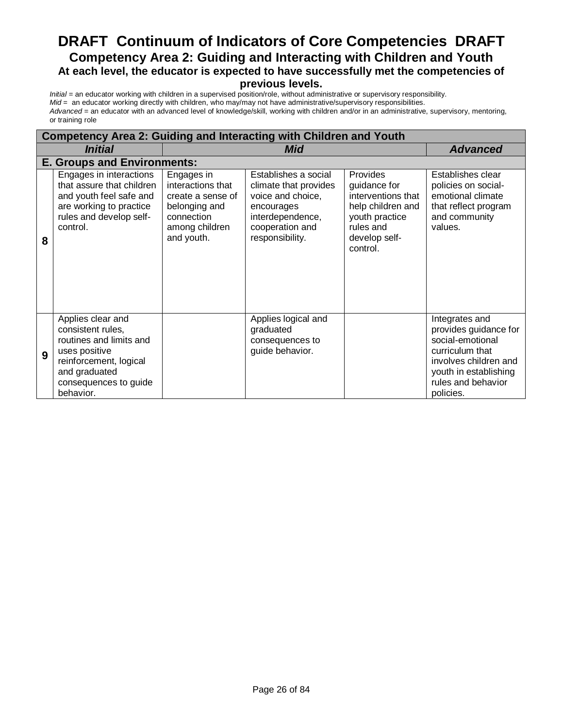#### **DRAFT Continuum of Indicators of Core Competencies DRAFT Competency Area 2: Guiding and Interacting with Children and Youth At each level, the educator is expected to have successfully met the competencies of previous levels.**

|   | <b>Competency Area 2: Guiding and Interacting with Children and Youth</b>                                                                                           |                                                                                                                     |                                                                                                                                            |                                                                                                                                 |                                                                                                                                                                     |  |
|---|---------------------------------------------------------------------------------------------------------------------------------------------------------------------|---------------------------------------------------------------------------------------------------------------------|--------------------------------------------------------------------------------------------------------------------------------------------|---------------------------------------------------------------------------------------------------------------------------------|---------------------------------------------------------------------------------------------------------------------------------------------------------------------|--|
|   | <i><b>Initial</b></i>                                                                                                                                               |                                                                                                                     | Mid                                                                                                                                        |                                                                                                                                 |                                                                                                                                                                     |  |
|   | <b>E. Groups and Environments:</b>                                                                                                                                  |                                                                                                                     |                                                                                                                                            |                                                                                                                                 |                                                                                                                                                                     |  |
| 8 | Engages in interactions<br>that assure that children<br>and youth feel safe and<br>are working to practice<br>rules and develop self-<br>control.                   | Engages in<br>interactions that<br>create a sense of<br>belonging and<br>connection<br>among children<br>and youth. | Establishes a social<br>climate that provides<br>voice and choice,<br>encourages<br>interdependence,<br>cooperation and<br>responsibility. | Provides<br>guidance for<br>interventions that<br>help children and<br>youth practice<br>rules and<br>develop self-<br>control. | Establishes clear<br>policies on social-<br>emotional climate<br>that reflect program<br>and community<br>values.                                                   |  |
| 9 | Applies clear and<br>consistent rules,<br>routines and limits and<br>uses positive<br>reinforcement, logical<br>and graduated<br>consequences to guide<br>behavior. |                                                                                                                     | Applies logical and<br>graduated<br>consequences to<br>guide behavior.                                                                     |                                                                                                                                 | Integrates and<br>provides guidance for<br>social-emotional<br>curriculum that<br>involves children and<br>youth in establishing<br>rules and behavior<br>policies. |  |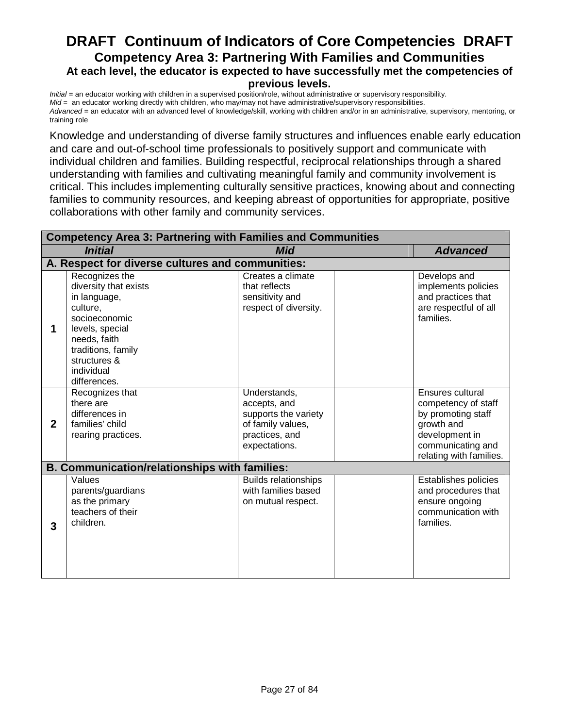#### **DRAFT Continuum of Indicators of Core Competencies DRAFT Competency Area 3: Partnering With Families and Communities At each level, the educator is expected to have successfully met the competencies of previous levels.**

*Initial* = an educator working with children in a supervised position/role, without administrative or supervisory responsibility. *Mid* = an educator working directly with children, who may/may not have administrative/supervisory responsibilities. *Advanced* = an educator with an advanced level of knowledge/skill, working with children and/or in an administrative, supervisory, mentoring, or training role

Knowledge and understanding of diverse family structures and influences enable early education and care and out-of-school time professionals to positively support and communicate with individual children and families. Building respectful, reciprocal relationships through a shared understanding with families and cultivating meaningful family and community involvement is critical. This includes implementing culturally sensitive practices, knowing about and connecting families to community resources, and keeping abreast of opportunities for appropriate, positive collaborations with other family and community services.

| <b>Competency Area 3: Partnering with Families and Communities</b> |                                                                                                                                                                                             |                                                                                      |                                                                          |                                                                                                                                               |
|--------------------------------------------------------------------|---------------------------------------------------------------------------------------------------------------------------------------------------------------------------------------------|--------------------------------------------------------------------------------------|--------------------------------------------------------------------------|-----------------------------------------------------------------------------------------------------------------------------------------------|
| <b>Initial</b>                                                     |                                                                                                                                                                                             |                                                                                      | Mid                                                                      | <b>Advanced</b>                                                                                                                               |
|                                                                    |                                                                                                                                                                                             | A. Respect for diverse cultures and communities:                                     |                                                                          |                                                                                                                                               |
| 1                                                                  | Recognizes the<br>diversity that exists<br>in language,<br>culture,<br>socioeconomic<br>levels, special<br>needs, faith<br>traditions, family<br>structures &<br>individual<br>differences. | that reflects<br>sensitivity and                                                     | Creates a climate<br>respect of diversity.                               | Develops and<br>implements policies<br>and practices that<br>are respectful of all<br>families.                                               |
| $\mathbf{2}$                                                       | Recognizes that<br>there are<br>differences in<br>families' child<br>rearing practices.                                                                                                     | Understands,<br>accepts, and<br>of family values,<br>practices, and<br>expectations. | supports the variety                                                     | Ensures cultural<br>competency of staff<br>by promoting staff<br>growth and<br>development in<br>communicating and<br>relating with families. |
|                                                                    |                                                                                                                                                                                             | <b>B. Communication/relationships with families:</b>                                 |                                                                          |                                                                                                                                               |
| 3                                                                  | Values<br>parents/guardians<br>as the primary<br>teachers of their<br>children.                                                                                                             |                                                                                      | <b>Builds relationships</b><br>with families based<br>on mutual respect. | Establishes policies<br>and procedures that<br>ensure ongoing<br>communication with<br>families.                                              |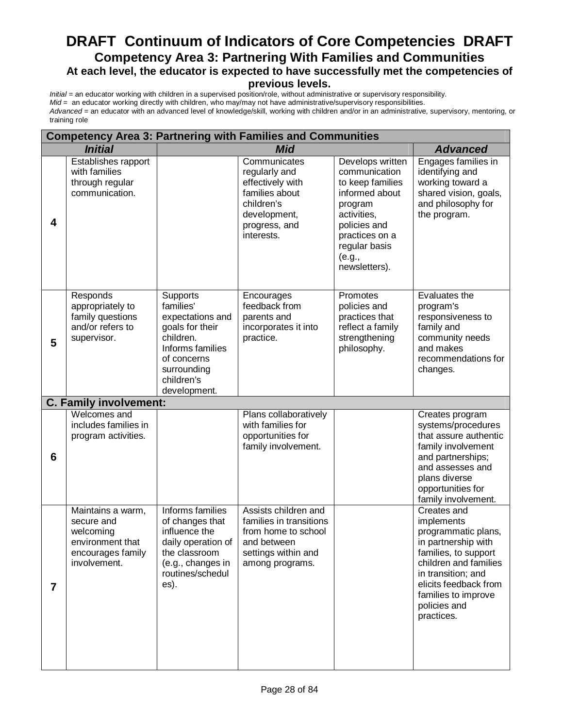# **DRAFT Continuum of Indicators of Core Competencies DRAFT Competency Area 3: Partnering With Families and Communities At each level, the educator is expected to have successfully met the competencies of**

#### **previous levels.**

| <b>Competency Area 3: Partnering with Families and Communities</b> |                                                                                                       |                                                                                                                                                              |                                                                                                                                  |                                                                                                                                                                                 |                                                                                                                                                                                                                              |
|--------------------------------------------------------------------|-------------------------------------------------------------------------------------------------------|--------------------------------------------------------------------------------------------------------------------------------------------------------------|----------------------------------------------------------------------------------------------------------------------------------|---------------------------------------------------------------------------------------------------------------------------------------------------------------------------------|------------------------------------------------------------------------------------------------------------------------------------------------------------------------------------------------------------------------------|
|                                                                    | <b>Initial</b>                                                                                        |                                                                                                                                                              | <b>Mid</b>                                                                                                                       |                                                                                                                                                                                 | <b>Advanced</b>                                                                                                                                                                                                              |
| 4                                                                  | Establishes rapport<br>with families<br>through regular<br>communication.                             |                                                                                                                                                              | Communicates<br>regularly and<br>effectively with<br>families about<br>children's<br>development,<br>progress, and<br>interests. | Develops written<br>communication<br>to keep families<br>informed about<br>program<br>activities,<br>policies and<br>practices on a<br>regular basis<br>(e.g.,<br>newsletters). | Engages families in<br>identifying and<br>working toward a<br>shared vision, goals,<br>and philosophy for<br>the program.                                                                                                    |
| 5                                                                  | Responds<br>appropriately to<br>family questions<br>and/or refers to<br>supervisor.                   | Supports<br>families'<br>expectations and<br>goals for their<br>children.<br>Informs families<br>of concerns<br>surrounding<br>children's<br>development.    | Encourages<br>feedback from<br>parents and<br>incorporates it into<br>practice.                                                  | Promotes<br>policies and<br>practices that<br>reflect a family<br>strengthening<br>philosophy.                                                                                  | Evaluates the<br>program's<br>responsiveness to<br>family and<br>community needs<br>and makes<br>recommendations for<br>changes.                                                                                             |
|                                                                    | <b>C. Family involvement:</b>                                                                         |                                                                                                                                                              |                                                                                                                                  |                                                                                                                                                                                 |                                                                                                                                                                                                                              |
| $6\phantom{1}6$                                                    | Welcomes and<br>includes families in<br>program activities.                                           |                                                                                                                                                              | Plans collaboratively<br>with families for<br>opportunities for<br>family involvement.                                           |                                                                                                                                                                                 | Creates program<br>systems/procedures<br>that assure authentic<br>family involvement<br>and partnerships;<br>and assesses and<br>plans diverse<br>opportunities for<br>family involvement.                                   |
| $\overline{7}$                                                     | Maintains a warm,<br>secure and<br>welcoming<br>environment that<br>encourages family<br>involvement. | Informs families<br>of changes that<br>influence the<br>daily operation of $ $ and between<br>the classroom<br>(e.g., changes in<br>routines/schedul<br>es). | Assists children and<br>families in transitions<br>from home to school<br>settings within and<br>among programs.                 |                                                                                                                                                                                 | Creates and<br>implements<br>programmatic plans,<br>in partnership with<br>families, to support<br>children and families<br>in transition; and<br>elicits feedback from<br>families to improve<br>policies and<br>practices. |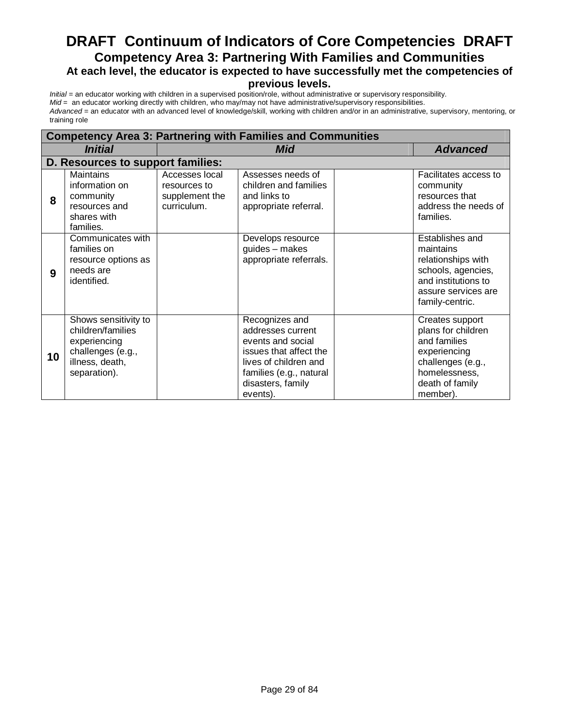### **DRAFT Continuum of Indicators of Core Competencies DRAFT Competency Area 3: Partnering With Families and Communities At each level, the educator is expected to have successfully met the competencies of**

#### **previous levels.**

| <b>Competency Area 3: Partnering with Families and Communities</b> |                                                                                                                   |                                                                 |                                                                                                                                                                         |  |                                                                                                                                            |
|--------------------------------------------------------------------|-------------------------------------------------------------------------------------------------------------------|-----------------------------------------------------------------|-------------------------------------------------------------------------------------------------------------------------------------------------------------------------|--|--------------------------------------------------------------------------------------------------------------------------------------------|
|                                                                    | <i><b>Initial</b></i>                                                                                             |                                                                 | Mid                                                                                                                                                                     |  | <b>Advanced</b>                                                                                                                            |
|                                                                    | D. Resources to support families:                                                                                 |                                                                 |                                                                                                                                                                         |  |                                                                                                                                            |
| 8                                                                  | <b>Maintains</b><br>information on<br>community<br>resources and<br>shares with<br>families.                      | Accesses local<br>resources to<br>supplement the<br>curriculum. | Assesses needs of<br>children and families<br>and links to<br>appropriate referral.                                                                                     |  | Facilitates access to<br>community<br>resources that<br>address the needs of<br>families.                                                  |
| 9                                                                  | Communicates with<br>families on<br>resource options as<br>needs are<br>identified.                               |                                                                 | Develops resource<br>guides - makes<br>appropriate referrals.                                                                                                           |  | Establishes and<br>maintains<br>relationships with<br>schools, agencies,<br>and institutions to<br>assure services are<br>family-centric.  |
| 10                                                                 | Shows sensitivity to<br>children/families<br>experiencing<br>challenges (e.g.,<br>illness, death,<br>separation). |                                                                 | Recognizes and<br>addresses current<br>events and social<br>issues that affect the<br>lives of children and<br>families (e.g., natural<br>disasters, family<br>events). |  | Creates support<br>plans for children<br>and families<br>experiencing<br>challenges (e.g.,<br>homelessness,<br>death of family<br>member). |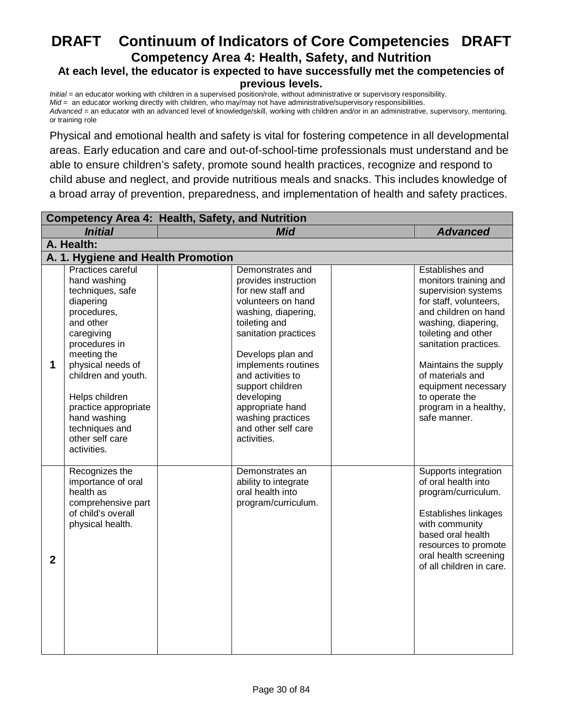# **DRAFT Continuum of Indicators of Core Competencies DRAFT Competency Area 4: Health, Safety, and Nutrition**

#### **At each level, the educator is expected to have successfully met the competencies of previous levels.**

*Initial* = an educator working with children in a supervised position/role, without administrative or supervisory responsibility. *Mid* = an educator working directly with children, who may/may not have administrative/supervisory responsibilities. *Advanced* = an educator with an advanced level of knowledge/skill, working with children and/or in an administrative, supervisory, mentoring, or training role

Physical and emotional health and safety is vital for fostering competence in all developmental areas. Early education and care and out-of-school-time professionals must understand and be able to ensure children's safety, promote sound health practices, recognize and respond to child abuse and neglect, and provide nutritious meals and snacks. This includes knowledge of a broad array of prevention, preparedness, and implementation of health and safety practices.

| <b>Competency Area 4: Health, Safety, and Nutrition</b> |                                                                                                                                                                                                                                                                                                        |  |                                                                                                                                                                                                                                                                                                                                       |  |                                                                                                                                                                                                                                                                                                                        |  |
|---------------------------------------------------------|--------------------------------------------------------------------------------------------------------------------------------------------------------------------------------------------------------------------------------------------------------------------------------------------------------|--|---------------------------------------------------------------------------------------------------------------------------------------------------------------------------------------------------------------------------------------------------------------------------------------------------------------------------------------|--|------------------------------------------------------------------------------------------------------------------------------------------------------------------------------------------------------------------------------------------------------------------------------------------------------------------------|--|
|                                                         | <b>Initial</b>                                                                                                                                                                                                                                                                                         |  | <b>Mid</b>                                                                                                                                                                                                                                                                                                                            |  | <b>Advanced</b>                                                                                                                                                                                                                                                                                                        |  |
|                                                         | A. Health:                                                                                                                                                                                                                                                                                             |  |                                                                                                                                                                                                                                                                                                                                       |  |                                                                                                                                                                                                                                                                                                                        |  |
|                                                         | A. 1. Hygiene and Health Promotion                                                                                                                                                                                                                                                                     |  |                                                                                                                                                                                                                                                                                                                                       |  |                                                                                                                                                                                                                                                                                                                        |  |
| 1                                                       | Practices careful<br>hand washing<br>techniques, safe<br>diapering<br>procedures,<br>and other<br>caregiving<br>procedures in<br>meeting the<br>physical needs of<br>children and youth.<br>Helps children<br>practice appropriate<br>hand washing<br>techniques and<br>other self care<br>activities. |  | Demonstrates and<br>provides instruction<br>for new staff and<br>volunteers on hand<br>washing, diapering,<br>toileting and<br>sanitation practices<br>Develops plan and<br>implements routines<br>and activities to<br>support children<br>developing<br>appropriate hand<br>washing practices<br>and other self care<br>activities. |  | Establishes and<br>monitors training and<br>supervision systems<br>for staff, volunteers,<br>and children on hand<br>washing, diapering,<br>toileting and other<br>sanitation practices.<br>Maintains the supply<br>of materials and<br>equipment necessary<br>to operate the<br>program in a healthy,<br>safe manner. |  |
| $\mathbf{2}$                                            | Recognizes the<br>importance of oral<br>health as<br>comprehensive part<br>of child's overall<br>physical health.                                                                                                                                                                                      |  | Demonstrates an<br>ability to integrate<br>oral health into<br>program/curriculum.                                                                                                                                                                                                                                                    |  | Supports integration<br>of oral health into<br>program/curriculum.<br>Establishes linkages<br>with community<br>based oral health<br>resources to promote<br>oral health screening<br>of all children in care.                                                                                                         |  |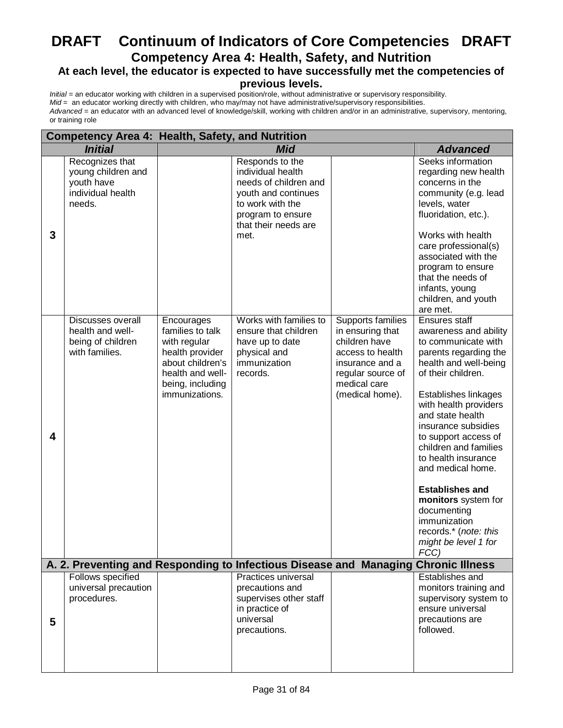### **DRAFT Continuum of Indicators of Core Competencies DRAFT Competency Area 4: Health, Safety, and Nutrition At each level, the educator is expected to have successfully met the competencies of**

# **previous levels.**

|   | <b>Competency Area 4: Health, Safety, and Nutrition</b>                            |                                                                                                                                                 |                                                                                                                                                               |                                                                                                                                                       |                                                                                                                                                                                                                                                                                                                                                                                                                                                                         |
|---|------------------------------------------------------------------------------------|-------------------------------------------------------------------------------------------------------------------------------------------------|---------------------------------------------------------------------------------------------------------------------------------------------------------------|-------------------------------------------------------------------------------------------------------------------------------------------------------|-------------------------------------------------------------------------------------------------------------------------------------------------------------------------------------------------------------------------------------------------------------------------------------------------------------------------------------------------------------------------------------------------------------------------------------------------------------------------|
|   | <b>Initial</b>                                                                     |                                                                                                                                                 | <b>Mid</b>                                                                                                                                                    |                                                                                                                                                       | <b>Advanced</b>                                                                                                                                                                                                                                                                                                                                                                                                                                                         |
| 3 | Recognizes that<br>young children and<br>youth have<br>individual health<br>needs. |                                                                                                                                                 | Responds to the<br>individual health<br>needs of children and<br>youth and continues<br>to work with the<br>program to ensure<br>that their needs are<br>met. |                                                                                                                                                       | Seeks information<br>regarding new health<br>concerns in the<br>community (e.g. lead<br>levels, water<br>fluoridation, etc.).<br>Works with health<br>care professional(s)<br>associated with the<br>program to ensure<br>that the needs of<br>infants, young<br>children, and youth<br>are met.                                                                                                                                                                        |
| 4 | Discusses overall<br>health and well-<br>being of children<br>with families.       | Encourages<br>families to talk<br>with regular<br>health provider<br>about children's<br>health and well-<br>being, including<br>immunizations. | Works with families to<br>ensure that children<br>have up to date<br>physical and<br>immunization<br>records.                                                 | Supports families<br>in ensuring that<br>children have<br>access to health<br>insurance and a<br>regular source of<br>medical care<br>(medical home). | Ensures staff<br>awareness and ability<br>to communicate with<br>parents regarding the<br>health and well-being<br>of their children.<br>Establishes linkages<br>with health providers<br>and state health<br>insurance subsidies<br>to support access of<br>children and families<br>to health insurance<br>and medical home.<br><b>Establishes and</b><br>monitors system for<br>documenting<br>immunization<br>records.* (note: this<br>might be level 1 for<br>FCC) |
|   |                                                                                    |                                                                                                                                                 | A. 2. Preventing and Responding to Infectious Disease and                                                                                                     |                                                                                                                                                       | <b>Managing Chronic Illness</b>                                                                                                                                                                                                                                                                                                                                                                                                                                         |
| 5 | Follows specified<br>universal precaution<br>procedures.                           |                                                                                                                                                 | Practices universal<br>precautions and<br>supervises other staff<br>in practice of<br>universal<br>precautions.                                               |                                                                                                                                                       | Establishes and<br>monitors training and<br>supervisory system to<br>ensure universal<br>precautions are<br>followed.                                                                                                                                                                                                                                                                                                                                                   |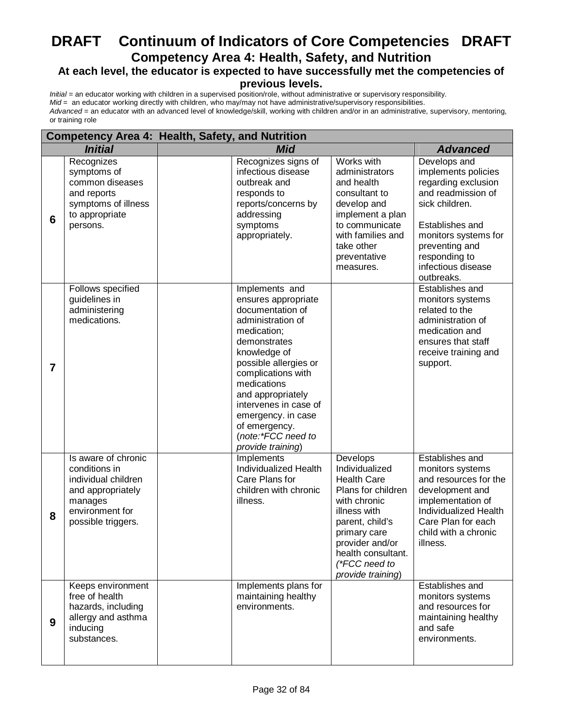### **DRAFT Continuum of Indicators of Core Competencies DRAFT Competency Area 4: Health, Safety, and Nutrition At each level, the educator is expected to have successfully met the competencies of**

#### **previous levels.**

|                | <b>Competency Area 4: Health, Safety, and Nutrition</b>                                                                              |            |                                                                                                                                                                                                                                                                                                                             |                                                                                                                                                                                                                          |                                                                                                                                                                                                                      |
|----------------|--------------------------------------------------------------------------------------------------------------------------------------|------------|-----------------------------------------------------------------------------------------------------------------------------------------------------------------------------------------------------------------------------------------------------------------------------------------------------------------------------|--------------------------------------------------------------------------------------------------------------------------------------------------------------------------------------------------------------------------|----------------------------------------------------------------------------------------------------------------------------------------------------------------------------------------------------------------------|
|                | <b>Initial</b>                                                                                                                       | <b>Mid</b> |                                                                                                                                                                                                                                                                                                                             |                                                                                                                                                                                                                          | <b>Advanced</b>                                                                                                                                                                                                      |
| 6              | Recognizes<br>symptoms of<br>common diseases<br>and reports<br>symptoms of illness<br>to appropriate<br>persons.                     |            | Recognizes signs of<br>infectious disease<br>outbreak and<br>responds to<br>reports/concerns by<br>addressing<br>symptoms<br>appropriately.                                                                                                                                                                                 | Works with<br>administrators<br>and health<br>consultant to<br>develop and<br>implement a plan<br>to communicate<br>with families and<br>take other<br>preventative<br>measures.                                         | Develops and<br>implements policies<br>regarding exclusion<br>and readmission of<br>sick children.<br>Establishes and<br>monitors systems for<br>preventing and<br>responding to<br>infectious disease<br>outbreaks. |
| $\overline{7}$ | Follows specified<br>guidelines in<br>administering<br>medications.                                                                  |            | Implements and<br>ensures appropriate<br>documentation of<br>administration of<br>medication;<br>demonstrates<br>knowledge of<br>possible allergies or<br>complications with<br>medications<br>and appropriately<br>intervenes in case of<br>emergency. in case<br>of emergency.<br>(note:*FCC need to<br>provide training) |                                                                                                                                                                                                                          | Establishes and<br>monitors systems<br>related to the<br>administration of<br>medication and<br>ensures that staff<br>receive training and<br>support.                                                               |
| 8              | Is aware of chronic<br>conditions in<br>individual children<br>and appropriately<br>manages<br>environment for<br>possible triggers. |            | <b>Implements</b><br>Individualized Health<br>Care Plans for<br>children with chronic<br>illness.                                                                                                                                                                                                                           | Develops<br>Individualized<br><b>Health Care</b><br>Plans for children<br>with chronic<br>illness with<br>parent, child's<br>primary care<br>provider and/or<br>health consultant.<br>(*FCC need to<br>provide training) | Establishes and<br>monitors systems<br>and resources for the<br>development and<br>implementation of<br>Individualized Health<br>Care Plan for each<br>child with a chronic<br>illness.                              |
| 9              | Keeps environment<br>free of health<br>hazards, including<br>allergy and asthma<br>inducing<br>substances.                           |            | Implements plans for<br>maintaining healthy<br>environments.                                                                                                                                                                                                                                                                |                                                                                                                                                                                                                          | Establishes and<br>monitors systems<br>and resources for<br>maintaining healthy<br>and safe<br>environments.                                                                                                         |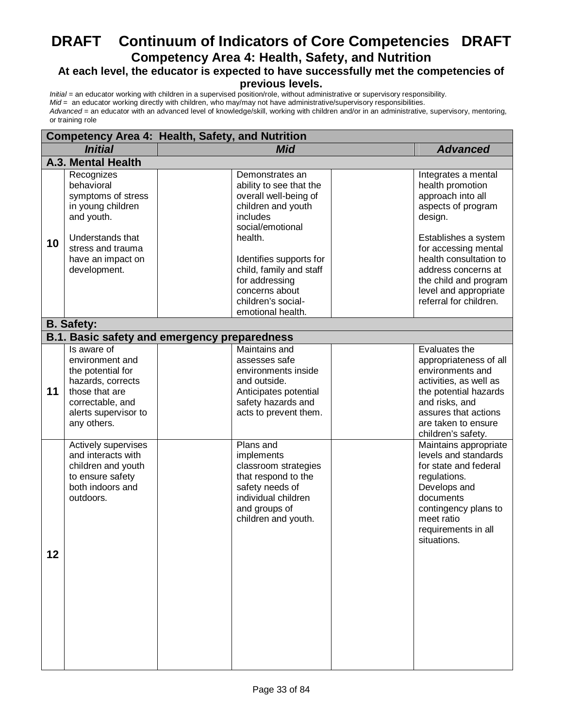# **DRAFT Continuum of Indicators of Core Competencies DRAFT Competency Area 4: Health, Safety, and Nutrition**

# **At each level, the educator is expected to have successfully met the competencies of**

#### **previous levels.**

| <b>Competency Area 4: Health, Safety, and Nutrition</b> |                                                                                                                                                                 |                                                                                                                                                                                                                                                                           |                                                                                                                                                                                                                                                                            |
|---------------------------------------------------------|-----------------------------------------------------------------------------------------------------------------------------------------------------------------|---------------------------------------------------------------------------------------------------------------------------------------------------------------------------------------------------------------------------------------------------------------------------|----------------------------------------------------------------------------------------------------------------------------------------------------------------------------------------------------------------------------------------------------------------------------|
|                                                         | <b>Initial</b>                                                                                                                                                  | <b>Mid</b>                                                                                                                                                                                                                                                                | <b>Advanced</b>                                                                                                                                                                                                                                                            |
|                                                         | A.3. Mental Health                                                                                                                                              |                                                                                                                                                                                                                                                                           |                                                                                                                                                                                                                                                                            |
| 10                                                      | Recognizes<br>behavioral<br>symptoms of stress<br>in young children<br>and youth.<br>Understands that<br>stress and trauma<br>have an impact on<br>development. | Demonstrates an<br>ability to see that the<br>overall well-being of<br>children and youth<br>includes<br>social/emotional<br>health.<br>Identifies supports for<br>child, family and staff<br>for addressing<br>concerns about<br>children's social-<br>emotional health. | Integrates a mental<br>health promotion<br>approach into all<br>aspects of program<br>design.<br>Establishes a system<br>for accessing mental<br>health consultation to<br>address concerns at<br>the child and program<br>level and appropriate<br>referral for children. |
|                                                         | <b>B.</b> Safety:                                                                                                                                               |                                                                                                                                                                                                                                                                           |                                                                                                                                                                                                                                                                            |
|                                                         |                                                                                                                                                                 | <b>B.1. Basic safety and emergency preparedness</b>                                                                                                                                                                                                                       |                                                                                                                                                                                                                                                                            |
| 11                                                      | Is aware of<br>environment and<br>the potential for<br>hazards, corrects<br>those that are<br>correctable, and<br>alerts supervisor to<br>any others.           | <b>Maintains and</b><br>assesses safe<br>environments inside<br>and outside.<br>Anticipates potential<br>safety hazards and<br>acts to prevent them.                                                                                                                      | Evaluates the<br>appropriateness of all<br>environments and<br>activities, as well as<br>the potential hazards<br>and risks, and<br>assures that actions<br>are taken to ensure<br>children's safety.                                                                      |
| 12                                                      | Actively supervises<br>and interacts with<br>children and youth<br>to ensure safety<br>both indoors and<br>outdoors.                                            | Plans and<br>implements<br>classroom strategies<br>that respond to the<br>safety needs of<br>individual children<br>and groups of<br>children and youth.                                                                                                                  | Maintains appropriate<br>levels and standards<br>for state and federal<br>regulations.<br>Develops and<br>documents<br>contingency plans to<br>meet ratio<br>requirements in all<br>situations.                                                                            |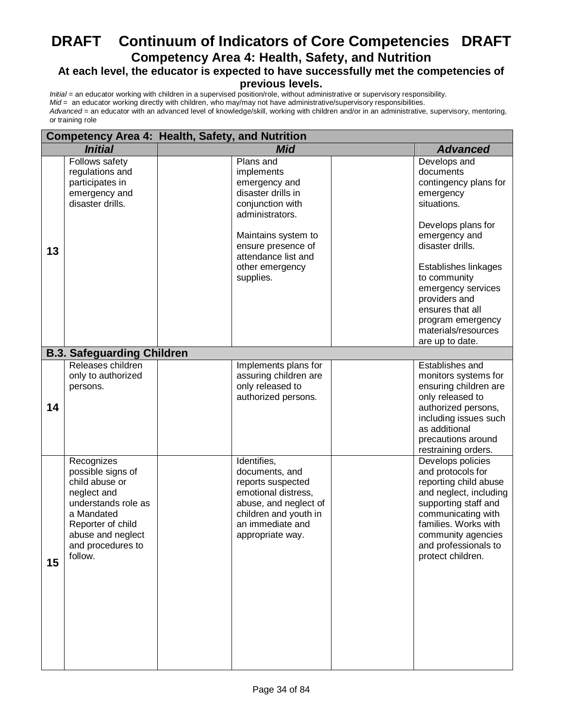### **DRAFT Continuum of Indicators of Core Competencies DRAFT Competency Area 4: Health, Safety, and Nutrition At each level, the educator is expected to have successfully met the competencies of**

### **previous levels.**

| <b>Competency Area 4: Health, Safety, and Nutrition</b> |                                                                                                                                                                                 |                                                                                                                                                                                                           |                                                                                                                                                                                                                                                                                                             |
|---------------------------------------------------------|---------------------------------------------------------------------------------------------------------------------------------------------------------------------------------|-----------------------------------------------------------------------------------------------------------------------------------------------------------------------------------------------------------|-------------------------------------------------------------------------------------------------------------------------------------------------------------------------------------------------------------------------------------------------------------------------------------------------------------|
|                                                         | <b>Initial</b>                                                                                                                                                                  | <b>Mid</b>                                                                                                                                                                                                | <b>Advanced</b>                                                                                                                                                                                                                                                                                             |
| 13                                                      | Follows safety<br>regulations and<br>participates in<br>emergency and<br>disaster drills.                                                                                       | Plans and<br>implements<br>emergency and<br>disaster drills in<br>conjunction with<br>administrators.<br>Maintains system to<br>ensure presence of<br>attendance list and<br>other emergency<br>supplies. | Develops and<br>documents<br>contingency plans for<br>emergency<br>situations.<br>Develops plans for<br>emergency and<br>disaster drills.<br>Establishes linkages<br>to community<br>emergency services<br>providers and<br>ensures that all<br>program emergency<br>materials/resources<br>are up to date. |
|                                                         | <b>B.3. Safeguarding Children</b>                                                                                                                                               |                                                                                                                                                                                                           |                                                                                                                                                                                                                                                                                                             |
| 14                                                      | Releases children<br>only to authorized<br>persons.                                                                                                                             | Implements plans for<br>assuring children are<br>only released to<br>authorized persons.                                                                                                                  | Establishes and<br>monitors systems for<br>ensuring children are<br>only released to<br>authorized persons,<br>including issues such<br>as additional<br>precautions around<br>restraining orders.                                                                                                          |
| 15                                                      | Recognizes<br>possible signs of<br>child abuse or<br>neglect and<br>understands role as<br>a Mandated<br>Reporter of child<br>abuse and neglect<br>and procedures to<br>follow. | Identifies,<br>documents, and<br>reports suspected<br>emotional distress,<br>abuse, and neglect of<br>children and youth in<br>an immediate and<br>appropriate way.                                       | Develops policies<br>and protocols for<br>reporting child abuse<br>and neglect, including<br>supporting staff and<br>communicating with<br>families. Works with<br>community agencies<br>and professionals to<br>protect children.                                                                          |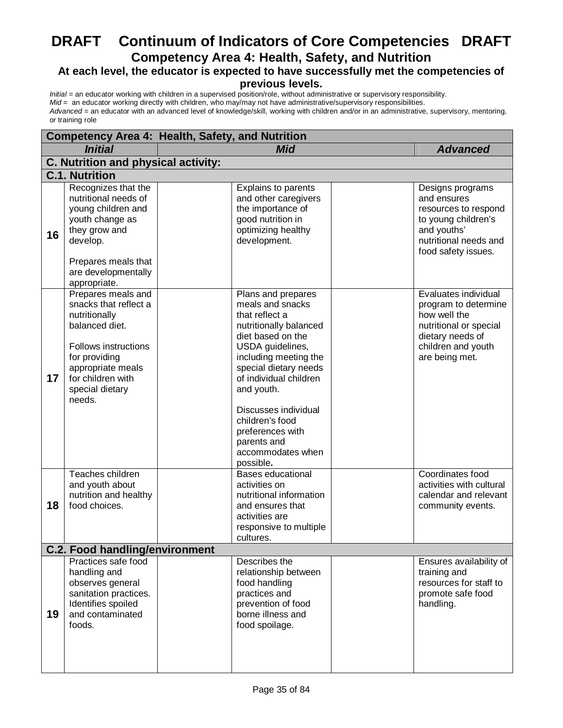# **DRAFT Continuum of Indicators of Core Competencies DRAFT Competency Area 4: Health, Safety, and Nutrition**

# **At each level, the educator is expected to have successfully met the competencies of**

#### **previous levels.**

| <b>Competency Area 4: Health, Safety, and Nutrition</b> |                                                                                                                                                                                                       |                                                                                                                                                                                                                                                                                                                                       |                                                                                                                                                    |  |
|---------------------------------------------------------|-------------------------------------------------------------------------------------------------------------------------------------------------------------------------------------------------------|---------------------------------------------------------------------------------------------------------------------------------------------------------------------------------------------------------------------------------------------------------------------------------------------------------------------------------------|----------------------------------------------------------------------------------------------------------------------------------------------------|--|
|                                                         | <b>Initial</b>                                                                                                                                                                                        | <b>Mid</b><br><b>Advanced</b>                                                                                                                                                                                                                                                                                                         |                                                                                                                                                    |  |
|                                                         | C. Nutrition and physical activity:                                                                                                                                                                   |                                                                                                                                                                                                                                                                                                                                       |                                                                                                                                                    |  |
|                                                         | <b>C.1. Nutrition</b>                                                                                                                                                                                 |                                                                                                                                                                                                                                                                                                                                       |                                                                                                                                                    |  |
| 16                                                      | Recognizes that the<br>nutritional needs of<br>young children and<br>youth change as<br>they grow and<br>develop.<br>Prepares meals that<br>are developmentally<br>appropriate.                       | Explains to parents<br>and other caregivers<br>the importance of<br>good nutrition in<br>optimizing healthy<br>development.                                                                                                                                                                                                           | Designs programs<br>and ensures<br>resources to respond<br>to young children's<br>and youths'<br>nutritional needs and<br>food safety issues.      |  |
| 17                                                      | Prepares meals and<br>snacks that reflect a<br>nutritionally<br>balanced diet.<br><b>Follows instructions</b><br>for providing<br>appropriate meals<br>for children with<br>special dietary<br>needs. | Plans and prepares<br>meals and snacks<br>that reflect a<br>nutritionally balanced<br>diet based on the<br>USDA guidelines,<br>including meeting the<br>special dietary needs<br>of individual children<br>and youth.<br>Discusses individual<br>children's food<br>preferences with<br>parents and<br>accommodates when<br>possible. | Evaluates individual<br>program to determine<br>how well the<br>nutritional or special<br>dietary needs of<br>children and youth<br>are being met. |  |
| 18                                                      | Teaches children<br>and youth about<br>nutrition and healthy<br>food choices.                                                                                                                         | <b>Bases educational</b><br>activities on<br>nutritional information<br>and ensures that<br>activities are<br>responsive to multiple<br>cultures.                                                                                                                                                                                     | Coordinates food<br>activities with cultural<br>calendar and relevant<br>community events.                                                         |  |
|                                                         | <b>C.2. Food handling/environment</b>                                                                                                                                                                 |                                                                                                                                                                                                                                                                                                                                       |                                                                                                                                                    |  |
| 19                                                      | Practices safe food<br>handling and<br>observes general<br>sanitation practices.<br>Identifies spoiled<br>and contaminated<br>foods.                                                                  | Describes the<br>relationship between<br>food handling<br>practices and<br>prevention of food<br>borne illness and<br>food spoilage.                                                                                                                                                                                                  | Ensures availability of<br>training and<br>resources for staff to<br>promote safe food<br>handling.                                                |  |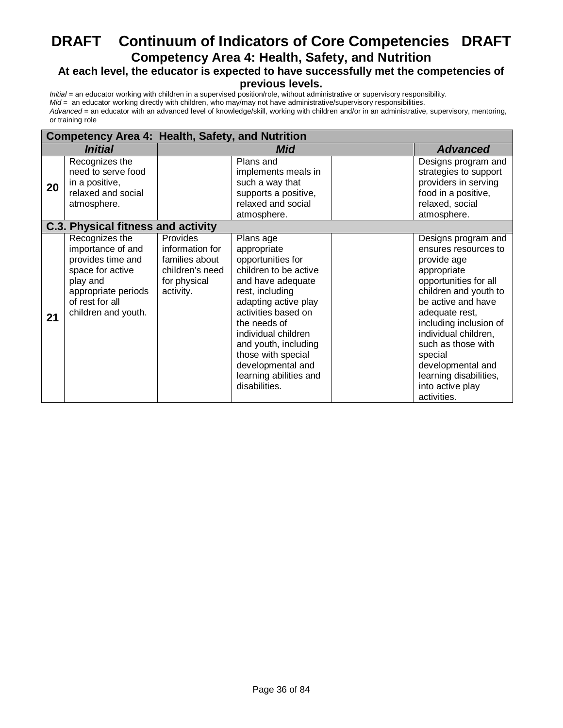# **DRAFT Continuum of Indicators of Core Competencies DRAFT Competency Area 4: Health, Safety, and Nutrition**

# **At each level, the educator is expected to have successfully met the competencies of**

#### **previous levels.**

|                                           |                                                                                                                                                           |                                                                                               | <b>Competency Area 4: Health, Safety, and Nutrition</b>                                                                                                                                                                                                                                                            |                 |                                                                                                                                                                                                                                                                                                                                          |
|-------------------------------------------|-----------------------------------------------------------------------------------------------------------------------------------------------------------|-----------------------------------------------------------------------------------------------|--------------------------------------------------------------------------------------------------------------------------------------------------------------------------------------------------------------------------------------------------------------------------------------------------------------------|-----------------|------------------------------------------------------------------------------------------------------------------------------------------------------------------------------------------------------------------------------------------------------------------------------------------------------------------------------------------|
| <i><b>Initial</b></i>                     |                                                                                                                                                           | Mid                                                                                           |                                                                                                                                                                                                                                                                                                                    | <b>Advanced</b> |                                                                                                                                                                                                                                                                                                                                          |
| 20                                        | Recognizes the<br>need to serve food<br>in a positive,<br>relaxed and social<br>atmosphere.                                                               |                                                                                               | Plans and<br>implements meals in<br>such a way that<br>supports a positive,<br>relaxed and social<br>atmosphere.                                                                                                                                                                                                   |                 | Designs program and<br>strategies to support<br>providers in serving<br>food in a positive,<br>relaxed, social<br>atmosphere.                                                                                                                                                                                                            |
| <b>C.3. Physical fitness and activity</b> |                                                                                                                                                           |                                                                                               |                                                                                                                                                                                                                                                                                                                    |                 |                                                                                                                                                                                                                                                                                                                                          |
| 21                                        | Recognizes the<br>importance of and<br>provides time and<br>space for active<br>play and<br>appropriate periods<br>of rest for all<br>children and youth. | Provides<br>information for<br>families about<br>children's need<br>for physical<br>activity. | Plans age<br>appropriate<br>opportunities for<br>children to be active<br>and have adequate<br>rest, including<br>adapting active play<br>activities based on<br>the needs of<br>individual children<br>and youth, including<br>those with special<br>developmental and<br>learning abilities and<br>disabilities. |                 | Designs program and<br>ensures resources to<br>provide age<br>appropriate<br>opportunities for all<br>children and youth to<br>be active and have<br>adequate rest,<br>including inclusion of<br>individual children,<br>such as those with<br>special<br>developmental and<br>learning disabilities,<br>into active play<br>activities. |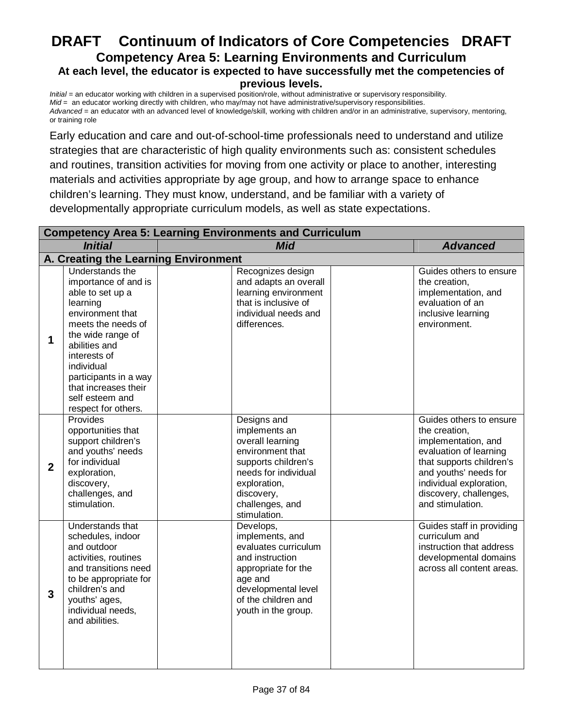# **DRAFT Continuum of Indicators of Core Competencies DRAFT Competency Area 5: Learning Environments and Curriculum At each level, the educator is expected to have successfully met the competencies of previous levels.**

*Initial* = an educator working with children in a supervised position/role, without administrative or supervisory responsibility. *Mid* = an educator working directly with children, who may/may not have administrative/supervisory responsibilities. *Advanced* = an educator with an advanced level of knowledge/skill, working with children and/or in an administrative, supervisory, mentoring, or training role

Early education and care and out-of-school-time professionals need to understand and utilize strategies that are characteristic of high quality environments such as: consistent schedules and routines, transition activities for moving from one activity or place to another, interesting materials and activities appropriate by age group, and how to arrange space to enhance children's learning. They must know, understand, and be familiar with a variety of developmentally appropriate curriculum models, as well as state expectations.

|                | <b>Competency Area 5: Learning Environments and Curriculum</b>                                                                                                                                                                                                                   |  |                                                                                                                                                                                      |  |                                                                                                                                                                                                                         |
|----------------|----------------------------------------------------------------------------------------------------------------------------------------------------------------------------------------------------------------------------------------------------------------------------------|--|--------------------------------------------------------------------------------------------------------------------------------------------------------------------------------------|--|-------------------------------------------------------------------------------------------------------------------------------------------------------------------------------------------------------------------------|
|                | <b>Initial</b>                                                                                                                                                                                                                                                                   |  | <b>Mid</b>                                                                                                                                                                           |  | <b>Advanced</b>                                                                                                                                                                                                         |
|                | A. Creating the Learning Environment                                                                                                                                                                                                                                             |  |                                                                                                                                                                                      |  |                                                                                                                                                                                                                         |
| $\mathbf 1$    | Understands the<br>importance of and is<br>able to set up a<br>learning<br>environment that<br>meets the needs of<br>the wide range of<br>abilities and<br>interests of<br>individual<br>participants in a way<br>that increases their<br>self esteem and<br>respect for others. |  | Recognizes design<br>and adapts an overall<br>learning environment<br>that is inclusive of<br>individual needs and<br>differences.                                                   |  | Guides others to ensure<br>the creation,<br>implementation, and<br>evaluation of an<br>inclusive learning<br>environment.                                                                                               |
| $\overline{2}$ | Provides<br>opportunities that<br>support children's<br>and youths' needs<br>for individual<br>exploration,<br>discovery,<br>challenges, and<br>stimulation.                                                                                                                     |  | Designs and<br>implements an<br>overall learning<br>environment that<br>supports children's<br>needs for individual<br>exploration,<br>discovery,<br>challenges, and<br>stimulation. |  | Guides others to ensure<br>the creation,<br>implementation, and<br>evaluation of learning<br>that supports children's<br>and youths' needs for<br>individual exploration,<br>discovery, challenges,<br>and stimulation. |
| 3              | Understands that<br>schedules, indoor<br>and outdoor<br>activities, routines<br>and transitions need<br>to be appropriate for<br>children's and<br>youths' ages,<br>individual needs,<br>and abilities.                                                                          |  | Develops,<br>implements, and<br>evaluates curriculum<br>and instruction<br>appropriate for the<br>age and<br>developmental level<br>of the children and<br>youth in the group.       |  | Guides staff in providing<br>curriculum and<br>instruction that address<br>developmental domains<br>across all content areas.                                                                                           |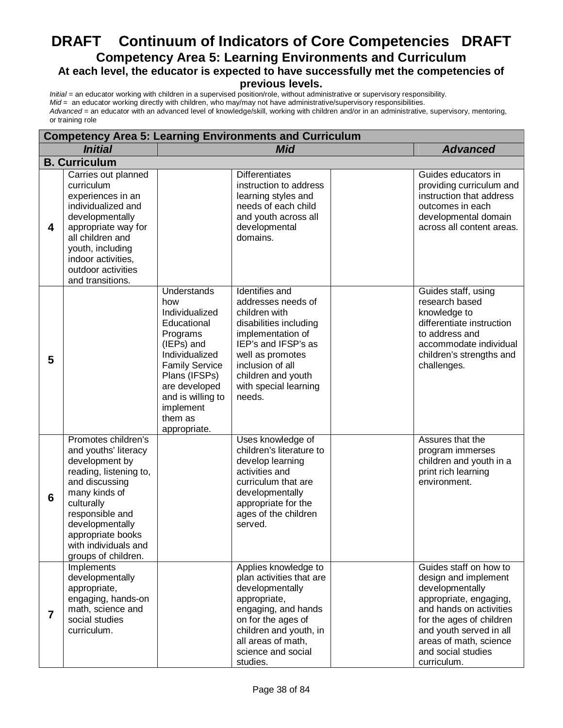# **DRAFT Continuum of Indicators of Core Competencies DRAFT Competency Area 5: Learning Environments and Curriculum At each level, the educator is expected to have successfully met the competencies of**

**previous levels.**

|                | <b>Competency Area 5: Learning Environments and Curriculum</b>                                                                                                                                                                                     |                                                                                                                                                                                                                         |                                                                                                                                                                                                                              |  |                                                                                                                                                                                                                                              |  |  |
|----------------|----------------------------------------------------------------------------------------------------------------------------------------------------------------------------------------------------------------------------------------------------|-------------------------------------------------------------------------------------------------------------------------------------------------------------------------------------------------------------------------|------------------------------------------------------------------------------------------------------------------------------------------------------------------------------------------------------------------------------|--|----------------------------------------------------------------------------------------------------------------------------------------------------------------------------------------------------------------------------------------------|--|--|
|                | <b>Initial</b>                                                                                                                                                                                                                                     |                                                                                                                                                                                                                         | <b>Mid</b>                                                                                                                                                                                                                   |  | <b>Advanced</b>                                                                                                                                                                                                                              |  |  |
|                | <b>B. Curriculum</b>                                                                                                                                                                                                                               |                                                                                                                                                                                                                         |                                                                                                                                                                                                                              |  |                                                                                                                                                                                                                                              |  |  |
| 4              | Carries out planned<br>curriculum<br>experiences in an<br>individualized and<br>developmentally<br>appropriate way for<br>all children and<br>youth, including<br>indoor activities,<br>outdoor activities<br>and transitions.                     |                                                                                                                                                                                                                         | <b>Differentiates</b><br>instruction to address<br>learning styles and<br>needs of each child<br>and youth across all<br>developmental<br>domains.                                                                           |  | Guides educators in<br>providing curriculum and<br>instruction that address<br>outcomes in each<br>developmental domain<br>across all content areas.                                                                                         |  |  |
| 5              |                                                                                                                                                                                                                                                    | Understands<br>how<br>Individualized<br>Educational<br>Programs<br>(IEPs) and<br>Individualized<br><b>Family Service</b><br>Plans (IFSPs)<br>are developed<br>and is willing to<br>implement<br>them as<br>appropriate. | Identifies and<br>addresses needs of<br>children with<br>disabilities including<br>implementation of<br>IEP's and IFSP's as<br>well as promotes<br>inclusion of all<br>children and youth<br>with special learning<br>needs. |  | Guides staff, using<br>research based<br>knowledge to<br>differentiate instruction<br>to address and<br>accommodate individual<br>children's strengths and<br>challenges.                                                                    |  |  |
| 6              | Promotes children's<br>and youths' literacy<br>development by<br>reading, listening to,<br>and discussing<br>many kinds of<br>culturally<br>responsible and<br>developmentally<br>appropriate books<br>with individuals and<br>groups of children. |                                                                                                                                                                                                                         | Uses knowledge of<br>children's literature to<br>develop learning<br>activities and<br>curriculum that are<br>developmentally<br>appropriate for the<br>ages of the children<br>served.                                      |  | Assures that the<br>program immerses<br>children and youth in a<br>print rich learning<br>environment.                                                                                                                                       |  |  |
| $\overline{7}$ | Implements<br>developmentally<br>appropriate,<br>engaging, hands-on<br>math, science and<br>social studies<br>curriculum.                                                                                                                          |                                                                                                                                                                                                                         | Applies knowledge to<br>plan activities that are<br>developmentally<br>appropriate,<br>engaging, and hands<br>on for the ages of<br>children and youth, in<br>all areas of math,<br>science and social<br>studies.           |  | Guides staff on how to<br>design and implement<br>developmentally<br>appropriate, engaging,<br>and hands on activities<br>for the ages of children<br>and youth served in all<br>areas of math, science<br>and social studies<br>curriculum. |  |  |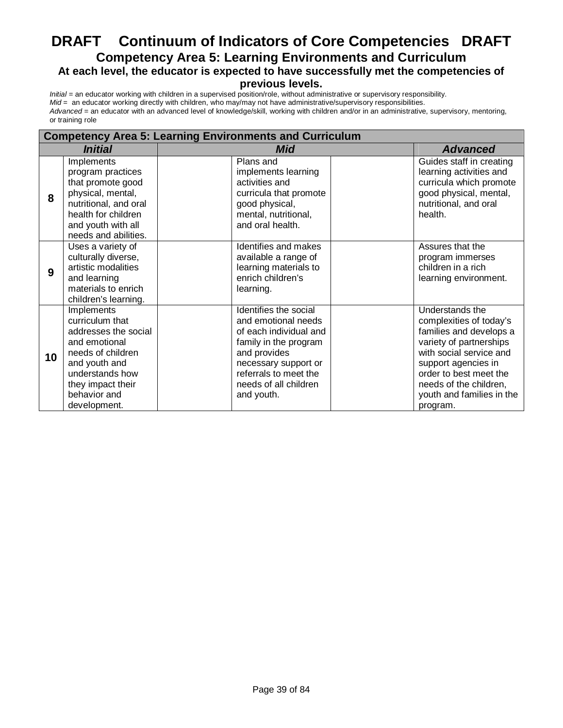# **DRAFT Continuum of Indicators of Core Competencies DRAFT Competency Area 5: Learning Environments and Curriculum At each level, the educator is expected to have successfully met the competencies of**

#### **previous levels.**

|    | <b>Competency Area 5: Learning Environments and Curriculum</b>                                                                                                                       |                                                                                                                                                                                                         |                                                                                                                                                                                                                                                 |  |  |  |  |
|----|--------------------------------------------------------------------------------------------------------------------------------------------------------------------------------------|---------------------------------------------------------------------------------------------------------------------------------------------------------------------------------------------------------|-------------------------------------------------------------------------------------------------------------------------------------------------------------------------------------------------------------------------------------------------|--|--|--|--|
|    | <i><b>Initial</b></i>                                                                                                                                                                | Mid                                                                                                                                                                                                     | <b>Advanced</b>                                                                                                                                                                                                                                 |  |  |  |  |
| 8  | Implements<br>program practices<br>that promote good<br>physical, mental,<br>nutritional, and oral<br>health for children<br>and youth with all<br>needs and abilities.              | Plans and<br>implements learning<br>activities and<br>curricula that promote<br>good physical,<br>mental, nutritional,<br>and oral health.                                                              | Guides staff in creating<br>learning activities and<br>curricula which promote<br>good physical, mental,<br>nutritional, and oral<br>health.                                                                                                    |  |  |  |  |
| 9  | Uses a variety of<br>culturally diverse,<br>artistic modalities<br>and learning<br>materials to enrich<br>children's learning.                                                       | Identifies and makes<br>available a range of<br>learning materials to<br>enrich children's<br>learning.                                                                                                 | Assures that the<br>program immerses<br>children in a rich<br>learning environment.                                                                                                                                                             |  |  |  |  |
| 10 | Implements<br>curriculum that<br>addresses the social<br>and emotional<br>needs of children<br>and youth and<br>understands how<br>they impact their<br>behavior and<br>development. | Identifies the social<br>and emotional needs<br>of each individual and<br>family in the program<br>and provides<br>necessary support or<br>referrals to meet the<br>needs of all children<br>and youth. | Understands the<br>complexities of today's<br>families and develops a<br>variety of partnerships<br>with social service and<br>support agencies in<br>order to best meet the<br>needs of the children,<br>youth and families in the<br>program. |  |  |  |  |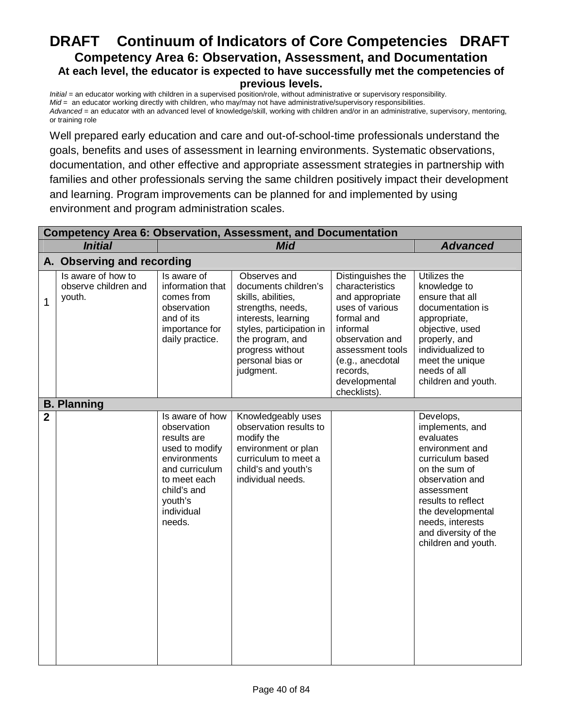# **DRAFT Continuum of Indicators of Core Competencies DRAFT Competency Area 6: Observation, Assessment, and Documentation At each level, the educator is expected to have successfully met the competencies of previous levels.**

*Initial* = an educator working with children in a supervised position/role, without administrative or supervisory responsibility. *Mid* = an educator working directly with children, who may/may not have administrative/supervisory responsibilities. *Advanced* = an educator with an advanced level of knowledge/skill, working with children and/or in an administrative, supervisory, mentoring, or training role

Well prepared early education and care and out-of-school-time professionals understand the goals, benefits and uses of assessment in learning environments. Systematic observations, documentation, and other effective and appropriate assessment strategies in partnership with families and other professionals serving the same children positively impact their development and learning. Program improvements can be planned for and implemented by using environment and program administration scales.

|                | <b>Competency Area 6: Observation, Assessment, and Documentation</b> |                                                                                                                                                                     |                                                                                                                                                                                                             |                                                                                                                                                                                                              |                                                                                                                                                                                                                                                  |  |  |
|----------------|----------------------------------------------------------------------|---------------------------------------------------------------------------------------------------------------------------------------------------------------------|-------------------------------------------------------------------------------------------------------------------------------------------------------------------------------------------------------------|--------------------------------------------------------------------------------------------------------------------------------------------------------------------------------------------------------------|--------------------------------------------------------------------------------------------------------------------------------------------------------------------------------------------------------------------------------------------------|--|--|
|                | <b>Initial</b><br><b>Mid</b><br><b>Advanced</b>                      |                                                                                                                                                                     |                                                                                                                                                                                                             |                                                                                                                                                                                                              |                                                                                                                                                                                                                                                  |  |  |
|                | A. Observing and recording                                           |                                                                                                                                                                     |                                                                                                                                                                                                             |                                                                                                                                                                                                              |                                                                                                                                                                                                                                                  |  |  |
| 1              | Is aware of how to<br>observe children and<br>youth.                 | Is aware of<br>information that<br>comes from<br>observation<br>and of its<br>importance for<br>daily practice.                                                     | Observes and<br>documents children's<br>skills, abilities,<br>strengths, needs,<br>interests, learning<br>styles, participation in<br>the program, and<br>progress without<br>personal bias or<br>judgment. | Distinguishes the<br>characteristics<br>and appropriate<br>uses of various<br>formal and<br>informal<br>observation and<br>assessment tools<br>(e.g., anecdotal<br>records,<br>developmental<br>checklists). | Utilizes the<br>knowledge to<br>ensure that all<br>documentation is<br>appropriate,<br>objective, used<br>properly, and<br>individualized to<br>meet the unique<br>needs of all<br>children and youth.                                           |  |  |
|                | <b>B. Planning</b>                                                   |                                                                                                                                                                     |                                                                                                                                                                                                             |                                                                                                                                                                                                              |                                                                                                                                                                                                                                                  |  |  |
| $\overline{2}$ |                                                                      | Is aware of how<br>observation<br>results are<br>used to modify<br>environments<br>and curriculum<br>to meet each<br>child's and<br>youth's<br>individual<br>needs. | Knowledgeably uses<br>observation results to<br>modify the<br>environment or plan<br>curriculum to meet a<br>child's and youth's<br>individual needs.                                                       |                                                                                                                                                                                                              | Develops,<br>implements, and<br>evaluates<br>environment and<br>curriculum based<br>on the sum of<br>observation and<br>assessment<br>results to reflect<br>the developmental<br>needs, interests<br>and diversity of the<br>children and youth. |  |  |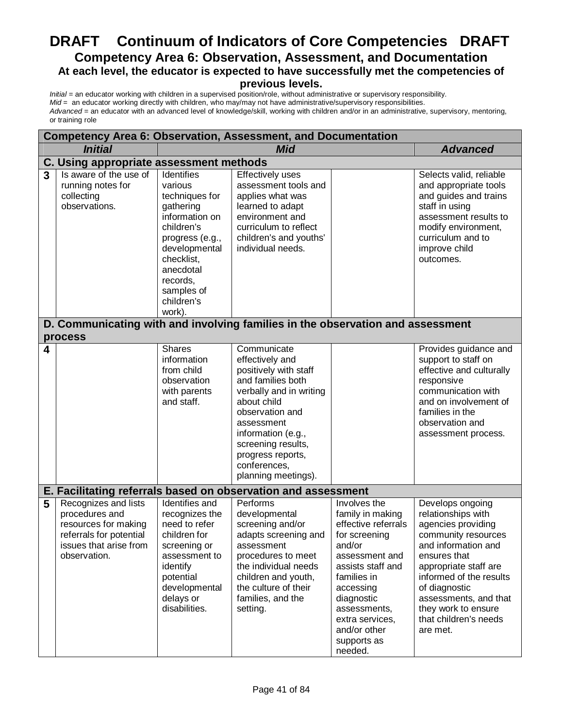# **DRAFT Continuum of Indicators of Core Competencies DRAFT Competency Area 6: Observation, Assessment, and Documentation At each level, the educator is expected to have successfully met the competencies of previous levels.**

|   | <b>Competency Area 6: Observation, Assessment, and Documentation</b>                                                                |                                                                                                                                                                                                       |                                                                                                                                                                                                                                                                 |                                                                                                                                                                                                                                                  |                                                                                                                                                                                                                                                                                      |
|---|-------------------------------------------------------------------------------------------------------------------------------------|-------------------------------------------------------------------------------------------------------------------------------------------------------------------------------------------------------|-----------------------------------------------------------------------------------------------------------------------------------------------------------------------------------------------------------------------------------------------------------------|--------------------------------------------------------------------------------------------------------------------------------------------------------------------------------------------------------------------------------------------------|--------------------------------------------------------------------------------------------------------------------------------------------------------------------------------------------------------------------------------------------------------------------------------------|
|   | <b>Initial</b>                                                                                                                      |                                                                                                                                                                                                       | <b>Mid</b>                                                                                                                                                                                                                                                      |                                                                                                                                                                                                                                                  | <b>Advanced</b>                                                                                                                                                                                                                                                                      |
|   | C. Using appropriate assessment methods                                                                                             |                                                                                                                                                                                                       |                                                                                                                                                                                                                                                                 |                                                                                                                                                                                                                                                  |                                                                                                                                                                                                                                                                                      |
| 3 | Is aware of the use of<br>running notes for<br>collecting<br>observations.                                                          | Identifies<br>various<br>techniques for<br>gathering<br>information on<br>children's<br>progress (e.g.,<br>developmental<br>checklist,<br>anecdotal<br>records,<br>samples of<br>children's<br>work). | Effectively uses<br>assessment tools and<br>applies what was<br>learned to adapt<br>environment and<br>curriculum to reflect<br>children's and youths'<br>individual needs.                                                                                     |                                                                                                                                                                                                                                                  | Selects valid, reliable<br>and appropriate tools<br>and guides and trains<br>staff in using<br>assessment results to<br>modify environment,<br>curriculum and to<br>improve child<br>outcomes.                                                                                       |
|   | D. Communicating with and involving families in the observation and assessment                                                      |                                                                                                                                                                                                       |                                                                                                                                                                                                                                                                 |                                                                                                                                                                                                                                                  |                                                                                                                                                                                                                                                                                      |
|   | process                                                                                                                             |                                                                                                                                                                                                       |                                                                                                                                                                                                                                                                 |                                                                                                                                                                                                                                                  |                                                                                                                                                                                                                                                                                      |
| 4 |                                                                                                                                     | <b>Shares</b><br>information<br>from child<br>observation<br>with parents<br>and staff.                                                                                                               | Communicate<br>effectively and<br>positively with staff<br>and families both<br>verbally and in writing<br>about child<br>observation and<br>assessment<br>information (e.g.,<br>screening results,<br>progress reports,<br>conferences,<br>planning meetings). |                                                                                                                                                                                                                                                  | Provides guidance and<br>support to staff on<br>effective and culturally<br>responsive<br>communication with<br>and on involvement of<br>families in the<br>observation and<br>assessment process.                                                                                   |
|   | E. Facilitating referrals based on observation and assessment                                                                       |                                                                                                                                                                                                       |                                                                                                                                                                                                                                                                 |                                                                                                                                                                                                                                                  |                                                                                                                                                                                                                                                                                      |
| 5 | Recognizes and lists<br>procedures and<br>resources for making<br>referrals for potential<br>issues that arise from<br>observation. | Identifies and<br>recognizes the<br>need to refer<br>children for<br>screening or<br>assessment to<br>identify<br>potential<br>developmental<br>delays or<br>disabilities.                            | Performs<br>developmental<br>screening and/or<br>adapts screening and<br>assessment<br>procedures to meet<br>the individual needs<br>children and youth,<br>the culture of their<br>families, and the<br>setting.                                               | Involves the<br>family in making<br>effective referrals<br>for screening<br>and/or<br>assessment and<br>assists staff and<br>families in<br>accessing<br>diagnostic<br>assessments,<br>extra services,<br>and/or other<br>supports as<br>needed. | Develops ongoing<br>relationships with<br>agencies providing<br>community resources<br>and information and<br>ensures that<br>appropriate staff are<br>informed of the results<br>of diagnostic<br>assessments, and that<br>they work to ensure<br>that children's needs<br>are met. |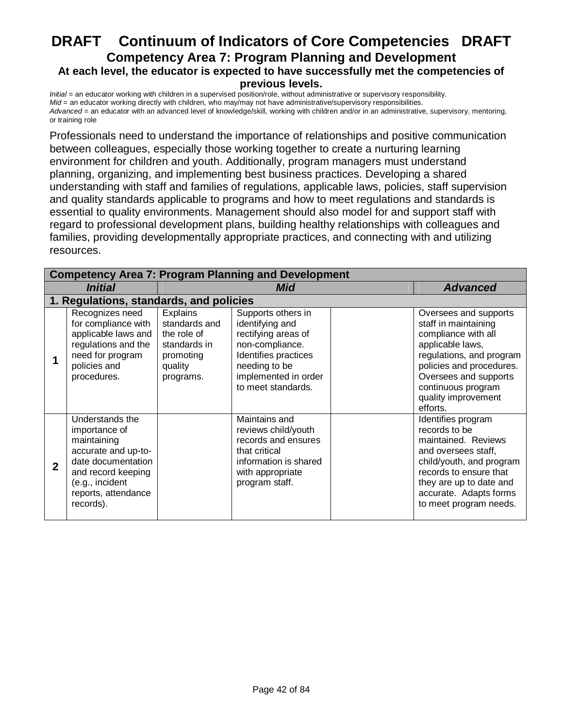# **DRAFT Continuum of Indicators of Core Competencies DRAFT Competency Area 7: Program Planning and Development At each level, the educator is expected to have successfully met the competencies of previous levels.**

*Initial* = an educator working with children in a supervised position/role, without administrative or supervisory responsibility. *Mid* = an educator working directly with children, who may/may not have administrative/supervisory responsibilities. *Advanced* = an educator with an advanced level of knowledge/skill, working with children and/or in an administrative, supervisory, mentoring, or training role

Professionals need to understand the importance of relationships and positive communication between colleagues, especially those working together to create a nurturing learning environment for children and youth. Additionally, program managers must understand planning, organizing, and implementing best business practices. Developing a shared understanding with staff and families of regulations, applicable laws, policies, staff supervision and quality standards applicable to programs and how to meet regulations and standards is essential to quality environments. Management should also model for and support staff with regard to professional development plans, building healthy relationships with colleagues and families, providing developmentally appropriate practices, and connecting with and utilizing resources.

|              | <b>Competency Area 7: Program Planning and Development</b>                                                                                                                |                                                                                                      |                                                                                                                                                                        |  |                                                                                                                                                                                                                                    |  |  |
|--------------|---------------------------------------------------------------------------------------------------------------------------------------------------------------------------|------------------------------------------------------------------------------------------------------|------------------------------------------------------------------------------------------------------------------------------------------------------------------------|--|------------------------------------------------------------------------------------------------------------------------------------------------------------------------------------------------------------------------------------|--|--|
|              | <i><b>Initial</b></i>                                                                                                                                                     |                                                                                                      | Mid                                                                                                                                                                    |  | <b>Advanced</b>                                                                                                                                                                                                                    |  |  |
|              | 1. Regulations, standards, and policies                                                                                                                                   |                                                                                                      |                                                                                                                                                                        |  |                                                                                                                                                                                                                                    |  |  |
|              | Recognizes need<br>for compliance with<br>applicable laws and<br>regulations and the<br>need for program<br>policies and<br>procedures.                                   | <b>Explains</b><br>standards and<br>the role of<br>standards in<br>promoting<br>quality<br>programs. | Supports others in<br>identifying and<br>rectifying areas of<br>non-compliance.<br>Identifies practices<br>needing to be<br>implemented in order<br>to meet standards. |  | Oversees and supports<br>staff in maintaining<br>compliance with all<br>applicable laws,<br>regulations, and program<br>policies and procedures.<br>Oversees and supports<br>continuous program<br>quality improvement<br>efforts. |  |  |
| $\mathbf{2}$ | Understands the<br>importance of<br>maintaining<br>accurate and up-to-<br>date documentation<br>and record keeping<br>(e.g., incident<br>reports, attendance<br>records). |                                                                                                      | Maintains and<br>reviews child/youth<br>records and ensures<br>that critical<br>information is shared<br>with appropriate<br>program staff.                            |  | Identifies program<br>records to be<br>maintained. Reviews<br>and oversees staff,<br>child/youth, and program<br>records to ensure that<br>they are up to date and<br>accurate. Adapts forms<br>to meet program needs.             |  |  |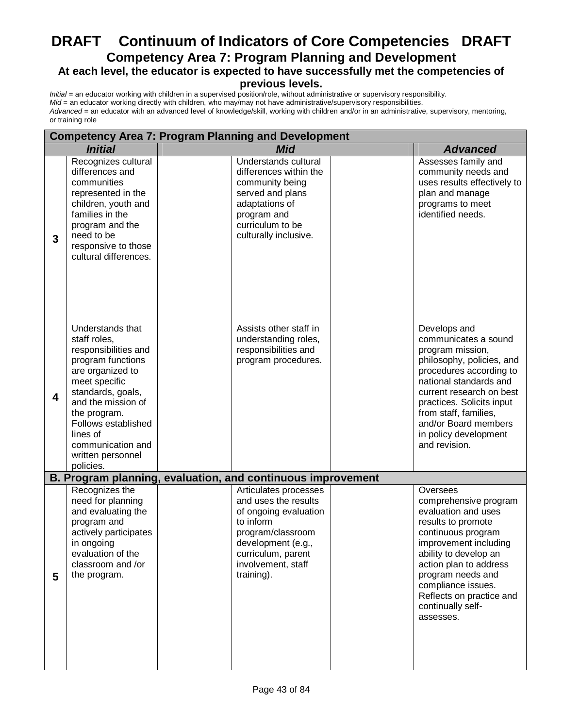# **DRAFT Continuum of Indicators of Core Competencies DRAFT Competency Area 7: Program Planning and Development At each level, the educator is expected to have successfully met the competencies of**

# **previous levels.**

|                              | <b>Competency Area 7: Program Planning and Development</b>                                                                                                                                                                                                              |  |                                                                                                                                                                                          |  |                                                                                                                                                                                                                                                                                                |  |
|------------------------------|-------------------------------------------------------------------------------------------------------------------------------------------------------------------------------------------------------------------------------------------------------------------------|--|------------------------------------------------------------------------------------------------------------------------------------------------------------------------------------------|--|------------------------------------------------------------------------------------------------------------------------------------------------------------------------------------------------------------------------------------------------------------------------------------------------|--|
| <b>Initial</b><br><b>Mid</b> |                                                                                                                                                                                                                                                                         |  | <b>Advanced</b>                                                                                                                                                                          |  |                                                                                                                                                                                                                                                                                                |  |
| 3                            | Recognizes cultural<br>differences and<br>communities<br>represented in the<br>children, youth and<br>families in the<br>program and the<br>need to be<br>responsive to those<br>cultural differences.                                                                  |  | Understands cultural<br>differences within the<br>community being<br>served and plans<br>adaptations of<br>program and<br>curriculum to be<br>culturally inclusive.                      |  | Assesses family and<br>community needs and<br>uses results effectively to<br>plan and manage<br>programs to meet<br>identified needs.                                                                                                                                                          |  |
| 4                            | Understands that<br>staff roles,<br>responsibilities and<br>program functions<br>are organized to<br>meet specific<br>standards, goals,<br>and the mission of<br>the program.<br>Follows established<br>lines of<br>communication and<br>written personnel<br>policies. |  | Assists other staff in<br>understanding roles,<br>responsibilities and<br>program procedures.                                                                                            |  | Develops and<br>communicates a sound<br>program mission,<br>philosophy, policies, and<br>procedures according to<br>national standards and<br>current research on best<br>practices. Solicits input<br>from staff, families,<br>and/or Board members<br>in policy development<br>and revision. |  |
|                              |                                                                                                                                                                                                                                                                         |  | B. Program planning, evaluation, and continuous improvement                                                                                                                              |  |                                                                                                                                                                                                                                                                                                |  |
| 5                            | Recognizes the<br>need for planning<br>and evaluating the<br>program and<br>actively participates<br>in ongoing<br>evaluation of the<br>classroom and /or<br>the program.                                                                                               |  | Articulates processes<br>and uses the results<br>of ongoing evaluation<br>to inform<br>program/classroom<br>development (e.g.,<br>curriculum, parent<br>involvement, staff<br>training). |  | Oversees<br>comprehensive program<br>evaluation and uses<br>results to promote<br>continuous program<br>improvement including<br>ability to develop an<br>action plan to address<br>program needs and<br>compliance issues.<br>Reflects on practice and<br>continually self-<br>assesses.      |  |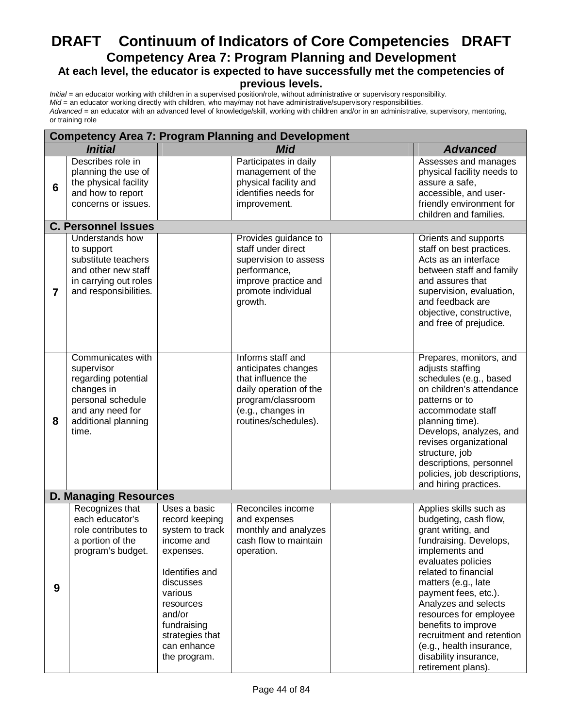# **DRAFT Continuum of Indicators of Core Competencies DRAFT Competency Area 7: Program Planning and Development At each level, the educator is expected to have successfully met the competencies of**

# **previous levels.**

|                | <b>Competency Area 7: Program Planning and Development</b>                                                                                    |                                                                                                                                                                                                                |                                                                                                                                                            |  |                                                                                                                                                                                                                                                                                                                                                                                                 |  |  |
|----------------|-----------------------------------------------------------------------------------------------------------------------------------------------|----------------------------------------------------------------------------------------------------------------------------------------------------------------------------------------------------------------|------------------------------------------------------------------------------------------------------------------------------------------------------------|--|-------------------------------------------------------------------------------------------------------------------------------------------------------------------------------------------------------------------------------------------------------------------------------------------------------------------------------------------------------------------------------------------------|--|--|
|                | <b>Initial</b>                                                                                                                                |                                                                                                                                                                                                                | <b>Mid</b>                                                                                                                                                 |  | <b>Advanced</b>                                                                                                                                                                                                                                                                                                                                                                                 |  |  |
| 6              | Describes role in<br>planning the use of<br>the physical facility<br>and how to report<br>concerns or issues.                                 |                                                                                                                                                                                                                | Participates in daily<br>management of the<br>physical facility and<br>identifies needs for<br>improvement.                                                |  | Assesses and manages<br>physical facility needs to<br>assure a safe,<br>accessible, and user-<br>friendly environment for<br>children and families.                                                                                                                                                                                                                                             |  |  |
|                | <b>C. Personnel Issues</b>                                                                                                                    |                                                                                                                                                                                                                |                                                                                                                                                            |  |                                                                                                                                                                                                                                                                                                                                                                                                 |  |  |
| $\overline{7}$ | Understands how<br>to support<br>substitute teachers<br>and other new staff<br>in carrying out roles<br>and responsibilities.                 |                                                                                                                                                                                                                | Provides guidance to<br>staff under direct<br>supervision to assess<br>performance,<br>improve practice and<br>promote individual<br>growth.               |  | Orients and supports<br>staff on best practices.<br>Acts as an interface<br>between staff and family<br>and assures that<br>supervision, evaluation,<br>and feedback are<br>objective, constructive,<br>and free of prejudice.                                                                                                                                                                  |  |  |
| 8              | Communicates with<br>supervisor<br>regarding potential<br>changes in<br>personal schedule<br>and any need for<br>additional planning<br>time. |                                                                                                                                                                                                                | Informs staff and<br>anticipates changes<br>that influence the<br>daily operation of the<br>program/classroom<br>(e.g., changes in<br>routines/schedules). |  | Prepares, monitors, and<br>adjusts staffing<br>schedules (e.g., based<br>on children's attendance<br>patterns or to<br>accommodate staff<br>planning time).<br>Develops, analyzes, and<br>revises organizational<br>structure, job<br>descriptions, personnel<br>policies, job descriptions,<br>and hiring practices.                                                                           |  |  |
|                | <b>D. Managing Resources</b>                                                                                                                  |                                                                                                                                                                                                                |                                                                                                                                                            |  |                                                                                                                                                                                                                                                                                                                                                                                                 |  |  |
| 9              | Recognizes that<br>each educator's<br>role contributes to<br>a portion of the<br>program's budget.                                            | Uses a basic<br>record keeping<br>system to track<br>income and<br>expenses.<br>Identifies and<br>discusses<br>various<br>resources<br>and/or<br>fundraising<br>strategies that<br>can enhance<br>the program. | Reconciles income<br>and expenses<br>monthly and analyzes<br>cash flow to maintain<br>operation.                                                           |  | Applies skills such as<br>budgeting, cash flow,<br>grant writing, and<br>fundraising. Develops,<br>implements and<br>evaluates policies<br>related to financial<br>matters (e.g., late<br>payment fees, etc.).<br>Analyzes and selects<br>resources for employee<br>benefits to improve<br>recruitment and retention<br>(e.g., health insurance,<br>disability insurance,<br>retirement plans). |  |  |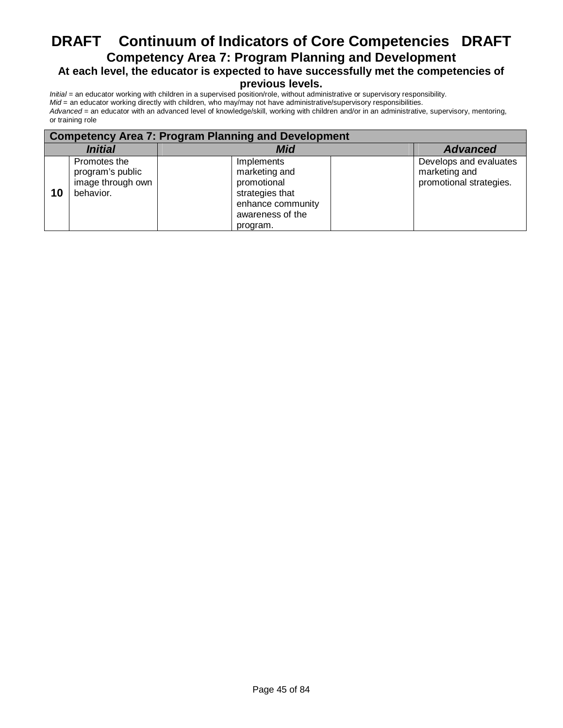# **DRAFT Continuum of Indicators of Core Competencies DRAFT Competency Area 7: Program Planning and Development At each level, the educator is expected to have successfully met the competencies of**

# **previous levels.**

|                       | <b>Competency Area 7: Program Planning and Development</b>         |                                                                                                                    |                                                                    |  |  |  |  |
|-----------------------|--------------------------------------------------------------------|--------------------------------------------------------------------------------------------------------------------|--------------------------------------------------------------------|--|--|--|--|
| <i><b>Initial</b></i> |                                                                    | <b>Mid</b>                                                                                                         | <b>Advanced</b>                                                    |  |  |  |  |
| 10                    | Promotes the<br>program's public<br>image through own<br>behavior. | Implements<br>marketing and<br>promotional<br>strategies that<br>enhance community<br>awareness of the<br>program. | Develops and evaluates<br>marketing and<br>promotional strategies. |  |  |  |  |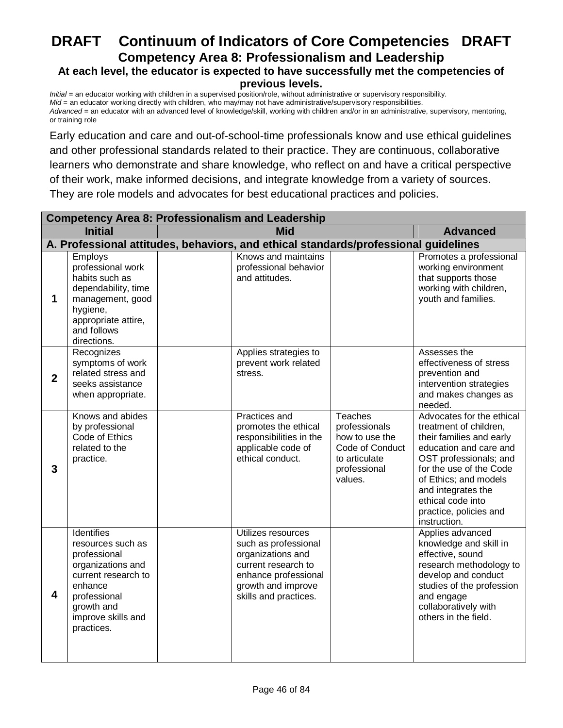# **DRAFT Continuum of Indicators of Core Competencies DRAFT Competency Area 8: Professionalism and Leadership At each level, the educator is expected to have successfully met the competencies of previous levels.**

*Initial* = an educator working with children in a supervised position/role, without administrative or supervisory responsibility. *Mid* = an educator working directly with children, who may/may not have administrative/supervisory responsibilities. *Advanced* = an educator with an advanced level of knowledge/skill, working with children and/or in an administrative, supervisory, mentoring, or training role

Early education and care and out-of-school-time professionals know and use ethical guidelines and other professional standards related to their practice. They are continuous, collaborative learners who demonstrate and share knowledge, who reflect on and have a critical perspective of their work, make informed decisions, and integrate knowledge from a variety of sources. They are role models and advocates for best educational practices and policies.

|                | <b>Competency Area 8: Professionalism and Leadership</b>                                                                                                                        |  |                                                                                                                                                               |                                                                                                                  |                                                                                                                                                                                                                                                                              |
|----------------|---------------------------------------------------------------------------------------------------------------------------------------------------------------------------------|--|---------------------------------------------------------------------------------------------------------------------------------------------------------------|------------------------------------------------------------------------------------------------------------------|------------------------------------------------------------------------------------------------------------------------------------------------------------------------------------------------------------------------------------------------------------------------------|
|                | <b>Initial</b>                                                                                                                                                                  |  | <b>Mid</b>                                                                                                                                                    |                                                                                                                  | <b>Advanced</b>                                                                                                                                                                                                                                                              |
|                |                                                                                                                                                                                 |  | A. Professional attitudes, behaviors, and ethical standards/professional guidelines                                                                           |                                                                                                                  |                                                                                                                                                                                                                                                                              |
| 1              | Employs<br>professional work<br>habits such as<br>dependability, time<br>management, good<br>hygiene,<br>appropriate attire,<br>and follows<br>directions.                      |  | Knows and maintains<br>professional behavior<br>and attitudes.                                                                                                |                                                                                                                  | Promotes a professional<br>working environment<br>that supports those<br>working with children,<br>youth and families.                                                                                                                                                       |
| $\overline{2}$ | Recognizes<br>symptoms of work<br>related stress and<br>seeks assistance<br>when appropriate.                                                                                   |  | Applies strategies to<br>prevent work related<br>stress.                                                                                                      |                                                                                                                  | Assesses the<br>effectiveness of stress<br>prevention and<br>intervention strategies<br>and makes changes as<br>needed.                                                                                                                                                      |
| 3              | Knows and abides<br>by professional<br>Code of Ethics<br>related to the<br>practice.                                                                                            |  | <b>Practices</b> and<br>promotes the ethical<br>responsibilities in the<br>applicable code of<br>ethical conduct.                                             | <b>Teaches</b><br>professionals<br>how to use the<br>Code of Conduct<br>to articulate<br>professional<br>values. | Advocates for the ethical<br>treatment of children,<br>their families and early<br>education and care and<br>OST professionals; and<br>for the use of the Code<br>of Ethics; and models<br>and integrates the<br>ethical code into<br>practice, policies and<br>instruction. |
| 4              | <b>Identifies</b><br>resources such as<br>professional<br>organizations and<br>current research to<br>enhance<br>professional<br>growth and<br>improve skills and<br>practices. |  | Utilizes resources<br>such as professional<br>organizations and<br>current research to<br>enhance professional<br>growth and improve<br>skills and practices. |                                                                                                                  | Applies advanced<br>knowledge and skill in<br>effective, sound<br>research methodology to<br>develop and conduct<br>studies of the profession<br>and engage<br>collaboratively with<br>others in the field.                                                                  |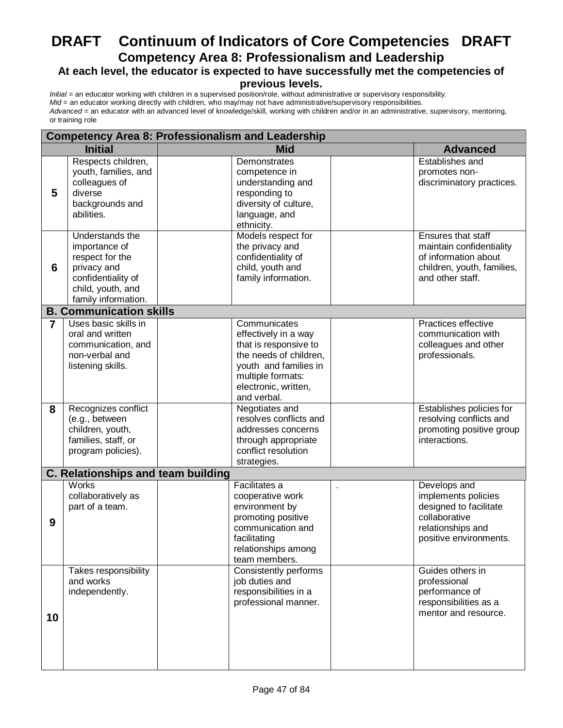# **DRAFT Continuum of Indicators of Core Competencies DRAFT Competency Area 8: Professionalism and Leadership**

# **At each level, the educator is expected to have successfully met the competencies of**

# **previous levels.**

|    | <b>Competency Area 8: Professionalism and Leadership</b>                                                                             |  |                                                                                                                                                                              |  |                                                                                                                               |  |
|----|--------------------------------------------------------------------------------------------------------------------------------------|--|------------------------------------------------------------------------------------------------------------------------------------------------------------------------------|--|-------------------------------------------------------------------------------------------------------------------------------|--|
|    | <b>Initial</b>                                                                                                                       |  | <b>Mid</b>                                                                                                                                                                   |  | <b>Advanced</b>                                                                                                               |  |
| 5  | Respects children,<br>youth, families, and<br>colleagues of<br>diverse<br>backgrounds and<br>abilities.                              |  | Demonstrates<br>competence in<br>understanding and<br>responding to<br>diversity of culture,<br>language, and<br>ethnicity.                                                  |  | Establishes and<br>promotes non-<br>discriminatory practices.                                                                 |  |
| 6  | Understands the<br>importance of<br>respect for the<br>privacy and<br>confidentiality of<br>child, youth, and<br>family information. |  | Models respect for<br>the privacy and<br>confidentiality of<br>child, youth and<br>family information.                                                                       |  | Ensures that staff<br>maintain confidentiality<br>of information about<br>children, youth, families,<br>and other staff.      |  |
|    | <b>B. Communication skills</b>                                                                                                       |  |                                                                                                                                                                              |  |                                                                                                                               |  |
| 7  | Uses basic skills in<br>oral and written<br>communication, and<br>non-verbal and<br>listening skills.                                |  | Communicates<br>effectively in a way<br>that is responsive to<br>the needs of children,<br>youth and families in<br>multiple formats:<br>electronic, written,<br>and verbal. |  | Practices effective<br>communication with<br>colleagues and other<br>professionals.                                           |  |
| 8  | Recognizes conflict<br>(e.g., between<br>children, youth,<br>families, staff, or<br>program policies).                               |  | Negotiates and<br>resolves conflicts and<br>addresses concerns<br>through appropriate<br>conflict resolution<br>strategies.                                                  |  | Establishes policies for<br>resolving conflicts and<br>promoting positive group<br>interactions.                              |  |
|    | <b>C. Relationships and team building</b>                                                                                            |  |                                                                                                                                                                              |  |                                                                                                                               |  |
| 9  | Works<br>collaboratively as<br>part of a team.                                                                                       |  | Facilitates a<br>cooperative work<br>environment by<br>promoting positive<br>communication and<br>facilitating<br>relationships among<br>team members.                       |  | Develops and<br>implements policies<br>designed to facilitate<br>collaborative<br>relationships and<br>positive environments. |  |
| 10 | Takes responsibility<br>and works<br>independently.                                                                                  |  | Consistently performs<br>job duties and<br>responsibilities in a<br>professional manner.                                                                                     |  | Guides others in<br>professional<br>performance of<br>responsibilities as a<br>mentor and resource.                           |  |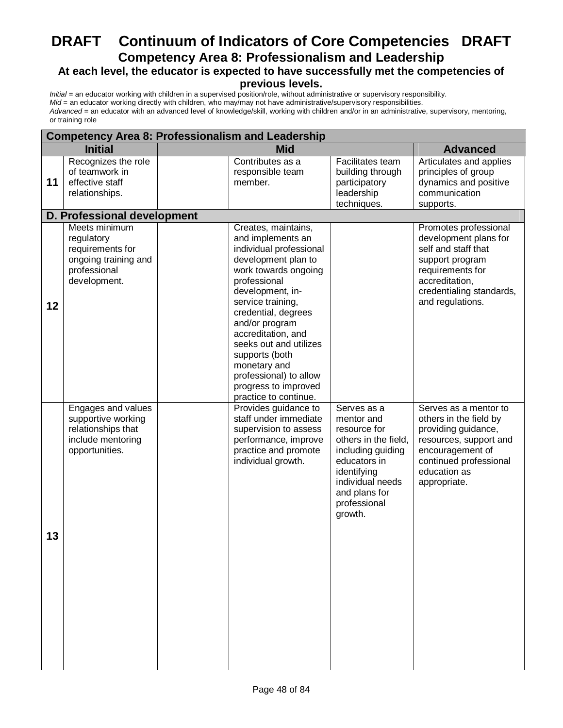# **DRAFT Continuum of Indicators of Core Competencies DRAFT Competency Area 8: Professionalism and Leadership**

# **At each level, the educator is expected to have successfully met the competencies of**

# **previous levels.**

|    | <b>Competency Area 8: Professionalism and Leadership</b>                                                |  |                                                                                                                                                                                                                                                                                                                                                                                   |                                                                                                                                                                                       |                                                                                                                                                                                |  |  |
|----|---------------------------------------------------------------------------------------------------------|--|-----------------------------------------------------------------------------------------------------------------------------------------------------------------------------------------------------------------------------------------------------------------------------------------------------------------------------------------------------------------------------------|---------------------------------------------------------------------------------------------------------------------------------------------------------------------------------------|--------------------------------------------------------------------------------------------------------------------------------------------------------------------------------|--|--|
|    | <b>Initial</b>                                                                                          |  | <b>Mid</b>                                                                                                                                                                                                                                                                                                                                                                        |                                                                                                                                                                                       | <b>Advanced</b>                                                                                                                                                                |  |  |
| 11 | Recognizes the role<br>of teamwork in<br>effective staff<br>relationships.                              |  | Contributes as a<br>responsible team<br>member.                                                                                                                                                                                                                                                                                                                                   | Facilitates team<br>building through<br>participatory<br>leadership<br>techniques.                                                                                                    | Articulates and applies<br>principles of group<br>dynamics and positive<br>communication<br>supports.                                                                          |  |  |
|    | D. Professional development                                                                             |  |                                                                                                                                                                                                                                                                                                                                                                                   |                                                                                                                                                                                       |                                                                                                                                                                                |  |  |
| 12 | Meets minimum<br>regulatory<br>requirements for<br>ongoing training and<br>professional<br>development. |  | Creates, maintains,<br>and implements an<br>individual professional<br>development plan to<br>work towards ongoing<br>professional<br>development, in-<br>service training,<br>credential, degrees<br>and/or program<br>accreditation, and<br>seeks out and utilizes<br>supports (both<br>monetary and<br>professional) to allow<br>progress to improved<br>practice to continue. |                                                                                                                                                                                       | Promotes professional<br>development plans for<br>self and staff that<br>support program<br>requirements for<br>accreditation,<br>credentialing standards,<br>and regulations. |  |  |
| 13 | Engages and values<br>supportive working<br>relationships that<br>include mentoring<br>opportunities.   |  | Provides guidance to<br>staff under immediate<br>supervision to assess<br>performance, improve<br>practice and promote<br>individual growth.                                                                                                                                                                                                                                      | Serves as a<br>mentor and<br>resource for<br>others in the field,<br>including guiding<br>educators in<br>identifying<br>individual needs<br>and plans for<br>professional<br>growth. | Serves as a mentor to<br>others in the field by<br>providing guidance,<br>resources, support and<br>encouragement of<br>continued professional<br>education as<br>appropriate. |  |  |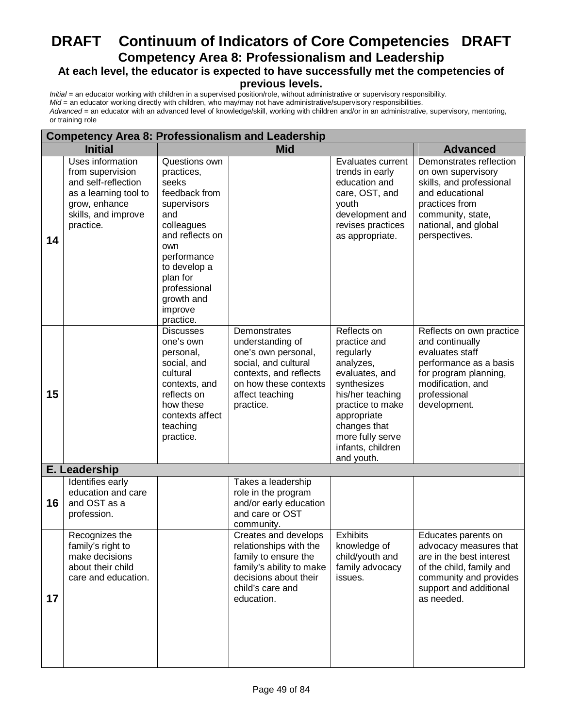# **DRAFT Continuum of Indicators of Core Competencies DRAFT Competency Area 8: Professionalism and Leadership At each level, the educator is expected to have successfully met the competencies of**

# **previous levels.**

| <b>Competency Area 8: Professionalism and Leadership</b> |                                                                                                                                           |                                                                                                                                                                                                                      |                                                                                                                                                                    |                                                                                                                                                                                                                      |                                                                                                                                                                              |  |  |  |
|----------------------------------------------------------|-------------------------------------------------------------------------------------------------------------------------------------------|----------------------------------------------------------------------------------------------------------------------------------------------------------------------------------------------------------------------|--------------------------------------------------------------------------------------------------------------------------------------------------------------------|----------------------------------------------------------------------------------------------------------------------------------------------------------------------------------------------------------------------|------------------------------------------------------------------------------------------------------------------------------------------------------------------------------|--|--|--|
|                                                          | <b>Initial</b>                                                                                                                            |                                                                                                                                                                                                                      | <b>Mid</b>                                                                                                                                                         |                                                                                                                                                                                                                      |                                                                                                                                                                              |  |  |  |
| 14                                                       | Uses information<br>from supervision<br>and self-reflection<br>as a learning tool to<br>grow, enhance<br>skills, and improve<br>practice. | Questions own<br>practices,<br>seeks<br>feedback from<br>supervisors<br>and<br>colleagues<br>and reflects on<br>own<br>performance<br>to develop a<br>plan for<br>professional<br>growth and<br>improve<br>practice. |                                                                                                                                                                    | Evaluates current<br>trends in early<br>education and<br>care, OST, and<br>youth<br>development and<br>revises practices<br>as appropriate.                                                                          | Demonstrates reflection<br>on own supervisory<br>skills, and professional<br>and educational<br>practices from<br>community, state,<br>national, and global<br>perspectives. |  |  |  |
| 15                                                       |                                                                                                                                           | <b>Discusses</b><br>one's own<br>personal,<br>social, and<br>cultural<br>contexts, and<br>reflects on<br>how these<br>contexts affect<br>teaching<br>practice.                                                       | Demonstrates<br>understanding of<br>one's own personal,<br>social, and cultural<br>contexts, and reflects<br>on how these contexts<br>affect teaching<br>practice. | Reflects on<br>practice and<br>regularly<br>analyzes,<br>evaluates, and<br>synthesizes<br>his/her teaching<br>practice to make<br>appropriate<br>changes that<br>more fully serve<br>infants, children<br>and youth. | Reflects on own practice<br>and continually<br>evaluates staff<br>performance as a basis<br>for program planning,<br>modification, and<br>professional<br>development.       |  |  |  |
| E. Leadership                                            |                                                                                                                                           |                                                                                                                                                                                                                      |                                                                                                                                                                    |                                                                                                                                                                                                                      |                                                                                                                                                                              |  |  |  |
| 16                                                       | Identifies early<br>education and care<br>and OST as a<br>profession.                                                                     |                                                                                                                                                                                                                      | Takes a leadership<br>role in the program<br>and/or early education<br>and care or OST<br>community.                                                               |                                                                                                                                                                                                                      |                                                                                                                                                                              |  |  |  |
| 17                                                       | Recognizes the<br>family's right to<br>make decisions<br>about their child<br>care and education.                                         |                                                                                                                                                                                                                      | Creates and develops<br>relationships with the<br>family to ensure the<br>family's ability to make<br>decisions about their<br>child's care and<br>education.      | <b>Exhibits</b><br>knowledge of<br>child/youth and<br>family advocacy<br>issues.                                                                                                                                     | Educates parents on<br>advocacy measures that<br>are in the best interest<br>of the child, family and<br>community and provides<br>support and additional<br>as needed.      |  |  |  |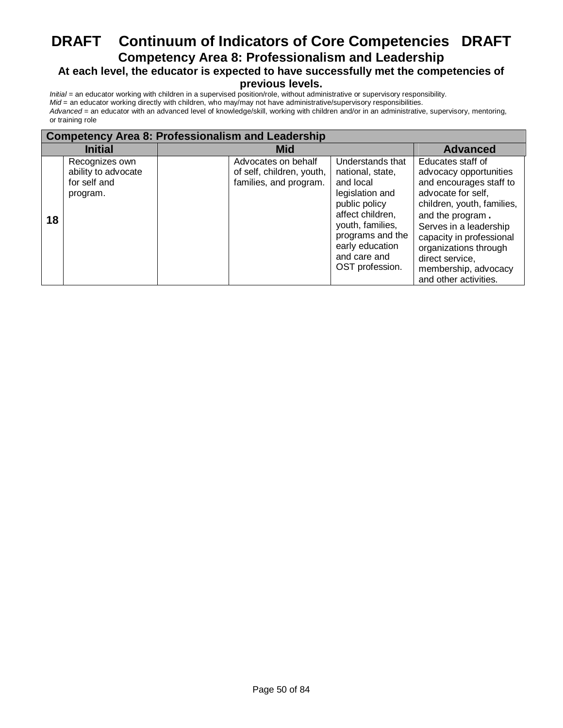# **DRAFT Continuum of Indicators of Core Competencies DRAFT Competency Area 8: Professionalism and Leadership At each level, the educator is expected to have successfully met the competencies of**

#### **previous levels.**

| <b>Competency Area 8: Professionalism and Leadership</b> |                                                                   |                                                                            |                                                                                                                                                                                                         |                                                                                                                                                                                                                                                                                                   |  |  |  |  |
|----------------------------------------------------------|-------------------------------------------------------------------|----------------------------------------------------------------------------|---------------------------------------------------------------------------------------------------------------------------------------------------------------------------------------------------------|---------------------------------------------------------------------------------------------------------------------------------------------------------------------------------------------------------------------------------------------------------------------------------------------------|--|--|--|--|
| <b>Initial</b>                                           |                                                                   | <b>Mid</b>                                                                 | <b>Advanced</b>                                                                                                                                                                                         |                                                                                                                                                                                                                                                                                                   |  |  |  |  |
| 18                                                       | Recognizes own<br>ability to advocate<br>for self and<br>program. | Advocates on behalf<br>of self, children, youth,<br>families, and program. | Understands that<br>national, state,<br>and local<br>legislation and<br>public policy<br>affect children,<br>youth, families,<br>programs and the<br>early education<br>and care and<br>OST profession. | Educates staff of<br>advocacy opportunities<br>and encourages staff to<br>advocate for self,<br>children, youth, families,<br>and the program.<br>Serves in a leadership<br>capacity in professional<br>organizations through<br>direct service.<br>membership, advocacy<br>and other activities. |  |  |  |  |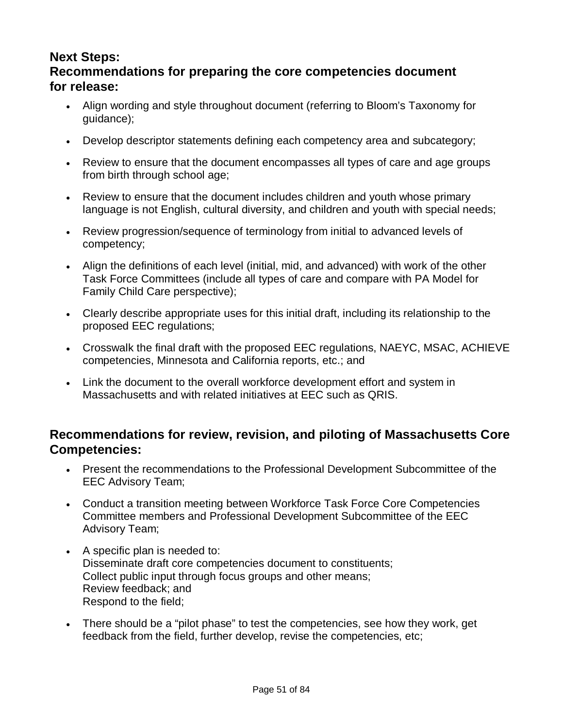# **Next Steps: Recommendations for preparing the core competencies document for release:**

- Align wording and style throughout document (referring to Bloom's Taxonomy for guidance);
- Develop descriptor statements defining each competency area and subcategory;
- Review to ensure that the document encompasses all types of care and age groups from birth through school age;
- Review to ensure that the document includes children and youth whose primary language is not English, cultural diversity, and children and youth with special needs;
- Review progression/sequence of terminology from initial to advanced levels of competency;
- Align the definitions of each level (initial, mid, and advanced) with work of the other Task Force Committees (include all types of care and compare with PA Model for Family Child Care perspective);
- Clearly describe appropriate uses for this initial draft, including its relationship to the proposed EEC regulations;
- Crosswalk the final draft with the proposed EEC regulations, NAEYC, MSAC, ACHIEVE competencies, Minnesota and California reports, etc.; and
- Link the document to the overall workforce development effort and system in Massachusetts and with related initiatives at EEC such as QRIS.

# **Recommendations for review, revision, and piloting of Massachusetts Core Competencies:**

- Present the recommendations to the Professional Development Subcommittee of the EEC Advisory Team;
- Conduct a transition meeting between Workforce Task Force Core Competencies Committee members and Professional Development Subcommittee of the EEC Advisory Team;
- A specific plan is needed to: Disseminate draft core competencies document to constituents; Collect public input through focus groups and other means; Review feedback; and Respond to the field;
- There should be a "pilot phase" to test the competencies, see how they work, get feedback from the field, further develop, revise the competencies, etc;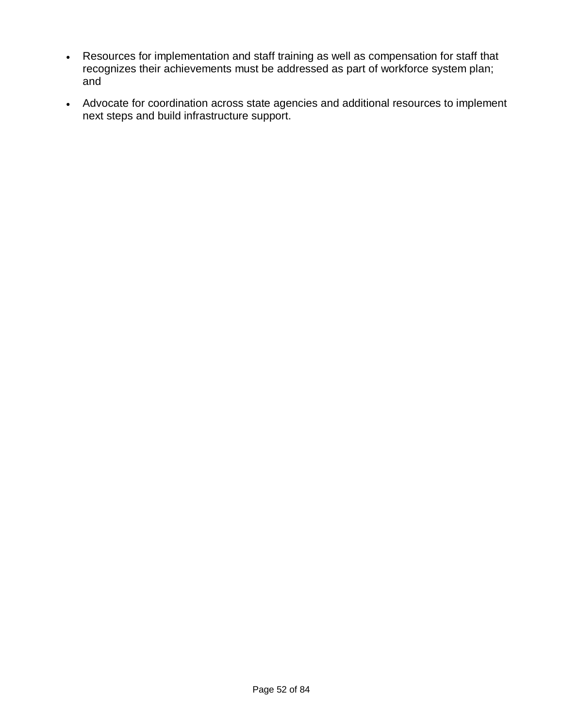- Resources for implementation and staff training as well as compensation for staff that recognizes their achievements must be addressed as part of workforce system plan; and
- Advocate for coordination across state agencies and additional resources to implement next steps and build infrastructure support.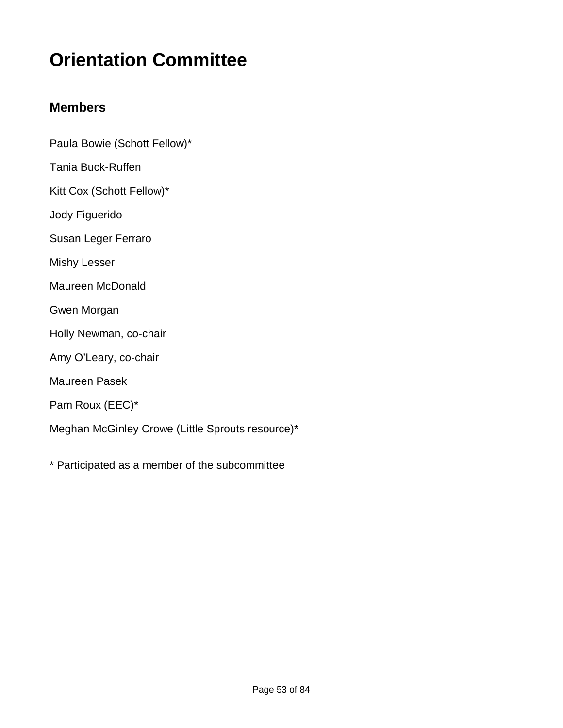# **Orientation Committee**

# **Members**

- Paula Bowie (Schott Fellow)\*
- Tania Buck-Ruffen
- Kitt Cox (Schott Fellow)\*
- Jody Figuerido
- Susan Leger Ferraro
- Mishy Lesser
- Maureen McDonald
- Gwen Morgan
- Holly Newman, co-chair
- Amy O'Leary, co-chair
- Maureen Pasek
- Pam Roux (EEC)\*
- Meghan McGinley Crowe (Little Sprouts resource)\*
- \* Participated as a member of the subcommittee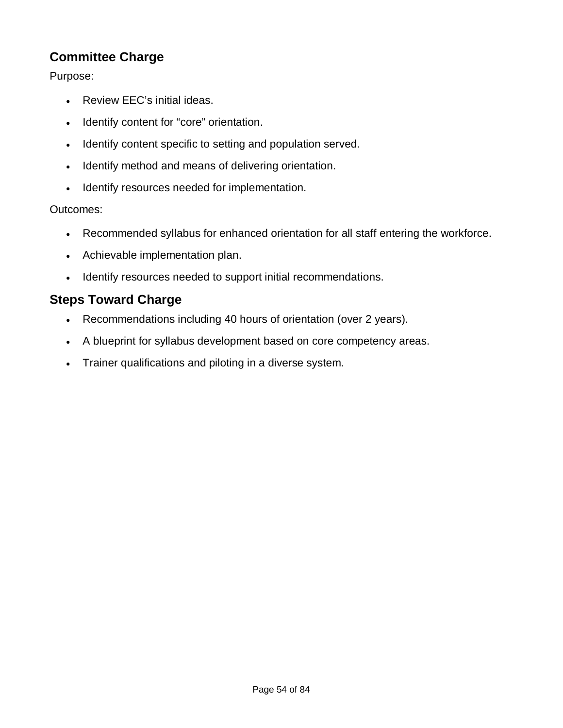# **Committee Charge**

Purpose:

- Review EEC's initial ideas.
- Identify content for "core" orientation.
- Identify content specific to setting and population served.
- Identify method and means of delivering orientation.
- Identify resources needed for implementation.

## Outcomes:

- Recommended syllabus for enhanced orientation for all staff entering the workforce.
- Achievable implementation plan.
- Identify resources needed to support initial recommendations.

# **Steps Toward Charge**

- Recommendations including 40 hours of orientation (over 2 years).
- A blueprint for syllabus development based on core competency areas.
- Trainer qualifications and piloting in a diverse system.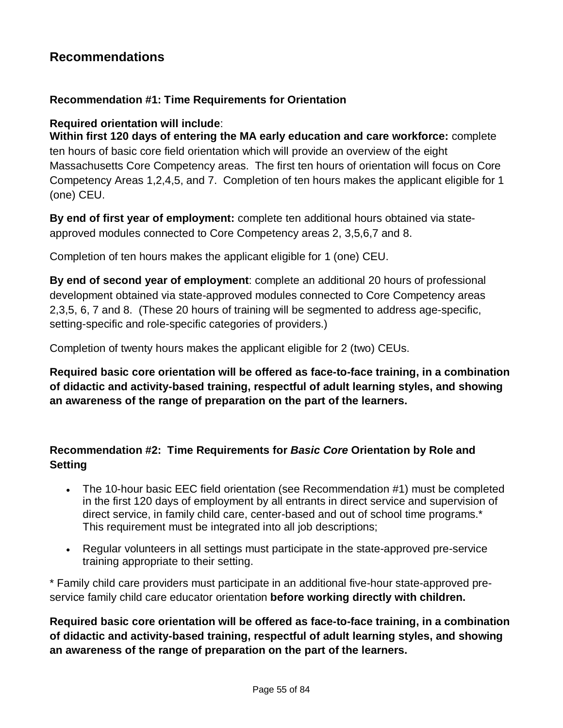# **Recommendations**

#### **Recommendation #1: Time Requirements for Orientation**

#### **Required orientation will include**:

**Within first 120 days of entering the MA early education and care workforce:** complete ten hours of basic core field orientation which will provide an overview of the eight Massachusetts Core Competency areas. The first ten hours of orientation will focus on Core Competency Areas 1,2,4,5, and 7. Completion of ten hours makes the applicant eligible for 1 (one) CEU.

**By end of first year of employment:** complete ten additional hours obtained via stateapproved modules connected to Core Competency areas 2, 3,5,6,7 and 8.

Completion of ten hours makes the applicant eligible for 1 (one) CEU.

**By end of second year of employment**: complete an additional 20 hours of professional development obtained via state-approved modules connected to Core Competency areas 2,3,5, 6, 7 and 8. (These 20 hours of training will be segmented to address age-specific, setting-specific and role-specific categories of providers.)

Completion of twenty hours makes the applicant eligible for 2 (two) CEUs.

**Required basic core orientation will be offered as face-to-face training, in a combination of didactic and activity-based training, respectful of adult learning styles, and showing an awareness of the range of preparation on the part of the learners.**

## **Recommendation #2: Time Requirements for** *Basic Core* **Orientation by Role and Setting**

- The 10-hour basic EEC field orientation (see Recommendation #1) must be completed in the first 120 days of employment by all entrants in direct service and supervision of direct service, in family child care, center-based and out of school time programs.\* This requirement must be integrated into all job descriptions;
- Regular volunteers in all settings must participate in the state-approved pre-service training appropriate to their setting.

\* Family child care providers must participate in an additional five-hour state-approved preservice family child care educator orientation **before working directly with children.**

**Required basic core orientation will be offered as face-to-face training, in a combination of didactic and activity-based training, respectful of adult learning styles, and showing an awareness of the range of preparation on the part of the learners.**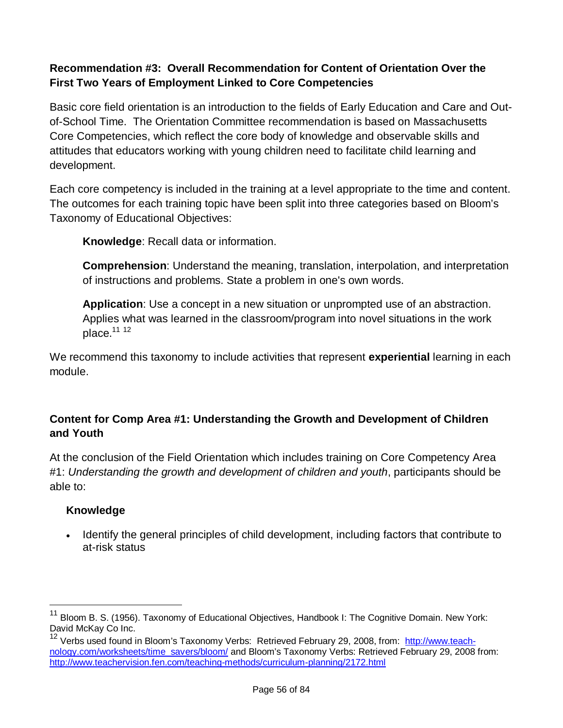# **Recommendation #3: Overall Recommendation for Content of Orientation Over the First Two Years of Employment Linked to Core Competencies**

Basic core field orientation is an introduction to the fields of Early Education and Care and Outof-School Time. The Orientation Committee recommendation is based on Massachusetts Core Competencies, which reflect the core body of knowledge and observable skills and attitudes that educators working with young children need to facilitate child learning and development.

Each core competency is included in the training at a level appropriate to the time and content. The outcomes for each training topic have been split into three categories based on Bloom's Taxonomy of Educational Objectives:

**Knowledge**: Recall data or information.

**Comprehension**: Understand the meaning, translation, interpolation, and interpretation of instructions and problems. State a problem in one's own words.

**Application**: Use a concept in a new situation or unprompted use of an abstraction. Applies what was learned in the classroom/program into novel situations in the work place. $11 12$ 

We recommend this taxonomy to include activities that represent **experiential** learning in each module.

# **Content for Comp Area #1: Understanding the Growth and Development of Children and Youth**

At the conclusion of the Field Orientation which includes training on Core Competency Area #1: *Understanding the growth and development of children and youth*, participants should be able to:

## **Knowledge**

i

• Identify the general principles of child development, including factors that contribute to at-risk status

<sup>&</sup>lt;sup>11</sup> Bloom B. S. (1956). Taxonomy of Educational Objectives, Handbook I: The Cognitive Domain. New York: David McKay Co Inc.

<sup>&</sup>lt;sup>12</sup> Verbs used found in Bloom's Taxonomy Verbs: Retrieved February 29, 2008, from: http://www.teachnology.com/worksheets/time\_savers/bloom/ and Bloom's Taxonomy Verbs: Retrieved February 29, 2008 from: http://www.teachervision.fen.com/teaching-methods/curriculum-planning/2172.html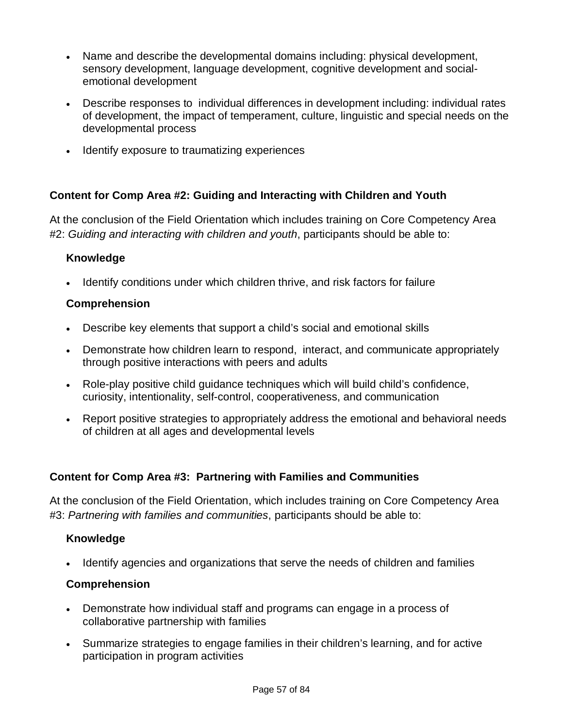- Name and describe the developmental domains including: physical development, sensory development, language development, cognitive development and socialemotional development
- Describe responses to individual differences in development including: individual rates of development, the impact of temperament, culture, linguistic and special needs on the developmental process
- Identify exposure to traumatizing experiences

## **Content for Comp Area #2: Guiding and Interacting with Children and Youth**

At the conclusion of the Field Orientation which includes training on Core Competency Area #2: *Guiding and interacting with children and youth*, participants should be able to:

#### **Knowledge**

Identify conditions under which children thrive, and risk factors for failure

#### **Comprehension**

- Describe key elements that support a child's social and emotional skills
- Demonstrate how children learn to respond, interact, and communicate appropriately through positive interactions with peers and adults
- Role-play positive child guidance techniques which will build child's confidence, curiosity, intentionality, self-control, cooperativeness, and communication
- Report positive strategies to appropriately address the emotional and behavioral needs of children at all ages and developmental levels

#### **Content for Comp Area #3: Partnering with Families and Communities**

At the conclusion of the Field Orientation, which includes training on Core Competency Area #3: *Partnering with families and communities*, participants should be able to:

#### **Knowledge**

Identify agencies and organizations that serve the needs of children and families

#### **Comprehension**

- Demonstrate how individual staff and programs can engage in a process of collaborative partnership with families
- Summarize strategies to engage families in their children's learning, and for active participation in program activities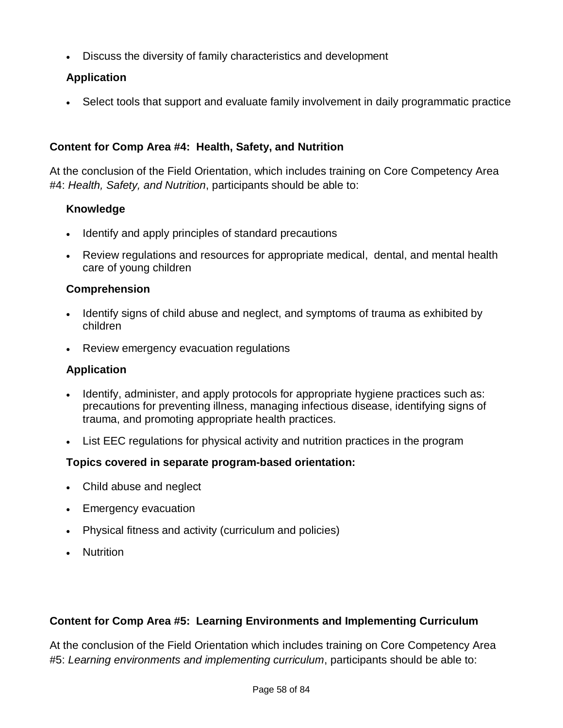Discuss the diversity of family characteristics and development

# **Application**

Select tools that support and evaluate family involvement in daily programmatic practice

# **Content for Comp Area #4: Health, Safety, and Nutrition**

At the conclusion of the Field Orientation, which includes training on Core Competency Area #4: *Health, Safety, and Nutrition*, participants should be able to:

## **Knowledge**

- Identify and apply principles of standard precautions
- Review regulations and resources for appropriate medical, dental, and mental health care of young children

#### **Comprehension**

- Identify signs of child abuse and neglect, and symptoms of trauma as exhibited by children
- Review emergency evacuation regulations

### **Application**

- Identify, administer, and apply protocols for appropriate hygiene practices such as: precautions for preventing illness, managing infectious disease, identifying signs of trauma, and promoting appropriate health practices.
- List EEC regulations for physical activity and nutrition practices in the program

## **Topics covered in separate program-based orientation:**

- Child abuse and neglect
- Emergency evacuation
- Physical fitness and activity (curriculum and policies)
- Nutrition

## **Content for Comp Area #5: Learning Environments and Implementing Curriculum**

At the conclusion of the Field Orientation which includes training on Core Competency Area #5: *Learning environments and implementing curriculum*, participants should be able to: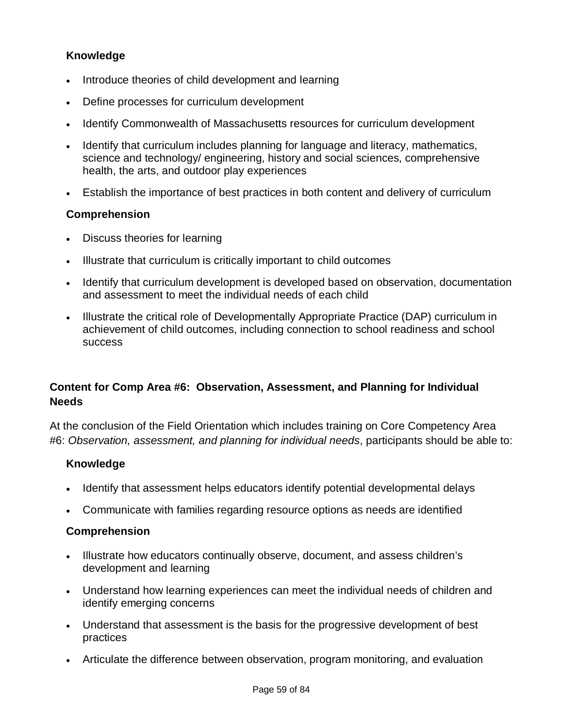## **Knowledge**

- Introduce theories of child development and learning
- Define processes for curriculum development
- Identify Commonwealth of Massachusetts resources for curriculum development
- Identify that curriculum includes planning for language and literacy, mathematics, science and technology/ engineering, history and social sciences, comprehensive health, the arts, and outdoor play experiences
- Establish the importance of best practices in both content and delivery of curriculum

#### **Comprehension**

- Discuss theories for learning
- Illustrate that curriculum is critically important to child outcomes
- Identify that curriculum development is developed based on observation, documentation and assessment to meet the individual needs of each child
- Illustrate the critical role of Developmentally Appropriate Practice (DAP) curriculum in achievement of child outcomes, including connection to school readiness and school success

# **Content for Comp Area #6: Observation, Assessment, and Planning for Individual Needs**

At the conclusion of the Field Orientation which includes training on Core Competency Area #6: *Observation, assessment, and planning for individual needs*, participants should be able to:

## **Knowledge**

- Identify that assessment helps educators identify potential developmental delays
- Communicate with families regarding resource options as needs are identified

#### **Comprehension**

- Illustrate how educators continually observe, document, and assess children's development and learning
- Understand how learning experiences can meet the individual needs of children and identify emerging concerns
- Understand that assessment is the basis for the progressive development of best practices
- Articulate the difference between observation, program monitoring, and evaluation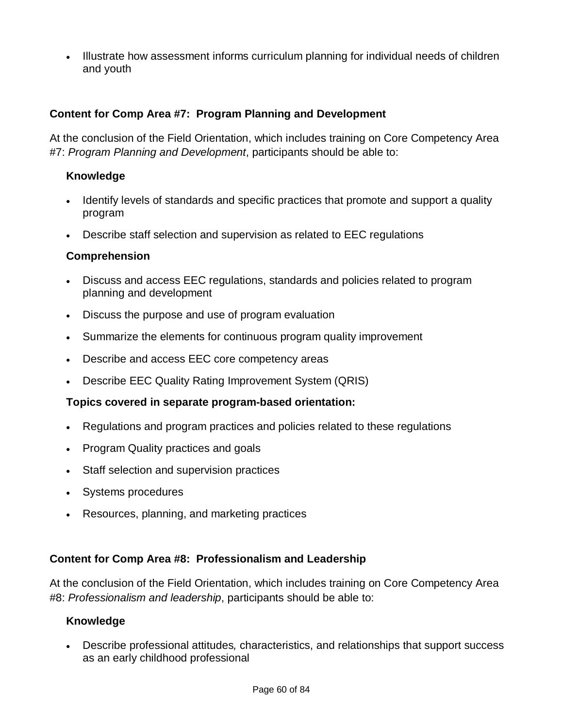Illustrate how assessment informs curriculum planning for individual needs of children and youth

### **Content for Comp Area #7: Program Planning and Development**

At the conclusion of the Field Orientation, which includes training on Core Competency Area #7: *Program Planning and Development*, participants should be able to:

#### **Knowledge**

- Identify levels of standards and specific practices that promote and support a quality program
- Describe staff selection and supervision as related to EEC regulations

#### **Comprehension**

- Discuss and access EEC regulations, standards and policies related to program planning and development
- Discuss the purpose and use of program evaluation
- Summarize the elements for continuous program quality improvement
- Describe and access EEC core competency areas
- Describe EEC Quality Rating Improvement System (QRIS)

#### **Topics covered in separate program-based orientation:**

- Regulations and program practices and policies related to these regulations
- Program Quality practices and goals
- Staff selection and supervision practices
- Systems procedures
- Resources, planning, and marketing practices

#### **Content for Comp Area #8: Professionalism and Leadership**

At the conclusion of the Field Orientation, which includes training on Core Competency Area #8: *Professionalism and leadership*, participants should be able to:

#### **Knowledge**

 Describe professional attitudes*,* characteristics, and relationships that support success as an early childhood professional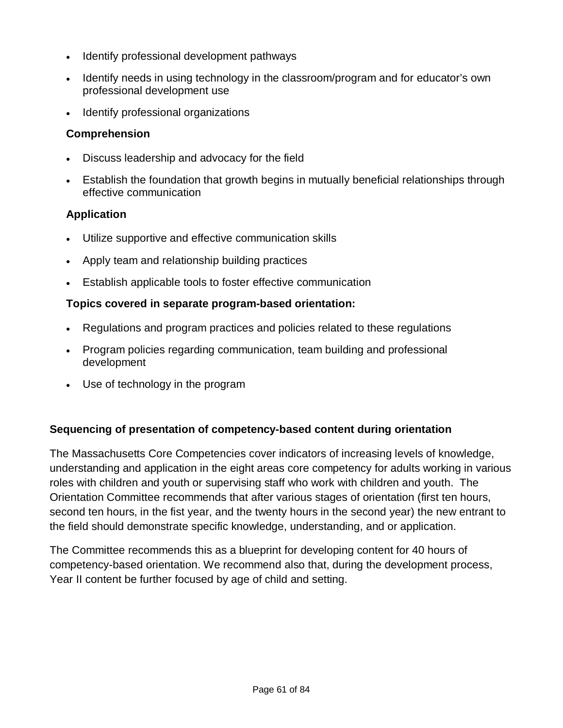- Identify professional development pathways
- Identify needs in using technology in the classroom/program and for educator's own professional development use
- Identify professional organizations

### **Comprehension**

- Discuss leadership and advocacy for the field
- Establish the foundation that growth begins in mutually beneficial relationships through effective communication

#### **Application**

- Utilize supportive and effective communication skills
- Apply team and relationship building practices
- Establish applicable tools to foster effective communication

#### **Topics covered in separate program-based orientation:**

- Regulations and program practices and policies related to these regulations
- Program policies regarding communication, team building and professional development
- Use of technology in the program

#### **Sequencing of presentation of competency-based content during orientation**

The Massachusetts Core Competencies cover indicators of increasing levels of knowledge, understanding and application in the eight areas core competency for adults working in various roles with children and youth or supervising staff who work with children and youth. The Orientation Committee recommends that after various stages of orientation (first ten hours, second ten hours, in the fist year, and the twenty hours in the second year) the new entrant to the field should demonstrate specific knowledge, understanding, and or application.

The Committee recommends this as a blueprint for developing content for 40 hours of competency-based orientation. We recommend also that, during the development process, Year II content be further focused by age of child and setting.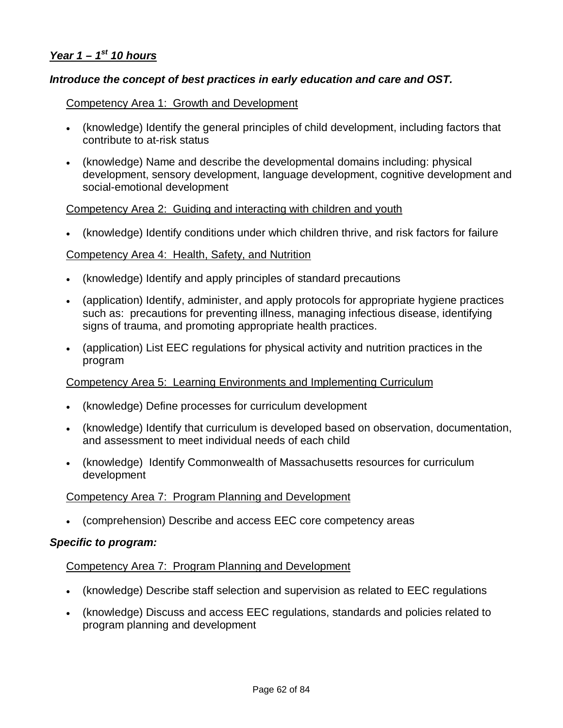#### *Year 1 – 1st 10 hours*

#### *Introduce the concept of best practices in early education and care and OST.*

#### Competency Area 1: Growth and Development

- (knowledge) Identify the general principles of child development, including factors that contribute to at-risk status
- (knowledge) Name and describe the developmental domains including: physical development, sensory development, language development, cognitive development and social-emotional development

#### Competency Area 2: Guiding and interacting with children and youth

(knowledge) Identify conditions under which children thrive, and risk factors for failure

#### Competency Area 4: Health, Safety, and Nutrition

- (knowledge) Identify and apply principles of standard precautions
- (application) Identify, administer, and apply protocols for appropriate hygiene practices such as: precautions for preventing illness, managing infectious disease, identifying signs of trauma, and promoting appropriate health practices.
- (application) List EEC regulations for physical activity and nutrition practices in the program

#### Competency Area 5: Learning Environments and Implementing Curriculum

- (knowledge) Define processes for curriculum development
- (knowledge) Identify that curriculum is developed based on observation, documentation, and assessment to meet individual needs of each child
- (knowledge) Identify Commonwealth of Massachusetts resources for curriculum development

#### Competency Area 7: Program Planning and Development

(comprehension) Describe and access EEC core competency areas

#### *Specific to program:*

#### Competency Area 7: Program Planning and Development

- (knowledge) Describe staff selection and supervision as related to EEC regulations
- (knowledge) Discuss and access EEC regulations, standards and policies related to program planning and development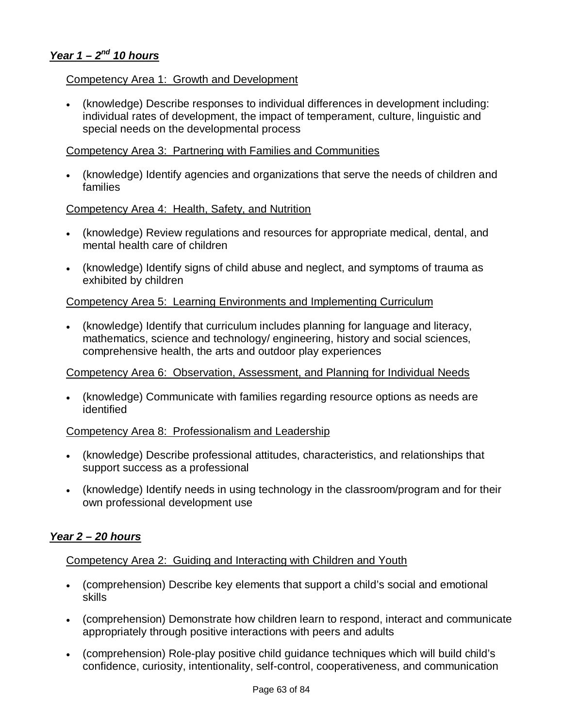## *Year 1 – 2nd 10 hours*

#### Competency Area 1: Growth and Development

 (knowledge) Describe responses to individual differences in development including: individual rates of development, the impact of temperament, culture, linguistic and special needs on the developmental process

#### Competency Area 3: Partnering with Families and Communities

 (knowledge) Identify agencies and organizations that serve the needs of children and families

#### Competency Area 4: Health, Safety, and Nutrition

- (knowledge) Review regulations and resources for appropriate medical, dental, and mental health care of children
- (knowledge) Identify signs of child abuse and neglect, and symptoms of trauma as exhibited by children

#### Competency Area 5: Learning Environments and Implementing Curriculum

 (knowledge) Identify that curriculum includes planning for language and literacy, mathematics, science and technology/ engineering, history and social sciences, comprehensive health, the arts and outdoor play experiences

#### Competency Area 6: Observation, Assessment, and Planning for Individual Needs

 (knowledge) Communicate with families regarding resource options as needs are identified

#### Competency Area 8: Professionalism and Leadership

- (knowledge) Describe professional attitudes, characteristics, and relationships that support success as a professional
- (knowledge) Identify needs in using technology in the classroom/program and for their own professional development use

#### *Year 2 – 20 hours*

#### Competency Area 2: Guiding and Interacting with Children and Youth

- (comprehension) Describe key elements that support a child's social and emotional skills
- (comprehension) Demonstrate how children learn to respond, interact and communicate appropriately through positive interactions with peers and adults
- (comprehension) Role-play positive child guidance techniques which will build child's confidence, curiosity, intentionality, self-control, cooperativeness, and communication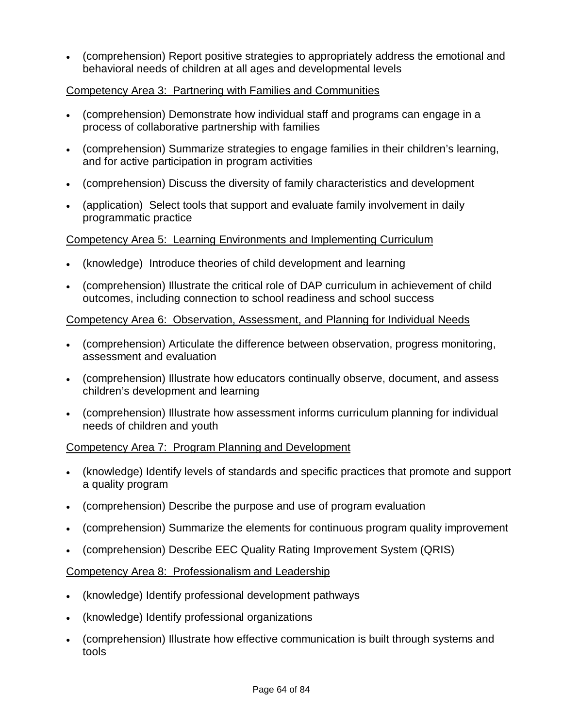(comprehension) Report positive strategies to appropriately address the emotional and behavioral needs of children at all ages and developmental levels

### Competency Area 3: Partnering with Families and Communities

- (comprehension) Demonstrate how individual staff and programs can engage in a process of collaborative partnership with families
- (comprehension) Summarize strategies to engage families in their children's learning, and for active participation in program activities
- (comprehension) Discuss the diversity of family characteristics and development
- (application) Select tools that support and evaluate family involvement in daily programmatic practice

#### Competency Area 5: Learning Environments and Implementing Curriculum

- (knowledge) Introduce theories of child development and learning
- (comprehension) Illustrate the critical role of DAP curriculum in achievement of child outcomes, including connection to school readiness and school success

#### Competency Area 6: Observation, Assessment, and Planning for Individual Needs

- (comprehension) Articulate the difference between observation, progress monitoring, assessment and evaluation
- (comprehension) Illustrate how educators continually observe, document, and assess children's development and learning
- (comprehension) Illustrate how assessment informs curriculum planning for individual needs of children and youth

#### Competency Area 7: Program Planning and Development

- (knowledge) Identify levels of standards and specific practices that promote and support a quality program
- (comprehension) Describe the purpose and use of program evaluation
- (comprehension) Summarize the elements for continuous program quality improvement
- (comprehension) Describe EEC Quality Rating Improvement System (QRIS)

## Competency Area 8: Professionalism and Leadership

- (knowledge) Identify professional development pathways
- (knowledge) Identify professional organizations
- (comprehension) Illustrate how effective communication is built through systems and tools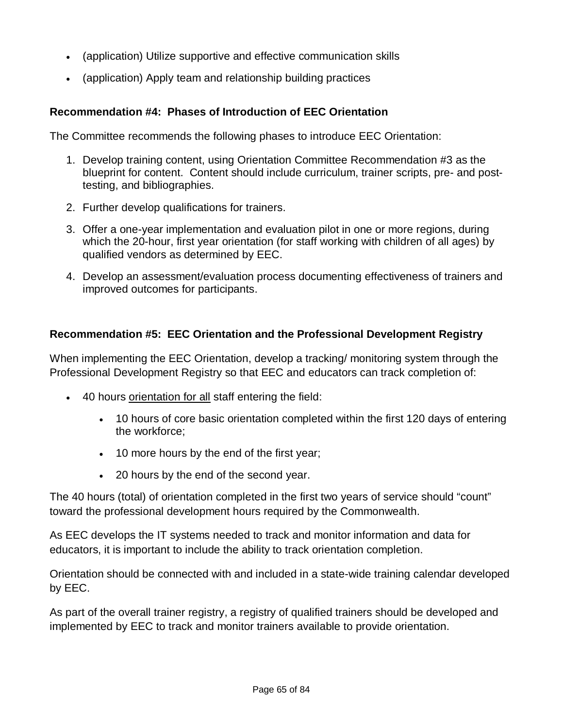- (application) Utilize supportive and effective communication skills
- (application) Apply team and relationship building practices

## **Recommendation #4: Phases of Introduction of EEC Orientation**

The Committee recommends the following phases to introduce EEC Orientation:

- 1. Develop training content, using Orientation Committee Recommendation #3 as the blueprint for content. Content should include curriculum, trainer scripts, pre- and posttesting, and bibliographies.
- 2. Further develop qualifications for trainers.
- 3. Offer a one-year implementation and evaluation pilot in one or more regions, during which the 20-hour, first year orientation (for staff working with children of all ages) by qualified vendors as determined by EEC.
- 4. Develop an assessment/evaluation process documenting effectiveness of trainers and improved outcomes for participants.

## **Recommendation #5: EEC Orientation and the Professional Development Registry**

When implementing the EEC Orientation, develop a tracking/ monitoring system through the Professional Development Registry so that EEC and educators can track completion of:

- 40 hours orientation for all staff entering the field:
	- 10 hours of core basic orientation completed within the first 120 days of entering the workforce;
	- 10 more hours by the end of the first year;
	- 20 hours by the end of the second year.

The 40 hours (total) of orientation completed in the first two years of service should "count" toward the professional development hours required by the Commonwealth.

As EEC develops the IT systems needed to track and monitor information and data for educators, it is important to include the ability to track orientation completion.

Orientation should be connected with and included in a state-wide training calendar developed by EEC.

As part of the overall trainer registry, a registry of qualified trainers should be developed and implemented by EEC to track and monitor trainers available to provide orientation.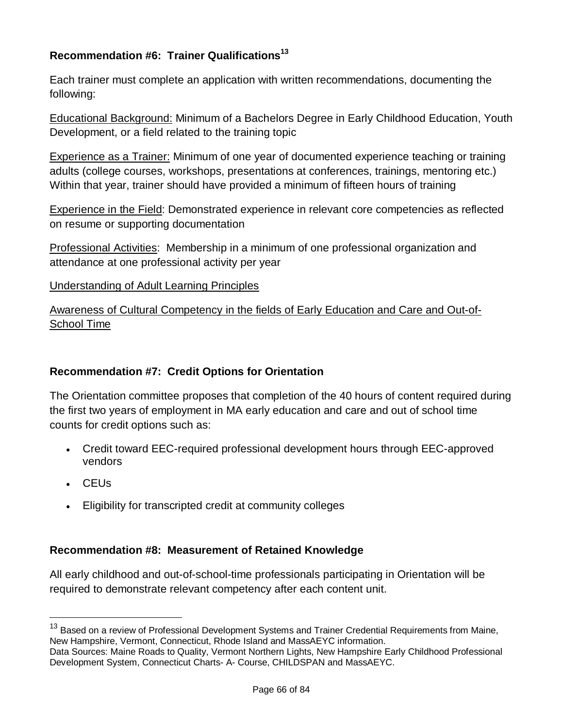# **Recommendation #6: Trainer Qualifications<sup>13</sup>**

Each trainer must complete an application with written recommendations, documenting the following:

Educational Background: Minimum of a Bachelors Degree in Early Childhood Education, Youth Development, or a field related to the training topic

Experience as a Trainer: Minimum of one year of documented experience teaching or training adults (college courses, workshops, presentations at conferences, trainings, mentoring etc.) Within that year, trainer should have provided a minimum of fifteen hours of training

Experience in the Field: Demonstrated experience in relevant core competencies as reflected on resume or supporting documentation

Professional Activities: Membership in a minimum of one professional organization and attendance at one professional activity per year

#### Understanding of Adult Learning Principles

Awareness of Cultural Competency in the fields of Early Education and Care and Out-of-School Time

## **Recommendation #7: Credit Options for Orientation**

The Orientation committee proposes that completion of the 40 hours of content required during the first two years of employment in MA early education and care and out of school time counts for credit options such as:

- Credit toward EEC-required professional development hours through EEC-approved vendors
- CEUs

i

Eligibility for transcripted credit at community colleges

## **Recommendation #8: Measurement of Retained Knowledge**

All early childhood and out-of-school-time professionals participating in Orientation will be required to demonstrate relevant competency after each content unit.

<sup>&</sup>lt;sup>13</sup> Based on a review of Professional Development Systems and Trainer Credential Requirements from Maine, New Hampshire, Vermont, Connecticut, Rhode Island and MassAEYC information.

Data Sources: Maine Roads to Quality, Vermont Northern Lights, New Hampshire Early Childhood Professional Development System, Connecticut Charts- A- Course, CHILDSPAN and MassAEYC.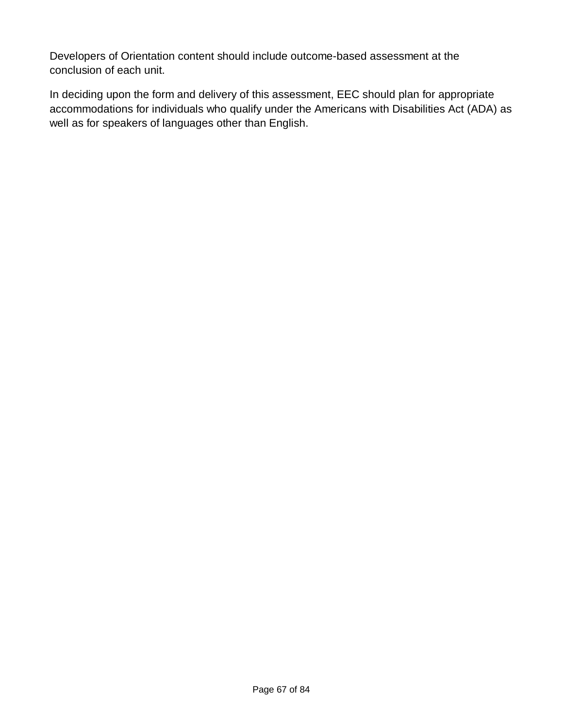Developers of Orientation content should include outcome-based assessment at the conclusion of each unit.

In deciding upon the form and delivery of this assessment, EEC should plan for appropriate accommodations for individuals who qualify under the Americans with Disabilities Act (ADA) as well as for speakers of languages other than English.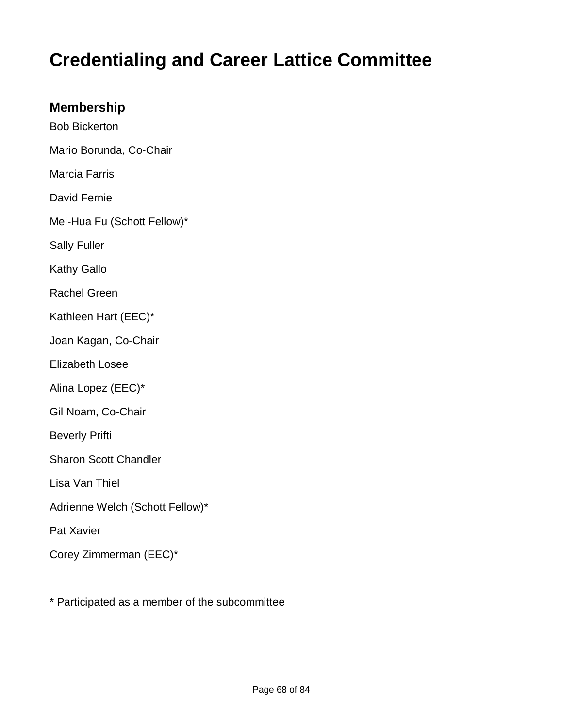# **Credentialing and Career Lattice Committee**

# **Membership**

- Bob Bickerton Mario Borunda, Co-Chair
- Marcia Farris
- David Fernie
- Mei-Hua Fu (Schott Fellow)\*
- Sally Fuller
- Kathy Gallo
- Rachel Green
- Kathleen Hart (EEC)\*
- Joan Kagan, Co-Chair
- Elizabeth Losee
- Alina Lopez (EEC)\*
- Gil Noam, Co-Chair
- Beverly Prifti
- Sharon Scott Chandler
- Lisa Van Thiel
- Adrienne Welch (Schott Fellow)\*
- Pat Xavier
- Corey Zimmerman (EEC)\*
- \* Participated as a member of the subcommittee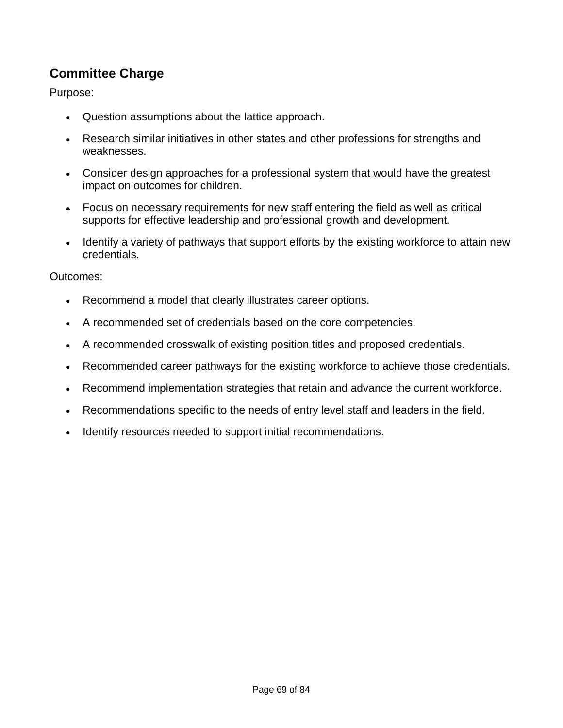# **Committee Charge**

Purpose:

- Question assumptions about the lattice approach.
- Research similar initiatives in other states and other professions for strengths and weaknesses.
- Consider design approaches for a professional system that would have the greatest impact on outcomes for children.
- Focus on necessary requirements for new staff entering the field as well as critical supports for effective leadership and professional growth and development.
- Identify a variety of pathways that support efforts by the existing workforce to attain new credentials.

#### Outcomes:

- Recommend a model that clearly illustrates career options.
- A recommended set of credentials based on the core competencies.
- A recommended crosswalk of existing position titles and proposed credentials.
- Recommended career pathways for the existing workforce to achieve those credentials.
- Recommend implementation strategies that retain and advance the current workforce.
- Recommendations specific to the needs of entry level staff and leaders in the field.
- Identify resources needed to support initial recommendations.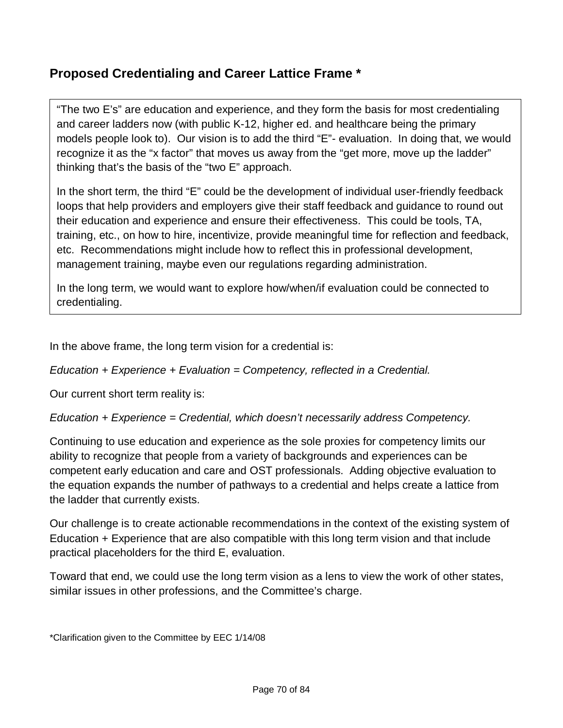# **Proposed Credentialing and Career Lattice Frame \***

"The two E's" are education and experience, and they form the basis for most credentialing and career ladders now (with public K-12, higher ed. and healthcare being the primary models people look to). Our vision is to add the third "E"- evaluation. In doing that, we would recognize it as the "x factor" that moves us away from the "get more, move up the ladder" thinking that's the basis of the "two E" approach.

In the short term, the third "E" could be the development of individual user-friendly feedback loops that help providers and employers give their staff feedback and guidance to round out their education and experience and ensure their effectiveness. This could be tools, TA, training, etc., on how to hire, incentivize, provide meaningful time for reflection and feedback, etc. Recommendations might include how to reflect this in professional development, management training, maybe even our regulations regarding administration.

In the long term, we would want to explore how/when/if evaluation could be connected to credentialing.

In the above frame, the long term vision for a credential is:

*Education + Experience + Evaluation = Competency, reflected in a Credential.*

Our current short term reality is:

*Education + Experience = Credential, which doesn't necessarily address Competency.*

Continuing to use education and experience as the sole proxies for competency limits our ability to recognize that people from a variety of backgrounds and experiences can be competent early education and care and OST professionals. Adding objective evaluation to the equation expands the number of pathways to a credential and helps create a lattice from the ladder that currently exists.

Our challenge is to create actionable recommendations in the context of the existing system of Education + Experience that are also compatible with this long term vision and that include practical placeholders for the third E, evaluation.

Toward that end, we could use the long term vision as a lens to view the work of other states, similar issues in other professions, and the Committee's charge.

\*Clarification given to the Committee by EEC 1/14/08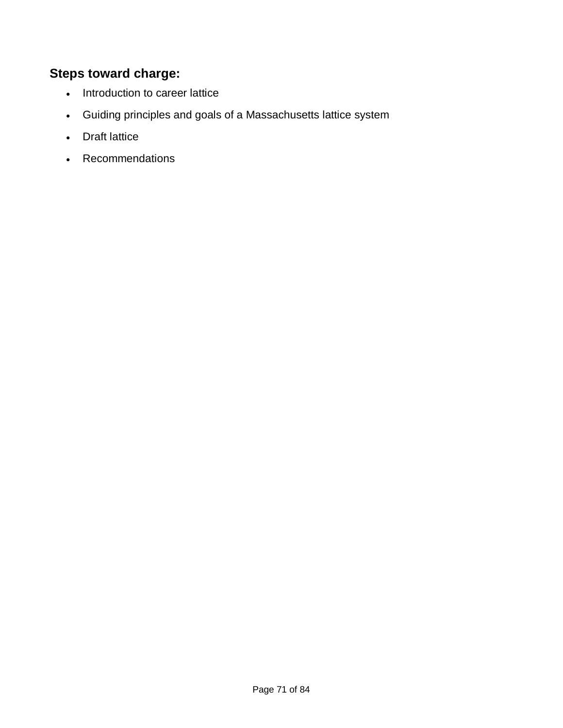# **Steps toward charge:**

- Introduction to career lattice
- Guiding principles and goals of a Massachusetts lattice system
- Draft lattice
- Recommendations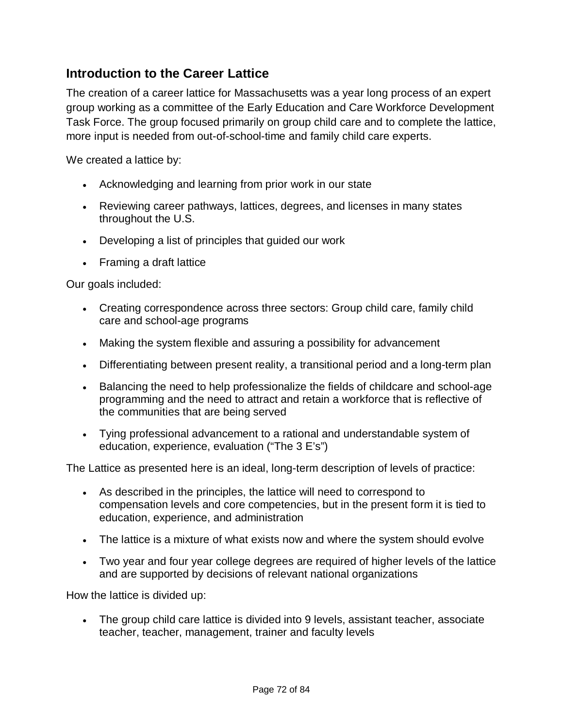# **Introduction to the Career Lattice**

The creation of a career lattice for Massachusetts was a year long process of an expert group working as a committee of the Early Education and Care Workforce Development Task Force. The group focused primarily on group child care and to complete the lattice, more input is needed from out-of-school-time and family child care experts.

We created a lattice by:

- Acknowledging and learning from prior work in our state
- Reviewing career pathways, lattices, degrees, and licenses in many states throughout the U.S.
- Developing a list of principles that guided our work
- Framing a draft lattice

Our goals included:

- Creating correspondence across three sectors: Group child care, family child care and school-age programs
- Making the system flexible and assuring a possibility for advancement
- Differentiating between present reality, a transitional period and a long-term plan
- Balancing the need to help professionalize the fields of childcare and school-age programming and the need to attract and retain a workforce that is reflective of the communities that are being served
- Tying professional advancement to a rational and understandable system of education, experience, evaluation ("The 3 E's")

The Lattice as presented here is an ideal, long-term description of levels of practice:

- As described in the principles, the lattice will need to correspond to compensation levels and core competencies, but in the present form it is tied to education, experience, and administration
- The lattice is a mixture of what exists now and where the system should evolve
- Two year and four year college degrees are required of higher levels of the lattice and are supported by decisions of relevant national organizations

How the lattice is divided up:

 The group child care lattice is divided into 9 levels, assistant teacher, associate teacher, teacher, management, trainer and faculty levels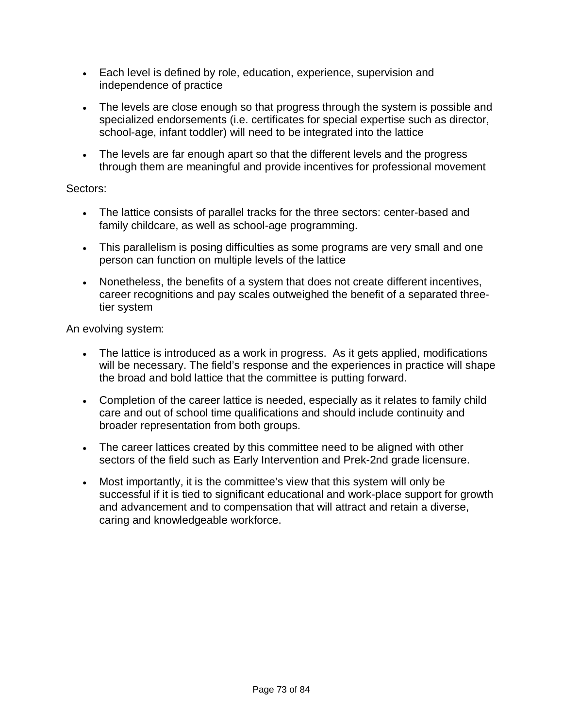- Each level is defined by role, education, experience, supervision and independence of practice
- The levels are close enough so that progress through the system is possible and specialized endorsements (i.e. certificates for special expertise such as director, school-age, infant toddler) will need to be integrated into the lattice
- The levels are far enough apart so that the different levels and the progress through them are meaningful and provide incentives for professional movement

#### Sectors:

- The lattice consists of parallel tracks for the three sectors: center-based and family childcare, as well as school-age programming.
- This parallelism is posing difficulties as some programs are very small and one person can function on multiple levels of the lattice
- Nonetheless, the benefits of a system that does not create different incentives, career recognitions and pay scales outweighed the benefit of a separated threetier system

An evolving system:

- The lattice is introduced as a work in progress. As it gets applied, modifications will be necessary. The field's response and the experiences in practice will shape the broad and bold lattice that the committee is putting forward.
- Completion of the career lattice is needed, especially as it relates to family child care and out of school time qualifications and should include continuity and broader representation from both groups.
- The career lattices created by this committee need to be aligned with other sectors of the field such as Early Intervention and Prek-2nd grade licensure.
- Most importantly, it is the committee's view that this system will only be successful if it is tied to significant educational and work-place support for growth and advancement and to compensation that will attract and retain a diverse, caring and knowledgeable workforce.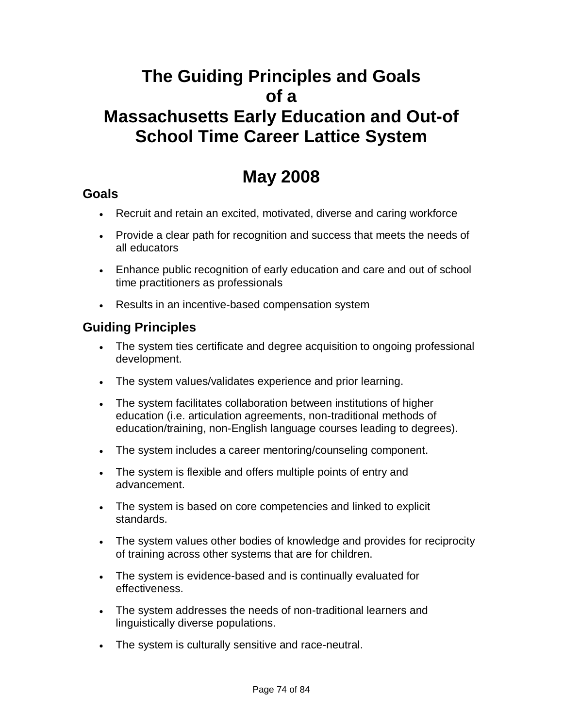# **The Guiding Principles and Goals of a Massachusetts Early Education and Out-of School Time Career Lattice System**

# **May 2008**

# **Goals**

- Recruit and retain an excited, motivated, diverse and caring workforce
- Provide a clear path for recognition and success that meets the needs of all educators
- Enhance public recognition of early education and care and out of school time practitioners as professionals
- Results in an incentive-based compensation system

# **Guiding Principles**

- The system ties certificate and degree acquisition to ongoing professional development.
- The system values/validates experience and prior learning.
- The system facilitates collaboration between institutions of higher education (i.e. articulation agreements, non-traditional methods of education/training, non-English language courses leading to degrees).
- The system includes a career mentoring/counseling component.
- The system is flexible and offers multiple points of entry and advancement.
- The system is based on core competencies and linked to explicit standards.
- The system values other bodies of knowledge and provides for reciprocity of training across other systems that are for children.
- The system is evidence-based and is continually evaluated for effectiveness.
- The system addresses the needs of non-traditional learners and linguistically diverse populations.
- The system is culturally sensitive and race-neutral.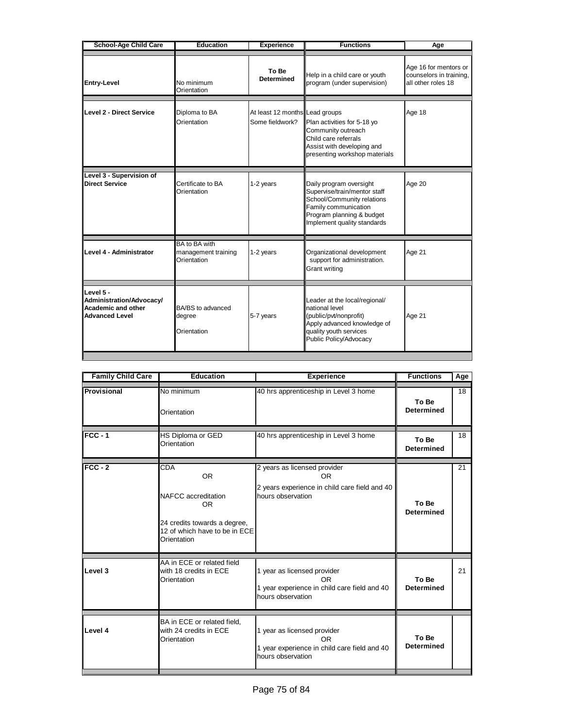| <b>School-Age Child Care</b>                                                  | <b>Education</b><br><b>Experience</b>                                             |                            | <b>Functions</b>                                                                                                                                                          | Age                                                                    |  |  |
|-------------------------------------------------------------------------------|-----------------------------------------------------------------------------------|----------------------------|---------------------------------------------------------------------------------------------------------------------------------------------------------------------------|------------------------------------------------------------------------|--|--|
| Entry-Level                                                                   | No minimum<br>Orientation                                                         | To Be<br><b>Determined</b> | Help in a child care or youth<br>program (under supervision)                                                                                                              | Age 16 for mentors or<br>counselors in training,<br>all other roles 18 |  |  |
| Level 2 - Direct Service                                                      | Diploma to BA<br>At least 12 months Lead groups<br>Orientation<br>Some fieldwork? |                            | Plan activities for 5-18 yo<br>Community outreach<br>Child care referrals<br>Assist with developing and<br>presenting workshop materials                                  | Age 18                                                                 |  |  |
| Level 3 - Supervision of<br>Direct Service                                    | Certificate to BA<br>Orientation                                                  | 1-2 years                  | Daily program oversight<br>Supervise/train/mentor staff<br>School/Community relations<br>Family communication<br>Program planning & budget<br>Implement quality standards | Age 20                                                                 |  |  |
| Level 4 - Administrator                                                       | BA to BA with<br>management training<br>Orientation                               | 1-2 years                  | Organizational development<br>support for administration.<br>Grant writing                                                                                                | Age 21                                                                 |  |  |
| Level 5 -<br>Administration/Advocacy/<br>Academic and other<br>Advanced Level | BA/BS to advanced<br>degree<br>Orientation                                        | 5-7 years                  | Leader at the local/regional/<br>national level<br>(public/pvt/nonprofit)<br>Apply advanced knowledge of<br>quality youth services<br>Public Policy/Advocacy              | Age 21                                                                 |  |  |

| <b>Family Child Care</b> | <b>Education</b>                                                                                                               | <b>Experience</b>                                                                                             | <b>Functions</b>           | Age |
|--------------------------|--------------------------------------------------------------------------------------------------------------------------------|---------------------------------------------------------------------------------------------------------------|----------------------------|-----|
| Provisional              | No minimum<br>Orientation                                                                                                      | 40 hrs apprenticeship in Level 3 home                                                                         | To Be<br><b>Determined</b> | 18  |
| $FCC - 1$                | <b>HS Diploma or GED</b><br>Orientation                                                                                        | 40 hrs apprenticeship in Level 3 home                                                                         | To Be<br><b>Determined</b> | 18  |
| $FCC - 2$                | CDA<br><b>OR</b><br>NAFCC accreditation<br>OR.<br>24 credits towards a degree,<br>12 of which have to be in ECE<br>Orientation | 2 years as licensed provider<br>OR.<br>2 years experience in child care field and 40<br>hours observation     | To Be<br><b>Determined</b> | 21  |
| Level 3                  | AA in ECE or related field<br>with 18 credits in ECE<br>Orientation                                                            | 1 year as licensed provider<br><b>OR</b><br>1 year experience in child care field and 40<br>hours observation | To Be<br><b>Determined</b> | 21  |
| Level 4                  | BA in ECE or related field,<br>with 24 credits in ECE<br>Orientation                                                           | 1 year as licensed provider<br><b>OR</b><br>1 year experience in child care field and 40<br>hours observation | To Be<br><b>Determined</b> |     |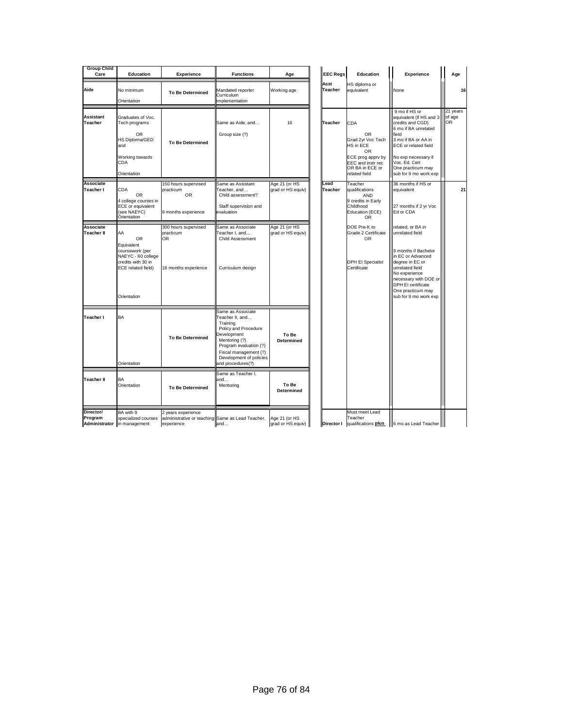| <b>Group Child</b><br>Care            | <b>Education</b>                                                                                                                  | <b>Experience</b>                                                                    | <b>Functions</b>                                                                                                                                                                                                   | Age                                | <b>EEC Regs</b> | Education                                                                                                                              | Experience                                                                                                                                                                                                                                |              | Age      |
|---------------------------------------|-----------------------------------------------------------------------------------------------------------------------------------|--------------------------------------------------------------------------------------|--------------------------------------------------------------------------------------------------------------------------------------------------------------------------------------------------------------------|------------------------------------|-----------------|----------------------------------------------------------------------------------------------------------------------------------------|-------------------------------------------------------------------------------------------------------------------------------------------------------------------------------------------------------------------------------------------|--------------|----------|
| Aide                                  | No minimum<br>Orientation                                                                                                         | <b>To Be Determined</b>                                                              | Mandated reporter<br>Curriculum<br>implementation                                                                                                                                                                  | Working age                        | Asst<br>Teacher | HS diploma or<br>equivalent                                                                                                            | None                                                                                                                                                                                                                                      |              | 16       |
| <b>Assistant</b><br>Teacher           | Graduates of Voc.<br>Tech programs<br><b>OR</b><br>HS Diploma/GED<br>and<br>Working towards<br><b>CDA</b><br>Orientation          | <b>To Be Determined</b>                                                              | Same as Aide, and<br>Group size (?)                                                                                                                                                                                | 16                                 | Teacher         | CDA<br><b>OR</b><br>Grad 2yr Voc Tech<br>HS in ECE<br>OR<br>ECE prog apprv by<br>EEC and instr rec<br>OR BA in ECE or<br>related field | 9 mo if HS or<br>equivalent (if HS and 3<br>credits and CGD)<br>6 mo if BA unrelated<br>field<br>3 mo if BA or AA in<br><b>ECE</b> or related field<br>No exp necessary if<br>Voc. Ed. Cert<br>One practicum may<br>sub for 9 mo work exp | of age<br>OR | 21 years |
| <b>Associate</b><br>Teacher I         | <b>CDA</b><br><b>OR</b><br>4 college courses in<br>ECE or equivalent<br>(see NAEYC)<br>Orientation                                | 150 hours supervised<br>practicum<br><b>OR</b><br>9 months experience                | Same as Assistant<br>eacher, and<br>Child assessment?<br>Staff supervision and<br>evaluation                                                                                                                       | Age 21 (or HS<br>grad or HS equiv) | Lead<br>Teacher | Teacher<br>qualifications<br><b>AND</b><br>9 credits in Early<br>Childhood<br>Education (ECE)<br>OR                                    | 36 months if HS or<br>equivalent<br>27 months if 2 yr Voc<br>Ed or CDA                                                                                                                                                                    |              | 21       |
| Associate<br><b>Teacher II</b>        | AA<br><b>OR</b><br>Equivalent<br>coursework (per<br>NAEYC - 60 college<br>credits with 30 in<br>ECE related field)<br>Orientation | 300 hours supervised<br>practicum<br>OR.<br>18 months experience                     | Same as Associate<br>Feacher I, and<br>Child Assessment<br>Curriculum design                                                                                                                                       | Age 21 (or HS<br>grad or HS equiv) |                 | DOE Pre-K to<br>Grade 2 Certificate<br><b>OR</b><br><b>DPH EI Specialist</b><br>Certificate                                            | related, or BA in<br>unrelated field<br>9 months if Bachelor<br>in EC or Advanced<br>degree in EC or<br>unrelated field<br>No experience<br>necessary with DOE or<br>DPH EI certificate<br>One practicum may<br>sub for 9 mo work exp     |              |          |
| Teacher I                             | BA<br>Orientation                                                                                                                 | <b>To Be Determined</b>                                                              | Same as Associate<br>Feacher II, and<br>Training<br>Policy and Procedure<br><b>Development</b><br>Mentoring (?)<br>Program evaluation (?)<br>Fiscal management (?)<br>Development of policies<br>and procedures(?) | To Be<br><b>Determined</b>         |                 |                                                                                                                                        |                                                                                                                                                                                                                                           |              |          |
| <b>Teacher II</b>                     | BA<br>Orientation                                                                                                                 | <b>To Be Determined</b>                                                              | Same as Teacher I.<br>and…<br>Mentoring                                                                                                                                                                            | To Be<br><b>Determined</b>         |                 |                                                                                                                                        |                                                                                                                                                                                                                                           |              |          |
| Director/<br>Program<br>Administrator | BA with 9<br>specialized courses<br>in management                                                                                 | 2 years experience<br>administrative or teaching Same as Lead Teacher,<br>experience | and                                                                                                                                                                                                                | Age 21 (or HS<br>grad or HS equiv) | Director I      | Must meet Lead<br>Teacher<br>qualifications plus                                                                                       | 6 mo as Lead Teacher                                                                                                                                                                                                                      |              |          |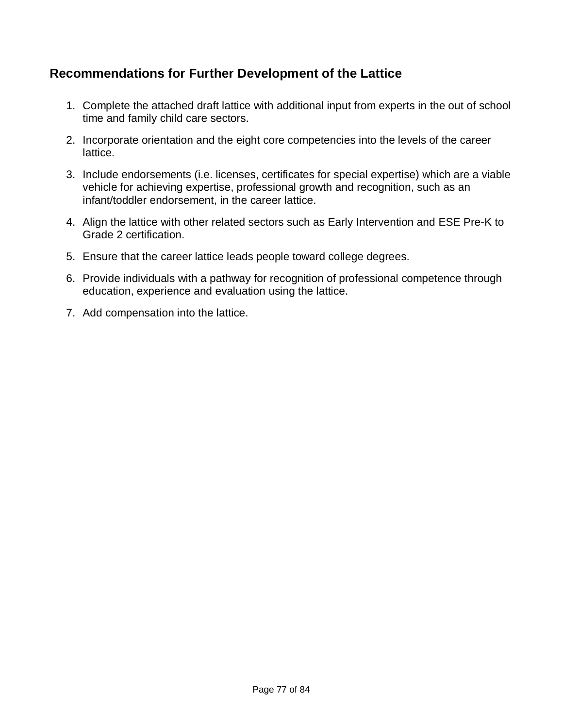# **Recommendations for Further Development of the Lattice**

- 1. Complete the attached draft lattice with additional input from experts in the out of school time and family child care sectors.
- 2. Incorporate orientation and the eight core competencies into the levels of the career lattice.
- 3. Include endorsements (i.e. licenses, certificates for special expertise) which are a viable vehicle for achieving expertise, professional growth and recognition, such as an infant/toddler endorsement, in the career lattice.
- 4. Align the lattice with other related sectors such as Early Intervention and ESE Pre-K to Grade 2 certification.
- 5. Ensure that the career lattice leads people toward college degrees.
- 6. Provide individuals with a pathway for recognition of professional competence through education, experience and evaluation using the lattice.
- 7. Add compensation into the lattice.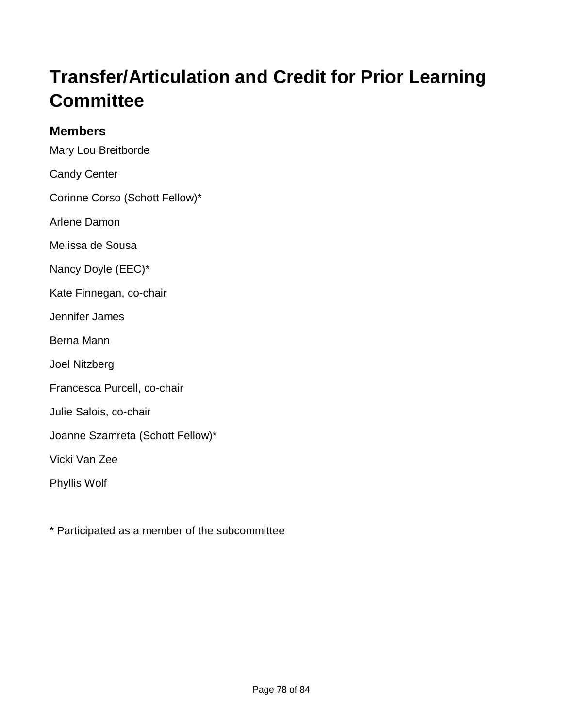# **Transfer/Articulation and Credit for Prior Learning Committee**

### **Members**

Mary Lou Breitborde

Candy Center

Corinne Corso (Schott Fellow)\*

Arlene Damon

Melissa de Sousa

Nancy Doyle (EEC)\*

Kate Finnegan, co-chair

Jennifer James

Berna Mann

Joel Nitzberg

Francesca Purcell, co-chair

Julie Salois, co-chair

Joanne Szamreta (Schott Fellow)\*

Vicki Van Zee

Phyllis Wolf

\* Participated as a member of the subcommittee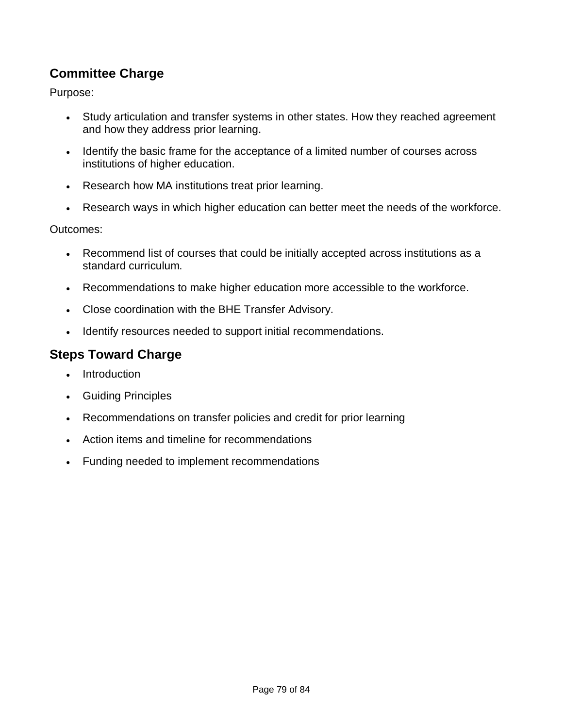# **Committee Charge**

Purpose:

- Study articulation and transfer systems in other states. How they reached agreement and how they address prior learning.
- Identify the basic frame for the acceptance of a limited number of courses across institutions of higher education.
- Research how MA institutions treat prior learning.
- Research ways in which higher education can better meet the needs of the workforce.

Outcomes:

- Recommend list of courses that could be initially accepted across institutions as a standard curriculum.
- Recommendations to make higher education more accessible to the workforce.
- Close coordination with the BHE Transfer Advisory.
- Identify resources needed to support initial recommendations.

# **Steps Toward Charge**

- Introduction
- Guiding Principles
- Recommendations on transfer policies and credit for prior learning
- Action items and timeline for recommendations
- Funding needed to implement recommendations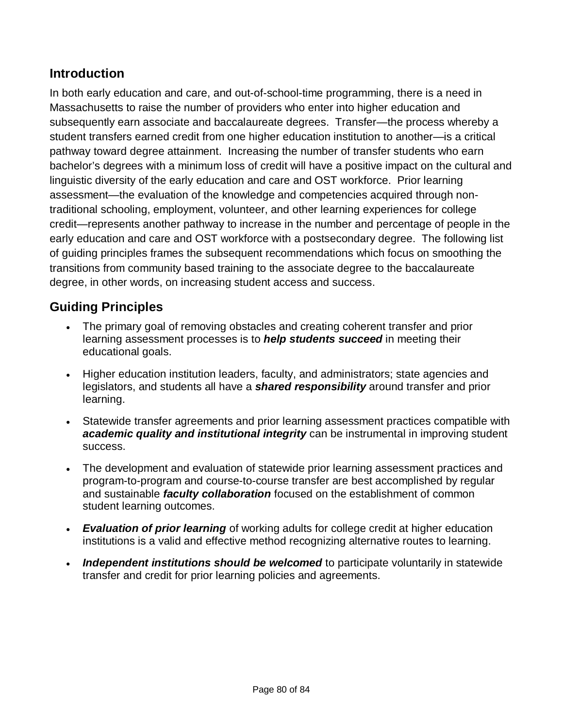# **Introduction**

In both early education and care, and out-of-school-time programming, there is a need in Massachusetts to raise the number of providers who enter into higher education and subsequently earn associate and baccalaureate degrees. Transfer—the process whereby a student transfers earned credit from one higher education institution to another—is a critical pathway toward degree attainment. Increasing the number of transfer students who earn bachelor's degrees with a minimum loss of credit will have a positive impact on the cultural and linguistic diversity of the early education and care and OST workforce. Prior learning assessment—the evaluation of the knowledge and competencies acquired through nontraditional schooling, employment, volunteer, and other learning experiences for college credit—represents another pathway to increase in the number and percentage of people in the early education and care and OST workforce with a postsecondary degree. The following list of guiding principles frames the subsequent recommendations which focus on smoothing the transitions from community based training to the associate degree to the baccalaureate degree, in other words, on increasing student access and success.

# **Guiding Principles**

- The primary goal of removing obstacles and creating coherent transfer and prior learning assessment processes is to *help students succeed* in meeting their educational goals.
- Higher education institution leaders, faculty, and administrators; state agencies and legislators, and students all have a *shared responsibility* around transfer and prior learning.
- Statewide transfer agreements and prior learning assessment practices compatible with *academic quality and institutional integrity* can be instrumental in improving student success.
- The development and evaluation of statewide prior learning assessment practices and program-to-program and course-to-course transfer are best accomplished by regular and sustainable *faculty collaboration* focused on the establishment of common student learning outcomes.
- *Evaluation of prior learning* of working adults for college credit at higher education institutions is a valid and effective method recognizing alternative routes to learning.
- *Independent institutions should be welcomed* to participate voluntarily in statewide transfer and credit for prior learning policies and agreements.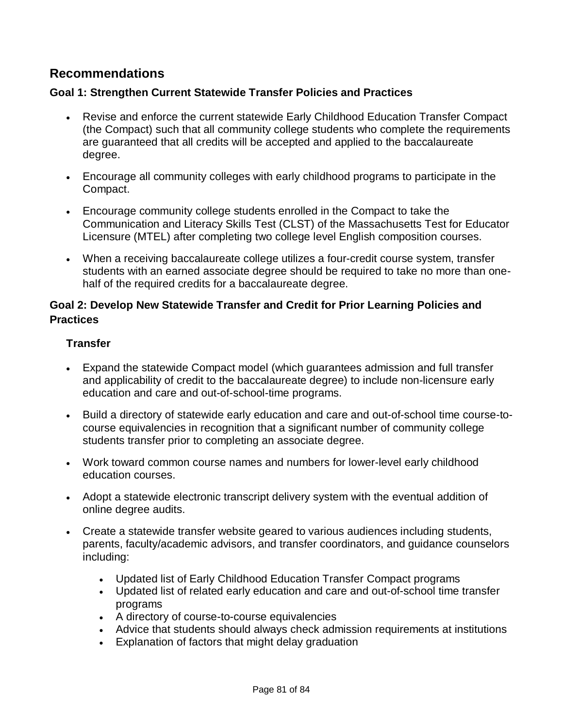#### **Recommendations**

#### **Goal 1: Strengthen Current Statewide Transfer Policies and Practices**

- Revise and enforce the current statewide Early Childhood Education Transfer Compact (the Compact) such that all community college students who complete the requirements are guaranteed that all credits will be accepted and applied to the baccalaureate degree.
- Encourage all community colleges with early childhood programs to participate in the Compact.
- Encourage community college students enrolled in the Compact to take the Communication and Literacy Skills Test (CLST) of the Massachusetts Test for Educator Licensure (MTEL) after completing two college level English composition courses.
- When a receiving baccalaureate college utilizes a four-credit course system, transfer students with an earned associate degree should be required to take no more than onehalf of the required credits for a baccalaureate degree.

#### **Goal 2: Develop New Statewide Transfer and Credit for Prior Learning Policies and Practices**

#### **Transfer**

- Expand the statewide Compact model (which guarantees admission and full transfer and applicability of credit to the baccalaureate degree) to include non-licensure early education and care and out-of-school-time programs.
- Build a directory of statewide early education and care and out-of-school time course-tocourse equivalencies in recognition that a significant number of community college students transfer prior to completing an associate degree.
- Work toward common course names and numbers for lower-level early childhood education courses.
- Adopt a statewide electronic transcript delivery system with the eventual addition of online degree audits.
- Create a statewide transfer website geared to various audiences including students, parents, faculty/academic advisors, and transfer coordinators, and guidance counselors including:
	- Updated list of Early Childhood Education Transfer Compact programs
	- Updated list of related early education and care and out-of-school time transfer programs
	- A directory of course-to-course equivalencies
	- Advice that students should always check admission requirements at institutions
	- Explanation of factors that might delay graduation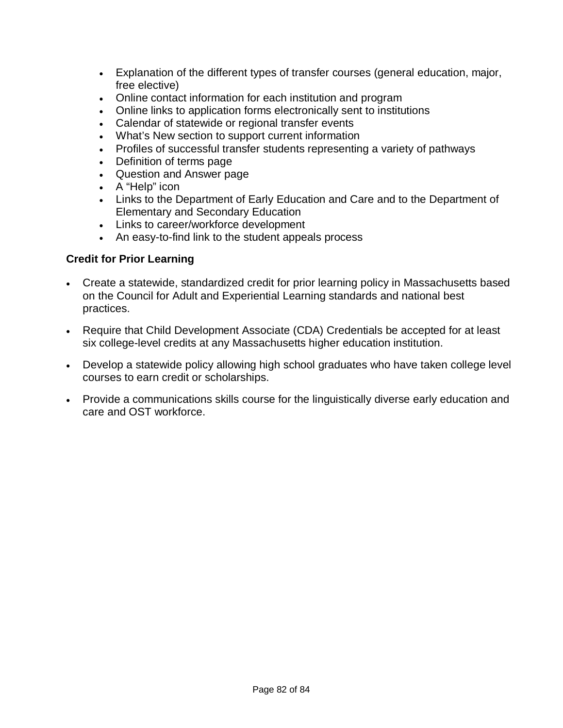- Explanation of the different types of transfer courses (general education, major, free elective)
- Online contact information for each institution and program
- Online links to application forms electronically sent to institutions
- Calendar of statewide or regional transfer events
- What's New section to support current information
- Profiles of successful transfer students representing a variety of pathways
- Definition of terms page
- Question and Answer page
- A "Help" icon
- Links to the Department of Early Education and Care and to the Department of Elementary and Secondary Education
- Links to career/workforce development
- An easy-to-find link to the student appeals process

#### **Credit for Prior Learning**

- Create a statewide, standardized credit for prior learning policy in Massachusetts based on the Council for Adult and Experiential Learning standards and national best practices.
- Require that Child Development Associate (CDA) Credentials be accepted for at least six college-level credits at any Massachusetts higher education institution.
- Develop a statewide policy allowing high school graduates who have taken college level courses to earn credit or scholarships.
- Provide a communications skills course for the linguistically diverse early education and care and OST workforce.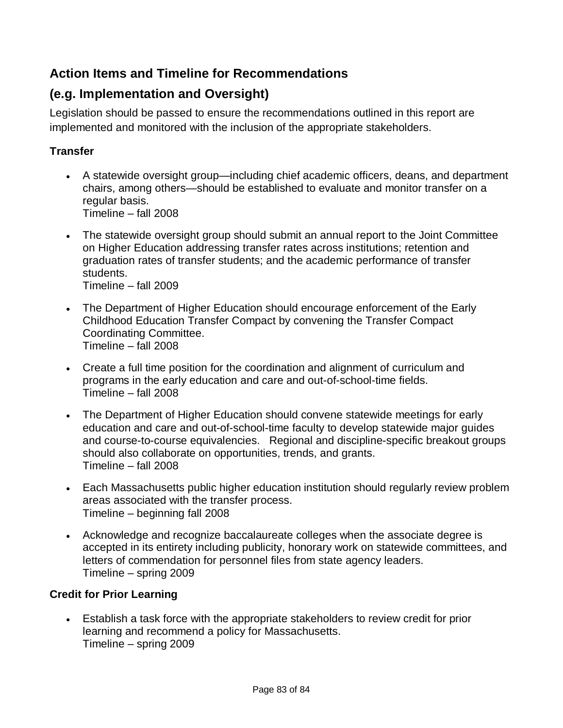# **Action Items and Timeline for Recommendations**

# **(e.g. Implementation and Oversight)**

Legislation should be passed to ensure the recommendations outlined in this report are implemented and monitored with the inclusion of the appropriate stakeholders.

#### **Transfer**

- A statewide oversight group—including chief academic officers, deans, and department chairs, among others—should be established to evaluate and monitor transfer on a regular basis. Timeline – fall 2008
- The statewide oversight group should submit an annual report to the Joint Committee on Higher Education addressing transfer rates across institutions; retention and graduation rates of transfer students; and the academic performance of transfer students. Timeline – fall 2009
- The Department of Higher Education should encourage enforcement of the Early Childhood Education Transfer Compact by convening the Transfer Compact Coordinating Committee. Timeline – fall 2008
- Create a full time position for the coordination and alignment of curriculum and programs in the early education and care and out-of-school-time fields. Timeline – fall 2008
- The Department of Higher Education should convene statewide meetings for early education and care and out-of-school-time faculty to develop statewide major guides and course-to-course equivalencies. Regional and discipline-specific breakout groups should also collaborate on opportunities, trends, and grants. Timeline – fall 2008
- Each Massachusetts public higher education institution should regularly review problem areas associated with the transfer process. Timeline – beginning fall 2008
- Acknowledge and recognize baccalaureate colleges when the associate degree is accepted in its entirety including publicity, honorary work on statewide committees, and letters of commendation for personnel files from state agency leaders. Timeline – spring 2009

#### **Credit for Prior Learning**

 Establish a task force with the appropriate stakeholders to review credit for prior learning and recommend a policy for Massachusetts. Timeline – spring 2009